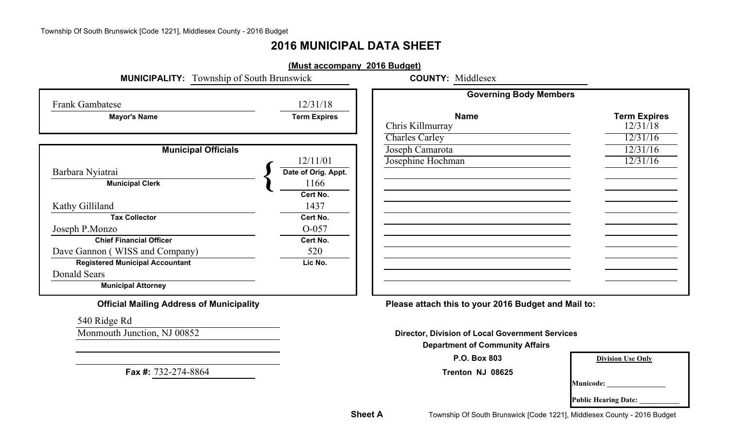# **2016 MUNICIPAL DATA SHEET**

|                                                                                                                                                                                                                                                                           | (Must accompany 2016 Budget)                                                                                   |                                                                                                                  |                                             |
|---------------------------------------------------------------------------------------------------------------------------------------------------------------------------------------------------------------------------------------------------------------------------|----------------------------------------------------------------------------------------------------------------|------------------------------------------------------------------------------------------------------------------|---------------------------------------------|
| <b>MUNICIPALITY:</b> Township of South Brunswick                                                                                                                                                                                                                          |                                                                                                                | <b>COUNTY: Middlesex</b>                                                                                         |                                             |
| <b>Frank Gambatese</b>                                                                                                                                                                                                                                                    | 12/31/18                                                                                                       | <b>Governing Body Members</b>                                                                                    |                                             |
| <b>Mayor's Name</b>                                                                                                                                                                                                                                                       | <b>Term Expires</b>                                                                                            | <b>Name</b><br>Chris Killmurray<br><b>Charles Carley</b>                                                         | <b>Term Expires</b><br>12/31/18<br>12/31/16 |
| <b>Municipal Officials</b>                                                                                                                                                                                                                                                |                                                                                                                | Joseph Camarota                                                                                                  | 12/31/16                                    |
| Barbara Nyiatrai<br><b>Municipal Clerk</b><br>Kathy Gilliland<br><b>Tax Collector</b><br>Joseph P.Monzo<br><b>Chief Financial Officer</b><br>Dave Gannon (WISS and Company)<br><b>Registered Municipal Accountant</b><br><b>Donald Sears</b><br><b>Municipal Attorney</b> | 12/11/01<br>Date of Orig. Appt.<br>1166<br>Cert No.<br>1437<br>Cert No.<br>O-057<br>Cert No.<br>520<br>Lic No. | Josephine Hochman                                                                                                | 12/31/16                                    |
| <b>Official Mailing Address of Municipality</b>                                                                                                                                                                                                                           |                                                                                                                | Please attach this to your 2016 Budget and Mail to:                                                              |                                             |
| 540 Ridge Rd                                                                                                                                                                                                                                                              |                                                                                                                |                                                                                                                  |                                             |
| Monmouth Junction, NJ 00852                                                                                                                                                                                                                                               |                                                                                                                | <b>Director, Division of Local Government Services</b><br><b>Department of Community Affairs</b><br>P.O. Box 803 |                                             |
| Fax #: 732-274-8864                                                                                                                                                                                                                                                       |                                                                                                                | Trenton NJ 08625                                                                                                 | <b>Division Use Only</b>                    |
|                                                                                                                                                                                                                                                                           |                                                                                                                |                                                                                                                  | Municode:<br><b>Public Hearing Date:</b>    |

**Sheet A**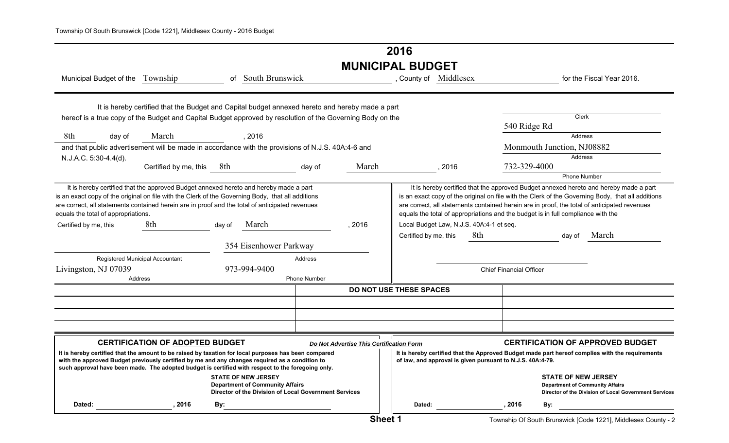# **2016 MUNICIPAL BUDGET**

| Municipal Budget of the Township                                                                                                                                                                                                                                                                                                     |                                                                                                 | 0f     | <b>South Brunswick</b>                                                                                                        |              |                                          | , County of Middlesex                                      |      |     |                                |                                                                                  | for the Fiscal Year 2016.                                                                                                                                                                                                                                                                  |  |
|--------------------------------------------------------------------------------------------------------------------------------------------------------------------------------------------------------------------------------------------------------------------------------------------------------------------------------------|-------------------------------------------------------------------------------------------------|--------|-------------------------------------------------------------------------------------------------------------------------------|--------------|------------------------------------------|------------------------------------------------------------|------|-----|--------------------------------|----------------------------------------------------------------------------------|--------------------------------------------------------------------------------------------------------------------------------------------------------------------------------------------------------------------------------------------------------------------------------------------|--|
| hereof is a true copy of the Budget and Capital Budget approved by resolution of the Governing Body on the                                                                                                                                                                                                                           | It is hereby certified that the Budget and Capital budget annexed hereto and hereby made a part |        |                                                                                                                               |              |                                          |                                                            |      |     | 540 Ridge Rd                   |                                                                                  | <b>Clerk</b>                                                                                                                                                                                                                                                                               |  |
| 8th<br>day of                                                                                                                                                                                                                                                                                                                        | March                                                                                           |        | , 2016                                                                                                                        |              |                                          |                                                            |      |     |                                |                                                                                  | Address                                                                                                                                                                                                                                                                                    |  |
| and that public advertisement will be made in accordance with the provisions of N.J.S. 40A:4-6 and                                                                                                                                                                                                                                   |                                                                                                 |        |                                                                                                                               |              |                                          |                                                            |      |     |                                | Monmouth Junction, NJ08882                                                       |                                                                                                                                                                                                                                                                                            |  |
| N.J.A.C. 5:30-4.4(d).                                                                                                                                                                                                                                                                                                                |                                                                                                 |        |                                                                                                                               |              |                                          |                                                            |      |     |                                |                                                                                  | <b>Address</b>                                                                                                                                                                                                                                                                             |  |
|                                                                                                                                                                                                                                                                                                                                      | Certified by me, this                                                                           | 8th    |                                                                                                                               | day of       | March                                    |                                                            | 2016 |     | 732-329-4000                   |                                                                                  |                                                                                                                                                                                                                                                                                            |  |
|                                                                                                                                                                                                                                                                                                                                      |                                                                                                 |        |                                                                                                                               |              |                                          |                                                            |      |     |                                |                                                                                  | <b>Phone Number</b>                                                                                                                                                                                                                                                                        |  |
| It is hereby certified that the approved Budget annexed hereto and hereby made a part<br>is an exact copy of the original on file with the Clerk of the Governing Body, that all additions<br>are correct, all statements contained herein are in proof and the total of anticipated revenues<br>equals the total of appropriations. |                                                                                                 |        |                                                                                                                               |              |                                          |                                                            |      |     |                                | equals the total of appropriations and the budget is in full compliance with the | It is hereby certified that the approved Budget annexed hereto and hereby made a part<br>is an exact copy of the original on file with the Clerk of the Governing Body, that all additions<br>are correct, all statements contained herein are in proof, the total of anticipated revenues |  |
| Certified by me, this                                                                                                                                                                                                                                                                                                                | 8th                                                                                             | day of | March                                                                                                                         |              | , 2016                                   | Local Budget Law, N.J.S. 40A:4-1 et seq.                   |      |     |                                |                                                                                  |                                                                                                                                                                                                                                                                                            |  |
|                                                                                                                                                                                                                                                                                                                                      |                                                                                                 |        | 354 Eisenhower Parkway                                                                                                        |              |                                          | Certified by me, this                                      |      | 8th |                                | day of                                                                           | March                                                                                                                                                                                                                                                                                      |  |
| Registered Municipal Accountant                                                                                                                                                                                                                                                                                                      |                                                                                                 |        |                                                                                                                               | Address      |                                          |                                                            |      |     |                                |                                                                                  |                                                                                                                                                                                                                                                                                            |  |
| Livingston, NJ 07039                                                                                                                                                                                                                                                                                                                 |                                                                                                 |        | 973-994-9400                                                                                                                  |              |                                          |                                                            |      |     | <b>Chief Financial Officer</b> |                                                                                  |                                                                                                                                                                                                                                                                                            |  |
| Address                                                                                                                                                                                                                                                                                                                              |                                                                                                 |        |                                                                                                                               | Phone Number |                                          |                                                            |      |     |                                |                                                                                  |                                                                                                                                                                                                                                                                                            |  |
|                                                                                                                                                                                                                                                                                                                                      |                                                                                                 |        |                                                                                                                               |              |                                          | DO NOT USE THESE SPACES                                    |      |     |                                |                                                                                  |                                                                                                                                                                                                                                                                                            |  |
|                                                                                                                                                                                                                                                                                                                                      |                                                                                                 |        |                                                                                                                               |              |                                          |                                                            |      |     |                                |                                                                                  |                                                                                                                                                                                                                                                                                            |  |
|                                                                                                                                                                                                                                                                                                                                      |                                                                                                 |        |                                                                                                                               |              |                                          |                                                            |      |     |                                |                                                                                  |                                                                                                                                                                                                                                                                                            |  |
|                                                                                                                                                                                                                                                                                                                                      |                                                                                                 |        |                                                                                                                               |              |                                          |                                                            |      |     |                                |                                                                                  |                                                                                                                                                                                                                                                                                            |  |
|                                                                                                                                                                                                                                                                                                                                      | <b>CERTIFICATION OF ADOPTED BUDGET</b>                                                          |        |                                                                                                                               |              | Do Not Advertise This Certification Form |                                                            |      |     |                                |                                                                                  | <b>CERTIFICATION OF APPROVED BUDGET</b>                                                                                                                                                                                                                                                    |  |
| It is hereby certified that the amount to be raised by taxation for local purposes has been compared<br>with the approved Budget previously certified by me and any changes required as a condition to<br>such approval have been made. The adopted budget is certified with respect to the foregoing only.                          |                                                                                                 |        |                                                                                                                               |              |                                          | of law, and approval is given pursuant to N.J.S. 40A:4-79. |      |     |                                |                                                                                  | It is hereby certified that the Approved Budget made part hereof complies with the requirements                                                                                                                                                                                            |  |
|                                                                                                                                                                                                                                                                                                                                      |                                                                                                 |        | <b>STATE OF NEW JERSEY</b><br><b>Department of Community Affairs</b><br>Director of the Division of Local Government Services |              |                                          |                                                            |      |     |                                | <b>STATE OF NEW JERSEY</b>                                                       | <b>Department of Community Affairs</b><br>Director of the Division of Local Government Services                                                                                                                                                                                            |  |
| Dated:                                                                                                                                                                                                                                                                                                                               | 2016                                                                                            | By:    |                                                                                                                               |              |                                          | Dated:                                                     |      |     | 2016                           | By:                                                                              |                                                                                                                                                                                                                                                                                            |  |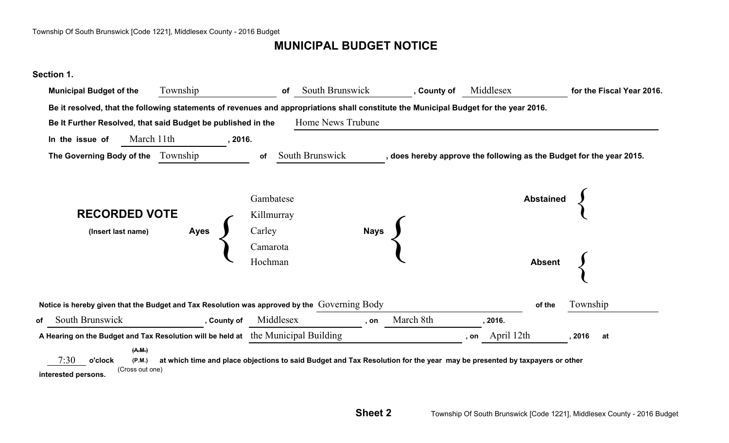# **MUNICIPAL BUDGET NOTICE**

#### **Section 1.**

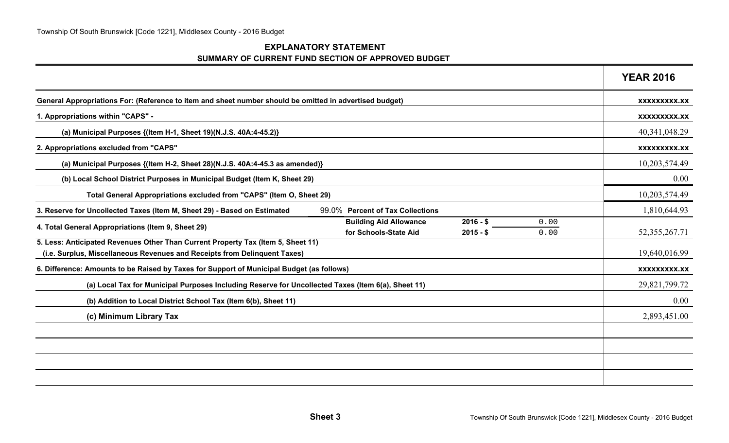#### **EXPLANATORY STATEMENT SUMMARY OF CURRENT FUND SECTION OF APPROVED BUDGET**

|                                                                                                                                                               |                                                        |                          |              | <b>YEAR 2016</b> |
|---------------------------------------------------------------------------------------------------------------------------------------------------------------|--------------------------------------------------------|--------------------------|--------------|------------------|
| General Appropriations For: (Reference to item and sheet number should be omitted in advertised budget)                                                       |                                                        |                          |              | XXXXXXXXX.XX     |
| 1. Appropriations within "CAPS" -                                                                                                                             |                                                        |                          |              | XXXXXXXXX.XX     |
| (a) Municipal Purposes {(Item H-1, Sheet 19)(N.J.S. 40A:4-45.2)}                                                                                              |                                                        |                          |              | 40,341,048.29    |
| 2. Appropriations excluded from "CAPS"                                                                                                                        |                                                        |                          |              | XXXXXXXXX.XX     |
| (a) Municipal Purposes {(Item H-2, Sheet 28)(N.J.S. 40A:4-45.3 as amended)}                                                                                   |                                                        |                          |              | 10,203,574.49    |
| (b) Local School District Purposes in Municipal Budget (Item K, Sheet 29)                                                                                     |                                                        |                          |              | 0.00             |
| Total General Appropriations excluded from "CAPS" (Item O, Sheet 29)                                                                                          |                                                        |                          |              | 10,203,574.49    |
| 3. Reserve for Uncollected Taxes (Item M, Sheet 29) - Based on Estimated                                                                                      | 99.0% Percent of Tax Collections                       |                          |              | 1,810,644.93     |
| 4. Total General Appropriations (Item 9, Sheet 29)                                                                                                            | <b>Building Aid Allowance</b><br>for Schools-State Aid | $2016 - $$<br>$2015 - $$ | 0.00<br>0.00 | 52, 355, 267. 71 |
| 5. Less: Anticipated Revenues Other Than Current Property Tax (Item 5, Sheet 11)<br>(i.e. Surplus, Miscellaneous Revenues and Receipts from Delinquent Taxes) |                                                        |                          |              | 19,640,016.99    |
| 6. Difference: Amounts to be Raised by Taxes for Support of Municipal Budget (as follows)                                                                     |                                                        |                          |              | XXXXXXXXX.XX     |
| (a) Local Tax for Municipal Purposes Including Reserve for Uncollected Taxes (Item 6(a), Sheet 11)                                                            |                                                        |                          |              | 29,821,799.72    |
| (b) Addition to Local District School Tax (Item 6(b), Sheet 11)                                                                                               |                                                        |                          |              | 0.00             |
| (c) Minimum Library Tax                                                                                                                                       |                                                        |                          |              | 2,893,451.00     |
|                                                                                                                                                               |                                                        |                          |              |                  |
|                                                                                                                                                               |                                                        |                          |              |                  |
|                                                                                                                                                               |                                                        |                          |              |                  |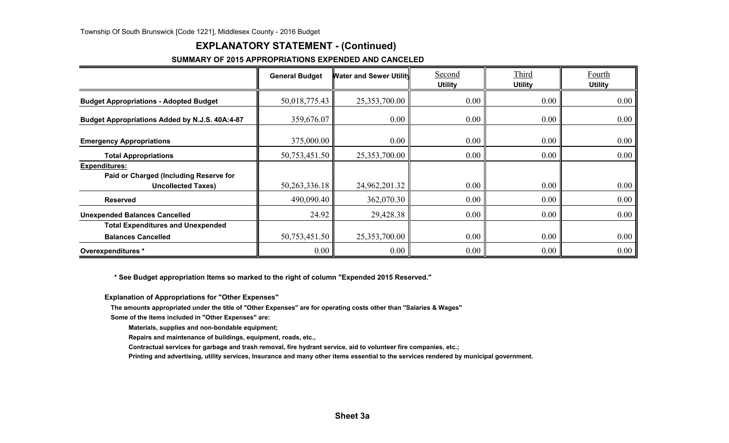## **EXPLANATORY STATEMENT - (Continued)**

#### **SUMMARY OF 2015 APPROPRIATIONS EXPENDED AND CANCELED**

|                                                                                      | <b>General Budget</b> | <b>Water and Sewer Utility</b> | Second<br><b>Utility</b> | Third<br><b>Utility</b> | Fourth<br><b>Utility</b> |
|--------------------------------------------------------------------------------------|-----------------------|--------------------------------|--------------------------|-------------------------|--------------------------|
| <b>Budget Appropriations - Adopted Budget</b>                                        | 50,018,775.43         | 25,353,700.00                  | 0.00                     | 0.00                    | 0.00                     |
| Budget Appropriations Added by N.J.S. 40A:4-87                                       | 359,676.07            | 0.00                           | $0.00\,$                 | 0.00                    | 0.00                     |
| <b>Emergency Appropriations</b>                                                      | 375,000.00            | 0.00                           | $0.00\,$                 | 0.00                    | 0.00                     |
| <b>Total Appropriations</b>                                                          | 50,753,451.50         | 25,353,700.00                  | $0.00\,$                 | 0.00                    | 0.00                     |
| Expenditures:<br>Paid or Charged (Including Reserve for<br><b>Uncollected Taxes)</b> | 50, 263, 336. 18      | 24,962,201.32                  | $0.00\,$                 | 0.00                    | 0.00                     |
| <b>Reserved</b>                                                                      | 490,090.40            | 362,070.30                     | 0.00                     | 0.00                    | 0.00                     |
| <b>Unexpended Balances Cancelled</b>                                                 | 24.92                 | 29,428.38                      | $0.00\,$                 | 0.00                    | 0.00                     |
| <b>Total Expenditures and Unexpended</b>                                             |                       |                                |                          |                         |                          |
| <b>Balances Cancelled</b>                                                            | 50,753,451.50         | 25,353,700.00                  | $0.00\,$                 | 0.00                    | 0.00                     |
| Overexpenditures *                                                                   | 0.00                  | 0.00                           | 0.00                     | 0.00                    | 0.00                     |

 **\* See Budget appropriation Items so marked to the right of column "Expended 2015 Reserved."**

**Explanation of Appropriations for "Other Expenses"**

**The amounts appropriated under the title of "Other Expenses" are for operating costs other than "Salaries & Wages"**

**Some of the items included in "Other Expenses" are:**

**Materials, supplies and non-bondable equipment;**

**Repairs and maintenance of buildings, equipment, roads, etc.,**

**Contractual services for garbage and trash removal, fire hydrant service, aid to volunteer fire companies, etc.;**

**Printing and advertising, utility services, Insurance and many other items essential to the services rendered by municipal government.**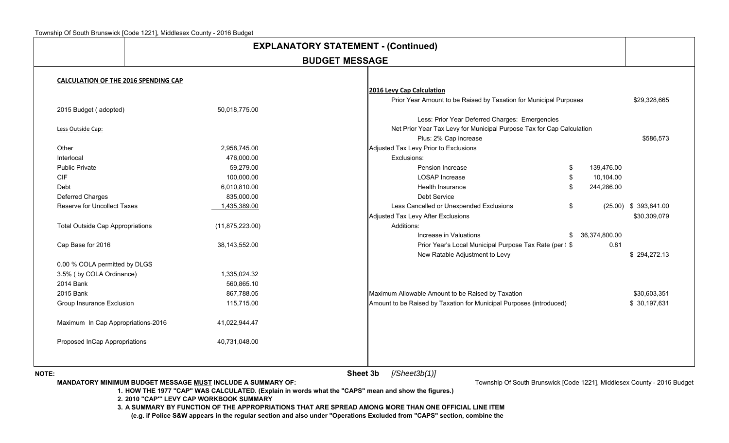|                                             |                   | <b>BUDGET MESSAGE</b>                                                 |                  |                         |
|---------------------------------------------|-------------------|-----------------------------------------------------------------------|------------------|-------------------------|
| <b>CALCULATION OF THE 2016 SPENDING CAP</b> |                   |                                                                       |                  |                         |
|                                             |                   | 2016 Levy Cap Calculation                                             |                  |                         |
|                                             |                   | Prior Year Amount to be Raised by Taxation for Municipal Purposes     |                  | \$29,328,665            |
| 2015 Budget (adopted)                       | 50,018,775.00     |                                                                       |                  |                         |
|                                             |                   | Less: Prior Year Deferred Charges: Emergencies                        |                  |                         |
| Less Outside Cap:                           |                   | Net Prior Year Tax Levy for Municipal Purpose Tax for Cap Calculation |                  |                         |
|                                             |                   | Plus: 2% Cap increase                                                 |                  | \$586,573               |
| Other                                       | 2,958,745.00      | Adjusted Tax Levy Prior to Exclusions                                 |                  |                         |
| Interlocal                                  | 476,000.00        | Exclusions:                                                           |                  |                         |
| <b>Public Private</b>                       | 59,279.00         | Pension Increase                                                      | \$<br>139,476.00 |                         |
| <b>CIF</b>                                  | 100,000.00        | LOSAP Increase                                                        | \$<br>10,104.00  |                         |
| Debt                                        | 6,010,810.00      | Health Insurance                                                      | \$<br>244,286.00 |                         |
| Deferred Charges                            | 835,000.00        | Debt Service                                                          |                  |                         |
| Reserve for Uncollect Taxes                 | 1,435,389.00      | Less Cancelled or Unexpended Exclusions                               | \$               | $(25.00)$ \$ 393,841.00 |
|                                             |                   | Adjusted Tax Levy After Exclusions                                    |                  | \$30,309,079            |
| <b>Total Outside Cap Appropriations</b>     | (11, 875, 223.00) | Additions:                                                            |                  |                         |
|                                             |                   | Increase in Valuations                                                | \$ 36,374,800.00 |                         |
| Cap Base for 2016                           | 38,143,552.00     | Prior Year's Local Municipal Purpose Tax Rate (per : \$               | 0.81             |                         |
|                                             |                   | New Ratable Adjustment to Levy                                        |                  | \$294,272.13            |
| 0.00 % COLA permitted by DLGS               |                   |                                                                       |                  |                         |
| 3.5% (by COLA Ordinance)                    | 1,335,024.32      |                                                                       |                  |                         |
| 2014 Bank                                   | 560,865.10        |                                                                       |                  |                         |
| 2015 Bank                                   | 867,788.05        | Maximum Allowable Amount to be Raised by Taxation                     |                  | \$30,603,351            |
| Group Insurance Exclusion                   | 115,715.00        | Amount to be Raised by Taxation for Municipal Purposes (introduced)   |                  | \$30,197,631            |
| Maximum In Cap Appropriations-2016          | 41,022,944.47     |                                                                       |                  |                         |
| Proposed InCap Appropriations               | 40,731,048.00     |                                                                       |                  |                         |

 **Sheet 3b***[/Sheet3b(1)]*

**MANDATORY MINIMUM BUDGET MESSAGE MUST INCLUDE A SUMMARY OF:** 

Township Of South Brunswick [Code 1221], Middlesex County - 2016 Budget

**1. HOW THE 1977 "CAP" WAS CALCULATED. (Explain in words what the "CAPS" mean and show the figures.)**

**2. 2010 "CAP'" LEVY CAP WORKBOOK SUMMARY**

**3. A SUMMARY BY FUNCTION OF THE APPROPRIATIONS THAT ARE SPREAD AMONG MORE THAN ONE OFFICIAL LINE ITEM**

**(e.g. if Police S&W appears in the regular section and also under "Operations Excluded from "CAPS" section, combine the**

**NOTE:**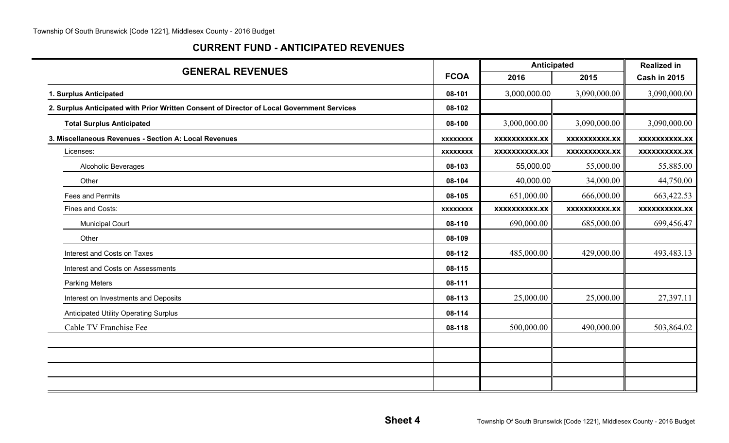## **CURRENT FUND - ANTICIPATED REVENUES**

| <b>GENERAL REVENUES</b>                                                                    |                 | <b>Anticipated</b>   | <b>Realized in</b>   |                      |
|--------------------------------------------------------------------------------------------|-----------------|----------------------|----------------------|----------------------|
|                                                                                            | <b>FCOA</b>     | 2016                 | 2015                 | <b>Cash in 2015</b>  |
| 1. Surplus Anticipated                                                                     | 08-101          | 3,000,000.00         | 3,090,000.00         | 3,090,000.00         |
| 2. Surplus Anticipated with Prior Written Consent of Director of Local Government Services | 08-102          |                      |                      |                      |
| <b>Total Surplus Anticipated</b>                                                           | 08-100          | 3,000,000.00         | 3,090,000.00         | 3,090,000.00         |
| 3. Miscellaneous Revenues - Section A: Local Revenues                                      | <b>XXXXXXXX</b> | <b>XXXXXXXXXX.XX</b> | XXXXXXXXXX.XX        | <b>XXXXXXXXXX.XX</b> |
| Licenses:                                                                                  | <b>XXXXXXXX</b> | XXXXXXXXX.XX         | <b>XXXXXXXXXX.XX</b> | <b>XXXXXXXXX.XX</b>  |
| Alcoholic Beverages                                                                        | 08-103          | 55,000.00            | 55,000.00            | 55,885.00            |
| Other                                                                                      | 08-104          | 40,000.00            | 34,000.00            | 44,750.00            |
| Fees and Permits                                                                           | 08-105          | 651,000.00           | 666,000.00           | 663,422.53           |
| Fines and Costs:                                                                           | <b>XXXXXXXX</b> | <b>XXXXXXXXXX.XX</b> | <b>XXXXXXXXXX.XX</b> | <b>XXXXXXXXXX.XX</b> |
| <b>Municipal Court</b>                                                                     | 08-110          | 690,000.00           | 685,000.00           | 699,456.47           |
| Other                                                                                      | 08-109          |                      |                      |                      |
| Interest and Costs on Taxes                                                                | 08-112          | 485,000.00           | 429,000.00           | 493,483.13           |
| Interest and Costs on Assessments                                                          | 08-115          |                      |                      |                      |
| <b>Parking Meters</b>                                                                      | 08-111          |                      |                      |                      |
| Interest on Investments and Deposits                                                       | 08-113          | 25,000.00            | 25,000.00            | 27,397.11            |
| <b>Anticipated Utility Operating Surplus</b>                                               | 08-114          |                      |                      |                      |
| Cable TV Franchise Fee                                                                     | 08-118          | 500,000.00           | 490,000.00           | 503,864.02           |
|                                                                                            |                 |                      |                      |                      |
|                                                                                            |                 |                      |                      |                      |
|                                                                                            |                 |                      |                      |                      |
|                                                                                            |                 |                      |                      |                      |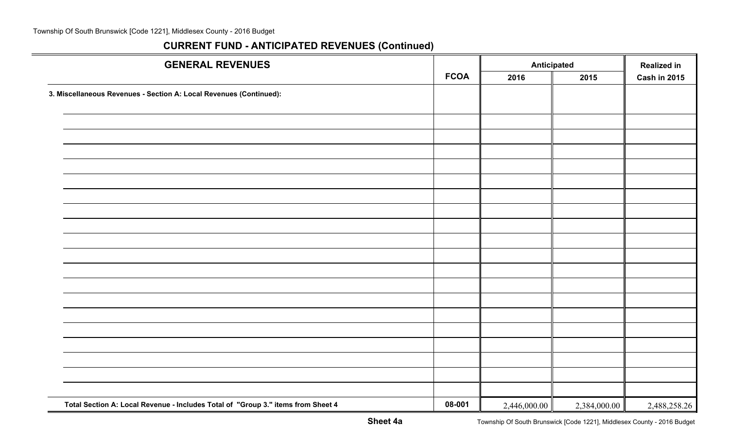| <b>GENERAL REVENUES</b>                                                          |             | <b>Anticipated</b> |              | <b>Realized in</b>  |
|----------------------------------------------------------------------------------|-------------|--------------------|--------------|---------------------|
|                                                                                  | <b>FCOA</b> | 2016               | 2015         | <b>Cash in 2015</b> |
| 3. Miscellaneous Revenues - Section A: Local Revenues (Continued):               |             |                    |              |                     |
|                                                                                  |             |                    |              |                     |
|                                                                                  |             |                    |              |                     |
|                                                                                  |             |                    |              |                     |
|                                                                                  |             |                    |              |                     |
|                                                                                  |             |                    |              |                     |
|                                                                                  |             |                    |              |                     |
|                                                                                  |             |                    |              |                     |
|                                                                                  |             |                    |              |                     |
|                                                                                  |             |                    |              |                     |
|                                                                                  |             |                    |              |                     |
|                                                                                  |             |                    |              |                     |
|                                                                                  |             |                    |              |                     |
|                                                                                  |             |                    |              |                     |
|                                                                                  |             |                    |              |                     |
|                                                                                  |             |                    |              |                     |
|                                                                                  |             |                    |              |                     |
|                                                                                  |             |                    |              |                     |
|                                                                                  |             |                    |              |                     |
|                                                                                  |             |                    |              |                     |
|                                                                                  |             |                    |              |                     |
| Total Section A: Local Revenue - Includes Total of "Group 3." items from Sheet 4 | 08-001      | 2,446,000.00       | 2,384,000.00 | 2,488,258.26        |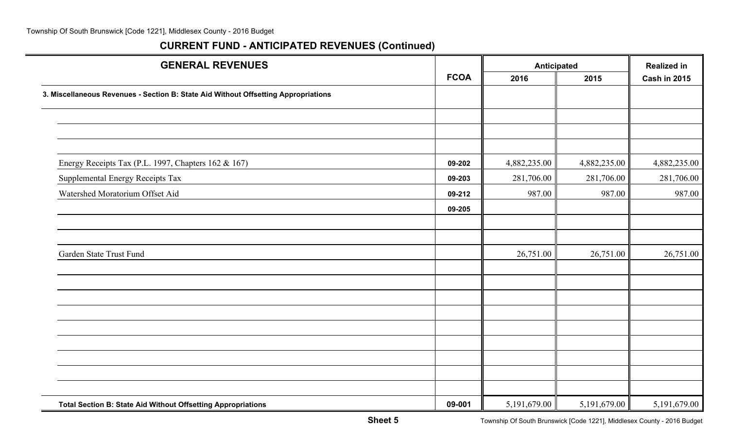| <b>GENERAL REVENUES</b>                                                            |             | <b>Anticipated</b> | <b>Realized in</b> |                |
|------------------------------------------------------------------------------------|-------------|--------------------|--------------------|----------------|
|                                                                                    | <b>FCOA</b> | 2016<br>2015       |                    | Cash in 2015   |
| 3. Miscellaneous Revenues - Section B: State Aid Without Offsetting Appropriations |             |                    |                    |                |
|                                                                                    |             |                    |                    |                |
|                                                                                    |             |                    |                    |                |
|                                                                                    |             |                    |                    |                |
| Energy Receipts Tax (P.L. 1997, Chapters 162 & 167)                                | 09-202      | 4,882,235.00       | 4,882,235.00       | 4,882,235.00   |
| Supplemental Energy Receipts Tax                                                   | 09-203      | 281,706.00         | 281,706.00         | 281,706.00     |
| Watershed Moratorium Offset Aid                                                    | 09-212      | 987.00             | 987.00             | 987.00         |
|                                                                                    | 09-205      |                    |                    |                |
|                                                                                    |             |                    |                    |                |
|                                                                                    |             |                    |                    |                |
| Garden State Trust Fund                                                            |             | 26,751.00          | 26,751.00          | 26,751.00      |
|                                                                                    |             |                    |                    |                |
|                                                                                    |             |                    |                    |                |
|                                                                                    |             |                    |                    |                |
|                                                                                    |             |                    |                    |                |
|                                                                                    |             |                    |                    |                |
|                                                                                    |             |                    |                    |                |
|                                                                                    |             |                    |                    |                |
|                                                                                    |             |                    |                    |                |
|                                                                                    |             |                    |                    |                |
| Total Section B: State Aid Without Offsetting Appropriations                       | 09-001      | 5,191,679.00       | 5,191,679.00       | 5, 191, 679.00 |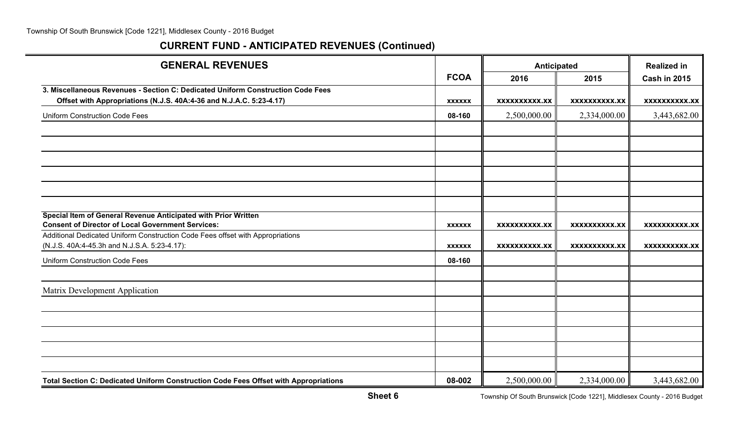| <b>GENERAL REVENUES</b>                                                                                                    |               | <b>Anticipated</b>   |                      | <b>Realized in</b>   |
|----------------------------------------------------------------------------------------------------------------------------|---------------|----------------------|----------------------|----------------------|
|                                                                                                                            | <b>FCOA</b>   | 2016                 | 2015                 | <b>Cash in 2015</b>  |
| 3. Miscellaneous Revenues - Section C: Dedicated Uniform Construction Code Fees                                            |               |                      |                      |                      |
| Offset with Appropriations (N.J.S. 40A:4-36 and N.J.A.C. 5:23-4.17)                                                        | <b>XXXXXX</b> | <b>XXXXXXXXXX.XX</b> | XXXXXXXXXX.XX        | XXXXXXXXXX.XX        |
| <b>Uniform Construction Code Fees</b>                                                                                      | 08-160        | 2,500,000.00         | 2,334,000.00         | 3,443,682.00         |
|                                                                                                                            |               |                      |                      |                      |
|                                                                                                                            |               |                      |                      |                      |
|                                                                                                                            |               |                      |                      |                      |
|                                                                                                                            |               |                      |                      |                      |
|                                                                                                                            |               |                      |                      |                      |
|                                                                                                                            |               |                      |                      |                      |
| Special Item of General Revenue Anticipated with Prior Written<br><b>Consent of Director of Local Government Services:</b> | <b>XXXXXX</b> | <b>XXXXXXXXXX.XX</b> | <b>XXXXXXXXXX.XX</b> | XXXXXXXXXX.XX        |
| Additional Dedicated Uniform Construction Code Fees offset with Appropriations                                             |               |                      |                      |                      |
| (N.J.S. 40A:4-45.3h and N.J.S.A. 5:23-4.17):                                                                               | <b>XXXXXX</b> | <b>XXXXXXXXXX.XX</b> | <b>XXXXXXXXXX.XX</b> | <b>XXXXXXXXXX.XX</b> |
| <b>Uniform Construction Code Fees</b>                                                                                      | 08-160        |                      |                      |                      |
|                                                                                                                            |               |                      |                      |                      |
| Matrix Development Application                                                                                             |               |                      |                      |                      |
|                                                                                                                            |               |                      |                      |                      |
|                                                                                                                            |               |                      |                      |                      |
|                                                                                                                            |               |                      |                      |                      |
|                                                                                                                            |               |                      |                      |                      |
|                                                                                                                            |               |                      |                      |                      |
| Total Section C: Dedicated Uniform Construction Code Fees Offset with Appropriations                                       | 08-002        | 2,500,000.00         | 2,334,000.00         | 3,443,682.00         |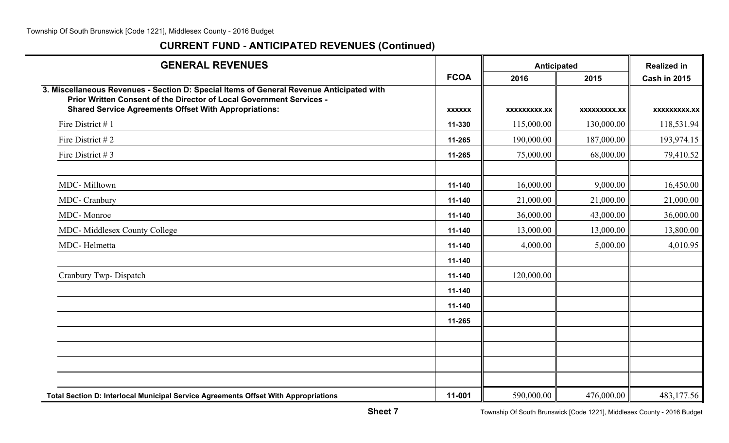| <b>GENERAL REVENUES</b>                                                                                                                                                                                                          |                                          | Anticipated  |              | <b>Realized in</b>  |
|----------------------------------------------------------------------------------------------------------------------------------------------------------------------------------------------------------------------------------|------------------------------------------|--------------|--------------|---------------------|
|                                                                                                                                                                                                                                  | <b>FCOA</b>                              | 2016         | 2015         | <b>Cash in 2015</b> |
| 3. Miscellaneous Revenues - Section D: Special Items of General Revenue Anticipated with<br>Prior Written Consent of the Director of Local Government Services -<br><b>Shared Service Agreements Offset With Appropriations:</b> | <b>XXXXXX</b>                            | XXXXXXXXX.XX | XXXXXXXXX.XX | XXXXXXXXX.XX        |
| Fire District #1                                                                                                                                                                                                                 | 11-330                                   | 115,000.00   | 130,000.00   | 118,531.94          |
| Fire District $#2$                                                                                                                                                                                                               | 11-265                                   | 190,000.00   | 187,000.00   | 193,974.15          |
| Fire District # 3                                                                                                                                                                                                                | 11-265                                   | 75,000.00    | 68,000.00    | 79,410.52           |
|                                                                                                                                                                                                                                  |                                          |              |              |                     |
| MDC-Milltown                                                                                                                                                                                                                     | 11-140                                   | 16,000.00    | 9,000.00     | 16,450.00           |
| MDC- Cranbury                                                                                                                                                                                                                    | 11-140                                   | 21,000.00    | 21,000.00    | 21,000.00           |
| MDC-Monroe                                                                                                                                                                                                                       | 11-140                                   | 36,000.00    | 43,000.00    | 36,000.00           |
| MDC- Middlesex County College                                                                                                                                                                                                    | 11-140                                   | 13,000.00    | 13,000.00    | 13,800.00           |
| MDC-Helmetta                                                                                                                                                                                                                     | 11-140                                   | 4,000.00     | 5,000.00     | 4,010.95            |
|                                                                                                                                                                                                                                  | 11-140                                   |              |              |                     |
| Cranbury Twp- Dispatch                                                                                                                                                                                                           | 11-140                                   | 120,000.00   |              |                     |
|                                                                                                                                                                                                                                  | 11-140                                   |              |              |                     |
|                                                                                                                                                                                                                                  | 11-140<br>11-265<br>590,000.00<br>11-001 |              |              |                     |
|                                                                                                                                                                                                                                  |                                          |              |              |                     |
|                                                                                                                                                                                                                                  |                                          |              |              |                     |
|                                                                                                                                                                                                                                  |                                          |              |              |                     |
|                                                                                                                                                                                                                                  |                                          |              |              |                     |
|                                                                                                                                                                                                                                  |                                          |              |              |                     |
| Total Section D: Interlocal Municipal Service Agreements Offset With Appropriations                                                                                                                                              |                                          |              | 476,000.00   | 483,177.56          |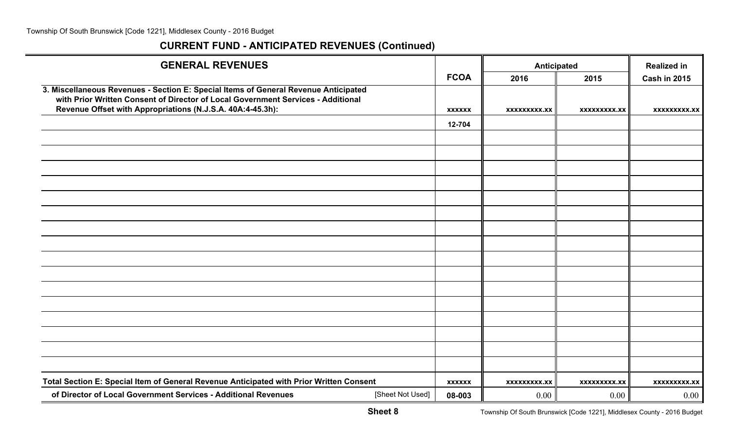| <b>GENERAL REVENUES</b>                                                                 |               | <b>Anticipated</b>  |                     | <b>Realized in</b>  |
|-----------------------------------------------------------------------------------------|---------------|---------------------|---------------------|---------------------|
|                                                                                         | <b>FCOA</b>   | 2016                | 2015                | <b>Cash in 2015</b> |
| 3. Miscellaneous Revenues - Section E: Special Items of General Revenue Anticipated     |               |                     |                     |                     |
| with Prior Written Consent of Director of Local Government Services - Additional        |               |                     |                     |                     |
| Revenue Offset with Appropriations (N.J.S.A. 40A:4-45.3h):                              | <b>XXXXXX</b> | <b>XXXXXXXXX.XX</b> | XXXXXXXXX.XX        | XXXXXXXXX.XX        |
|                                                                                         | 12-704        |                     |                     |                     |
|                                                                                         |               |                     |                     |                     |
|                                                                                         |               |                     |                     |                     |
|                                                                                         |               |                     |                     |                     |
|                                                                                         |               |                     |                     |                     |
|                                                                                         |               |                     |                     |                     |
|                                                                                         |               |                     |                     |                     |
|                                                                                         |               |                     |                     |                     |
|                                                                                         |               |                     |                     |                     |
|                                                                                         |               |                     |                     |                     |
|                                                                                         |               |                     |                     |                     |
|                                                                                         |               |                     |                     |                     |
|                                                                                         |               |                     |                     |                     |
|                                                                                         |               |                     |                     |                     |
|                                                                                         |               |                     |                     |                     |
|                                                                                         |               |                     |                     |                     |
|                                                                                         |               |                     |                     |                     |
| Total Section E: Special Item of General Revenue Anticipated with Prior Written Consent | <b>XXXXXX</b> | <b>XXXXXXXXX.XX</b> | <b>XXXXXXXXX.XX</b> | <b>XXXXXXXXX.XX</b> |
| of Director of Local Government Services - Additional Revenues<br>[Sheet Not Used]      | 08-003        | 0.00                | 0.00                | 0.00                |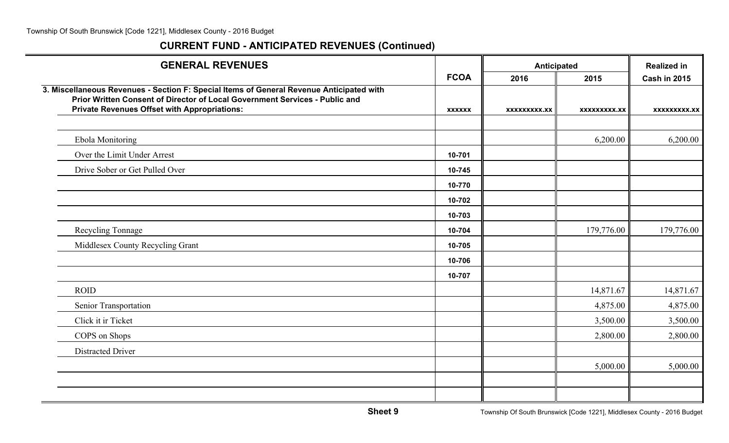| <b>GENERAL REVENUES</b>                                                                                                                                                                                                        |               | <b>Anticipated</b>  |                     | <b>Realized in</b>  |
|--------------------------------------------------------------------------------------------------------------------------------------------------------------------------------------------------------------------------------|---------------|---------------------|---------------------|---------------------|
|                                                                                                                                                                                                                                | <b>FCOA</b>   | 2016                | 2015                | <b>Cash in 2015</b> |
| 3. Miscellaneous Revenues - Section F: Special Items of General Revenue Anticipated with<br>Prior Written Consent of Director of Local Government Services - Public and<br><b>Private Revenues Offset with Appropriations:</b> | <b>XXXXXX</b> | <b>XXXXXXXXX.XX</b> | <b>XXXXXXXXX.XX</b> | XXXXXXXXX.XX        |
|                                                                                                                                                                                                                                |               |                     |                     |                     |
| <b>Ebola Monitoring</b>                                                                                                                                                                                                        |               |                     | 6,200.00            | 6,200.00            |
| Over the Limit Under Arrest                                                                                                                                                                                                    | 10-701        |                     |                     |                     |
| Drive Sober or Get Pulled Over                                                                                                                                                                                                 | 10-745        |                     |                     |                     |
|                                                                                                                                                                                                                                | 10-770        |                     |                     |                     |
|                                                                                                                                                                                                                                | 10-702        |                     |                     |                     |
|                                                                                                                                                                                                                                | 10-703        |                     |                     |                     |
| Recycling Tonnage                                                                                                                                                                                                              | 10-704        |                     | 179,776.00          | 179,776.00          |
| Middlesex County Recycling Grant                                                                                                                                                                                               | 10-705        |                     |                     |                     |
|                                                                                                                                                                                                                                | 10-706        |                     |                     |                     |
|                                                                                                                                                                                                                                | 10-707        |                     |                     |                     |
| <b>ROID</b>                                                                                                                                                                                                                    |               |                     | 14,871.67           | 14,871.67           |
| Senior Transportation                                                                                                                                                                                                          |               |                     | 4,875.00            | 4,875.00            |
| Click it ir Ticket                                                                                                                                                                                                             |               |                     | 3,500.00            | 3,500.00            |
| COPS on Shops                                                                                                                                                                                                                  |               |                     | 2,800.00            | 2,800.00            |
| Distracted Driver                                                                                                                                                                                                              |               |                     |                     |                     |
|                                                                                                                                                                                                                                |               |                     | 5,000.00            | 5,000.00            |
|                                                                                                                                                                                                                                |               |                     |                     |                     |
|                                                                                                                                                                                                                                |               |                     |                     |                     |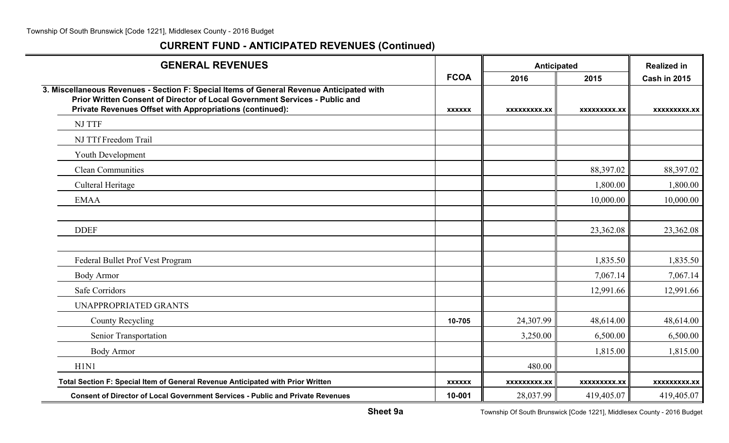| <b>GENERAL REVENUES</b>                                                                                                                                                                                                             |               | <b>Anticipated</b> |                     | <b>Realized in</b>  |
|-------------------------------------------------------------------------------------------------------------------------------------------------------------------------------------------------------------------------------------|---------------|--------------------|---------------------|---------------------|
|                                                                                                                                                                                                                                     | <b>FCOA</b>   | 2016               | 2015                | <b>Cash in 2015</b> |
| 3. Miscellaneous Revenues - Section F: Special Items of General Revenue Anticipated with<br>Prior Written Consent of Director of Local Government Services - Public and<br>Private Revenues Offset with Appropriations (continued): | <b>XXXXXX</b> | XXXXXXXXX.XX       | XXXXXXXXX.XX        | <b>XXXXXXXXX.XX</b> |
| <b>NJ TTF</b>                                                                                                                                                                                                                       |               |                    |                     |                     |
| NJ TTf Freedom Trail                                                                                                                                                                                                                |               |                    |                     |                     |
| <b>Youth Development</b>                                                                                                                                                                                                            |               |                    |                     |                     |
| <b>Clean Communities</b>                                                                                                                                                                                                            |               |                    | 88,397.02           | 88,397.02           |
| <b>Culteral Heritage</b>                                                                                                                                                                                                            |               |                    | 1,800.00            | 1,800.00            |
| <b>EMAA</b>                                                                                                                                                                                                                         |               |                    | 10,000.00           | 10,000.00           |
|                                                                                                                                                                                                                                     |               |                    |                     |                     |
| <b>DDEF</b>                                                                                                                                                                                                                         |               |                    | 23,362.08           | 23,362.08           |
|                                                                                                                                                                                                                                     |               |                    |                     |                     |
| Federal Bullet Prof Vest Program                                                                                                                                                                                                    |               |                    | 1,835.50            | 1,835.50            |
| <b>Body Armor</b>                                                                                                                                                                                                                   |               |                    | 7,067.14            | 7,067.14            |
| Safe Corridors                                                                                                                                                                                                                      |               |                    | 12,991.66           | 12,991.66           |
| <b>UNAPPROPRIATED GRANTS</b>                                                                                                                                                                                                        |               |                    |                     |                     |
| <b>County Recycling</b>                                                                                                                                                                                                             | 10-705        | 24,307.99          | 48,614.00           | 48,614.00           |
| Senior Transportation                                                                                                                                                                                                               |               | 3,250.00           | 6,500.00            | 6,500.00            |
| <b>Body Armor</b>                                                                                                                                                                                                                   |               |                    | 1,815.00            | 1,815.00            |
| H1N1                                                                                                                                                                                                                                |               | 480.00             |                     |                     |
| Total Section F: Special Item of General Revenue Anticipated with Prior Written                                                                                                                                                     | <b>XXXXXX</b> | XXXXXXXXX.XX       | <b>XXXXXXXXX.XX</b> | <b>XXXXXXXXX.XX</b> |
| <b>Consent of Director of Local Government Services - Public and Private Revenues</b>                                                                                                                                               | 10-001        | 28,037.99          | 419,405.07          | 419,405.07          |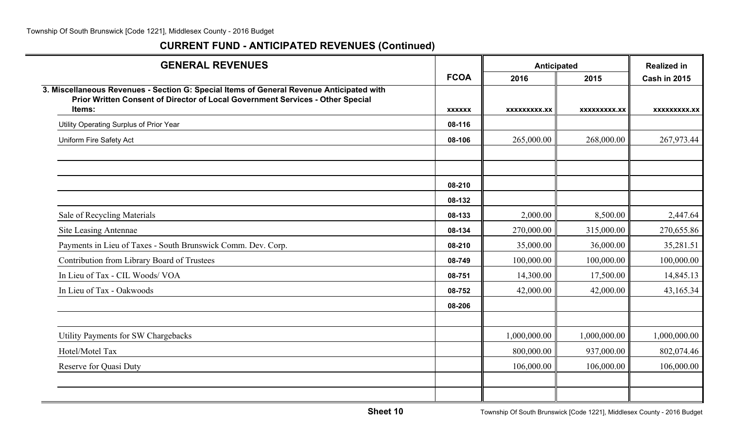| <b>GENERAL REVENUES</b>                                                                                                                                                    |               | Anticipated  | <b>Realized in</b> |                     |
|----------------------------------------------------------------------------------------------------------------------------------------------------------------------------|---------------|--------------|--------------------|---------------------|
|                                                                                                                                                                            | <b>FCOA</b>   | 2016         | 2015               | <b>Cash in 2015</b> |
| 3. Miscellaneous Revenues - Section G: Special Items of General Revenue Anticipated with<br>Prior Written Consent of Director of Local Government Services - Other Special |               |              |                    |                     |
| Items:                                                                                                                                                                     | <b>XXXXXX</b> | XXXXXXXXX.XX | XXXXXXXXX.XX       | XXXXXXXXX.XX        |
| Utility Operating Surplus of Prior Year                                                                                                                                    | 08-116        |              |                    |                     |
| Uniform Fire Safety Act                                                                                                                                                    | 08-106        | 265,000.00   | 268,000.00         | 267,973.44          |
|                                                                                                                                                                            |               |              |                    |                     |
|                                                                                                                                                                            |               |              |                    |                     |
|                                                                                                                                                                            | 08-210        |              |                    |                     |
|                                                                                                                                                                            | 08-132        |              |                    |                     |
| Sale of Recycling Materials                                                                                                                                                | 08-133        | 2,000.00     | 8,500.00           | 2,447.64            |
| Site Leasing Antennae                                                                                                                                                      | 08-134        | 270,000.00   | 315,000.00         | 270,655.86          |
| Payments in Lieu of Taxes - South Brunswick Comm. Dev. Corp.                                                                                                               | 08-210        | 35,000.00    | 36,000.00          | 35,281.51           |
| Contribution from Library Board of Trustees                                                                                                                                | 08-749        | 100,000.00   | 100,000.00         | 100,000.00          |
| In Lieu of Tax - CIL Woods/ VOA                                                                                                                                            | 08-751        | 14,300.00    | 17,500.00          | 14,845.13           |
| In Lieu of Tax - Oakwoods                                                                                                                                                  | 08-752        | 42,000.00    | 42,000.00          | 43,165.34           |
|                                                                                                                                                                            | 08-206        |              |                    |                     |
|                                                                                                                                                                            |               |              |                    |                     |
| Utility Payments for SW Chargebacks                                                                                                                                        |               | 1,000,000.00 | 1,000,000.00       | 1,000,000.00        |
| Hotel/Motel Tax                                                                                                                                                            |               | 800,000.00   | 937,000.00         | 802,074.46          |
| <b>Reserve for Quasi Duty</b>                                                                                                                                              |               | 106,000.00   | 106,000.00         | 106,000.00          |
|                                                                                                                                                                            |               |              |                    |                     |
|                                                                                                                                                                            |               |              |                    |                     |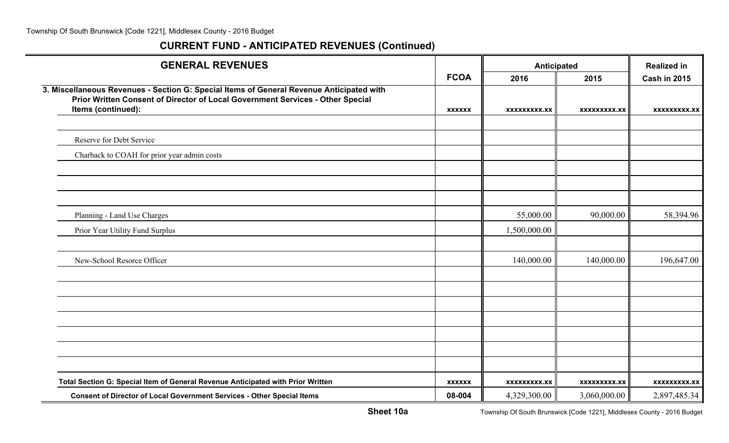| <b>GENERAL REVENUES</b>                                                                                                                                                    |               | Anticipated         |              | <b>Realized in</b>  |
|----------------------------------------------------------------------------------------------------------------------------------------------------------------------------|---------------|---------------------|--------------|---------------------|
|                                                                                                                                                                            | <b>FCOA</b>   | 2016                | 2015         | <b>Cash in 2015</b> |
| 3. Miscellaneous Revenues - Section G: Special Items of General Revenue Anticipated with<br>Prior Written Consent of Director of Local Government Services - Other Special |               |                     |              |                     |
| Items (continued):                                                                                                                                                         | <b>XXXXXX</b> | <b>XXXXXXXXX.XX</b> | XXXXXXXXX.XX | <b>XXXXXXXXX.XX</b> |
|                                                                                                                                                                            |               |                     |              |                     |
| Reserve for Debt Service                                                                                                                                                   |               |                     |              |                     |
| Charback to COAH for prior year admin costs                                                                                                                                |               |                     |              |                     |
|                                                                                                                                                                            |               |                     |              |                     |
|                                                                                                                                                                            |               |                     |              |                     |
|                                                                                                                                                                            |               |                     |              |                     |
| Planning - Land Use Charges                                                                                                                                                |               | 55,000.00           | 90,000.00    | 58,394.96           |
| Prior Year Utility Fund Surplus                                                                                                                                            |               | 1,500,000.00        |              |                     |
|                                                                                                                                                                            |               |                     |              |                     |
| New-School Resorce Officer                                                                                                                                                 |               | 140,000.00          | 140,000.00   | 196,647.00          |
|                                                                                                                                                                            |               |                     |              |                     |
|                                                                                                                                                                            |               |                     |              |                     |
|                                                                                                                                                                            |               |                     |              |                     |
|                                                                                                                                                                            |               |                     |              |                     |
|                                                                                                                                                                            |               |                     |              |                     |
|                                                                                                                                                                            |               |                     |              |                     |
|                                                                                                                                                                            |               |                     |              |                     |
| Total Section G: Special Item of General Revenue Anticipated with Prior Written                                                                                            | <b>XXXXXX</b> | <b>XXXXXXXXX.XX</b> | XXXXXXXXX.XX | XXXXXXXXX.XX        |
| <b>Consent of Director of Local Government Services - Other Special Items</b>                                                                                              | 08-004        | 4,329,300.00        | 3,060,000.00 | 2,897,485.34        |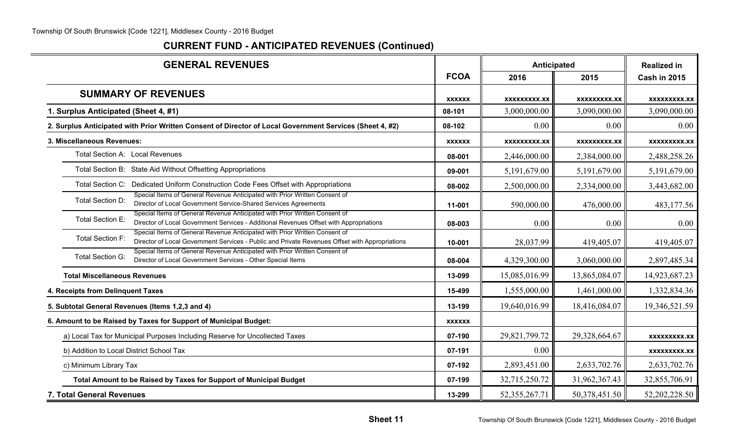| <b>GENERAL REVENUES</b>                                                                                                                                                                          |               | Anticipated         |                     | <b>Realized in</b>  |
|--------------------------------------------------------------------------------------------------------------------------------------------------------------------------------------------------|---------------|---------------------|---------------------|---------------------|
|                                                                                                                                                                                                  | <b>FCOA</b>   | 2016                | 2015                | <b>Cash in 2015</b> |
| <b>SUMMARY OF REVENUES</b>                                                                                                                                                                       | <b>XXXXXX</b> | <b>XXXXXXXXX.XX</b> | <b>XXXXXXXXX.XX</b> | XXXXXXXXX.XX        |
| 1. Surplus Anticipated (Sheet 4, #1)                                                                                                                                                             | 08-101        | 3,000,000.00        | 3,090,000.00        | 3,090,000.00        |
| 2. Surplus Anticipated with Prior Written Consent of Director of Local Government Services (Sheet 4, #2)                                                                                         | 08-102        | 0.00                | 0.00                | 0.00                |
| 3. Miscellaneous Revenues:                                                                                                                                                                       | <b>XXXXXX</b> | XXXXXXXXX.XX        | <b>XXXXXXXXX.XX</b> | <b>XXXXXXXXX.XX</b> |
| Total Section A: Local Revenues                                                                                                                                                                  | 08-001        | 2,446,000.00        | 2,384,000.00        | 2,488,258.26        |
| Total Section B: State Aid Without Offsetting Appropriations                                                                                                                                     | 09-001        | 5,191,679.00        | 5,191,679.00        | 5,191,679.00        |
| Total Section C: Dedicated Uniform Construction Code Fees Offset with Appropriations                                                                                                             | 08-002        | 2,500,000.00        | 2,334,000.00        | 3,443,682.00        |
| Special Items of General Revenue Anticipated with Prior Written Consent of<br>Total Section D:<br>Director of Local Government Service-Shared Services Agreements                                | 11-001        | 590,000.00          | 476,000.00          | 483,177.56          |
| Special Items of General Revenue Anticipated with Prior Written Consent of<br>Total Section E:<br>Director of Local Government Services - Additional Revenues Offset with Appropriations         | 08-003        | 0.00                | 0.00                | 0.00                |
| Special Items of General Revenue Anticipated with Prior Written Consent of<br>Total Section F:<br>Director of Local Government Services - Public and Private Revenues Offset with Appropriations | 10-001        | 28,037.99           | 419,405.07          | 419,405.07          |
| Special Items of General Revenue Anticipated with Prior Written Consent of<br><b>Total Section G:</b><br>Director of Local Government Services - Other Special Items                             | 08-004        | 4,329,300.00        | 3,060,000.00        | 2,897,485.34        |
| <b>Total Miscellaneous Revenues</b>                                                                                                                                                              | 13-099        | 15,085,016.99       | 13,865,084.07       | 14,923,687.23       |
| 4. Receipts from Delinquent Taxes                                                                                                                                                                | 15-499        | 1,555,000.00        | 1,461,000.00        | 1,332,834.36        |
| 5. Subtotal General Revenues (Items 1,2,3 and 4)                                                                                                                                                 | 13-199        | 19,640,016.99       | 18,416,084.07       | 19,346,521.59       |
| 6. Amount to be Raised by Taxes for Support of Municipal Budget:                                                                                                                                 | <b>XXXXXX</b> |                     |                     |                     |
| a) Local Tax for Municipal Purposes Including Reserve for Uncollected Taxes                                                                                                                      | 07-190        | 29,821,799.72       | 29,328,664.67       | <b>XXXXXXXXX.XX</b> |
| b) Addition to Local District School Tax                                                                                                                                                         | 07-191        | 0.00                |                     | <b>XXXXXXXXX.XX</b> |
| c) Minimum Library Tax                                                                                                                                                                           | 07-192        | 2,893,451.00        | 2,633,702.76        | 2,633,702.76        |
| Total Amount to be Raised by Taxes for Support of Municipal Budget                                                                                                                               | 07-199        | 32,715,250.72       | 31,962,367.43       | 32,855,706.91       |
| 7. Total General Revenues                                                                                                                                                                        | 13-299        | 52, 355, 267. 71    | 50,378,451.50       | 52,202,228.50       |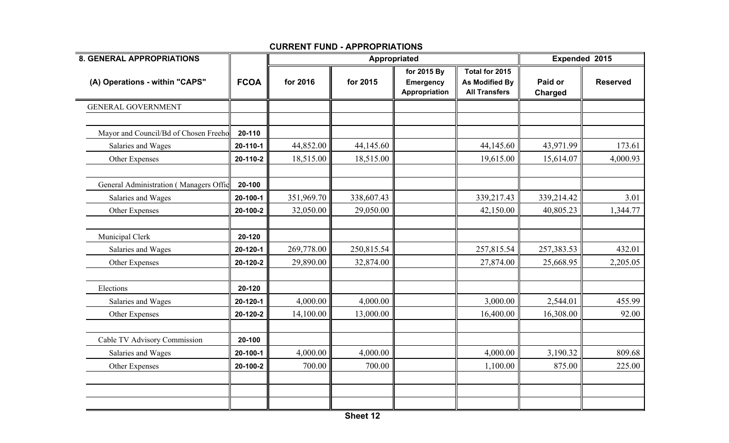| <b>8. GENERAL APPROPRIATIONS</b>       |             |            | Appropriated |                                                  |                                                                 |                    | Expended 2015   |  |
|----------------------------------------|-------------|------------|--------------|--------------------------------------------------|-----------------------------------------------------------------|--------------------|-----------------|--|
| (A) Operations - within "CAPS"         | <b>FCOA</b> | for 2016   | for 2015     | for 2015 By<br><b>Emergency</b><br>Appropriation | Total for 2015<br><b>As Modified By</b><br><b>All Transfers</b> | Paid or<br>Charged | <b>Reserved</b> |  |
| <b>GENERAL GOVERNMENT</b>              |             |            |              |                                                  |                                                                 |                    |                 |  |
|                                        |             |            |              |                                                  |                                                                 |                    |                 |  |
| Mayor and Council/Bd of Chosen Freeho  | 20-110      |            |              |                                                  |                                                                 |                    |                 |  |
| Salaries and Wages                     | 20-110-1    | 44,852.00  | 44,145.60    |                                                  | 44,145.60                                                       | 43,971.99          | 173.61          |  |
| Other Expenses                         | 20-110-2    | 18,515.00  | 18,515.00    |                                                  | 19,615.00                                                       | 15,614.07          | 4,000.93        |  |
| General Administration (Managers Offic | 20-100      |            |              |                                                  |                                                                 |                    |                 |  |
| Salaries and Wages                     | 20-100-1    | 351,969.70 | 338,607.43   |                                                  | 339,217.43                                                      | 339,214.42         | 3.01            |  |
| Other Expenses                         | 20-100-2    | 32,050.00  | 29,050.00    |                                                  | 42,150.00                                                       | 40,805.23          | 1,344.77        |  |
|                                        |             |            |              |                                                  |                                                                 |                    |                 |  |
| Municipal Clerk                        | 20-120      |            |              |                                                  |                                                                 |                    |                 |  |
| Salaries and Wages                     | 20-120-1    | 269,778.00 | 250,815.54   |                                                  | 257,815.54                                                      | 257,383.53         | 432.01          |  |
| Other Expenses                         | 20-120-2    | 29,890.00  | 32,874.00    |                                                  | 27,874.00                                                       | 25,668.95          | 2,205.05        |  |
| Elections                              | 20-120      |            |              |                                                  |                                                                 |                    |                 |  |
| Salaries and Wages                     | 20-120-1    | 4,000.00   | 4,000.00     |                                                  | 3,000.00                                                        | 2,544.01           | 455.99          |  |
| Other Expenses                         | 20-120-2    | 14,100.00  | 13,000.00    |                                                  | 16,400.00                                                       | 16,308.00          | 92.00           |  |
| Cable TV Advisory Commission           | 20-100      |            |              |                                                  |                                                                 |                    |                 |  |
| Salaries and Wages                     | 20-100-1    | 4,000.00   | 4,000.00     |                                                  | 4,000.00                                                        | 3,190.32           | 809.68          |  |
| Other Expenses                         | 20-100-2    | 700.00     | 700.00       |                                                  | 1,100.00                                                        | 875.00             | 225.00          |  |
|                                        |             |            |              |                                                  |                                                                 |                    |                 |  |
|                                        |             |            |              |                                                  |                                                                 |                    |                 |  |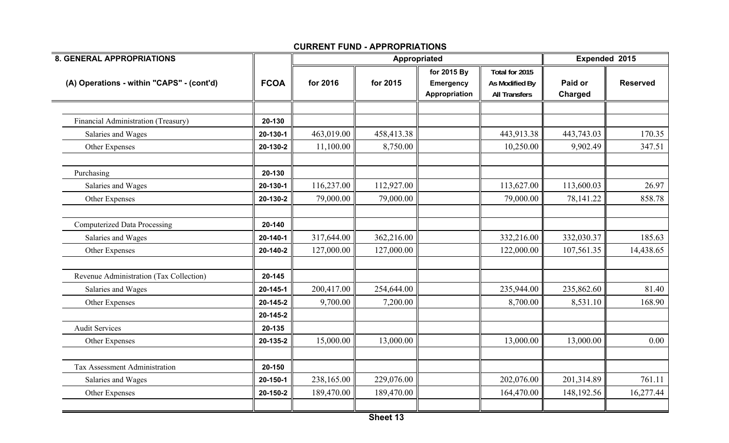| <b>8. GENERAL APPROPRIATIONS</b>          |             |            | Appropriated  |                                           |                                                          | Paid or<br>Charged<br>443,743.03<br>9,902.49<br>113,600.03<br>78,141.22 | Expended 2015   |  |
|-------------------------------------------|-------------|------------|---------------|-------------------------------------------|----------------------------------------------------------|-------------------------------------------------------------------------|-----------------|--|
| (A) Operations - within "CAPS" - (cont'd) | <b>FCOA</b> | for 2016   | for 2015      | for 2015 By<br>Emergency<br>Appropriation | Total for 2015<br>As Modified By<br><b>All Transfers</b> |                                                                         | <b>Reserved</b> |  |
|                                           |             |            |               |                                           |                                                          |                                                                         |                 |  |
| Financial Administration (Treasury)       | 20-130      |            |               |                                           |                                                          |                                                                         |                 |  |
| Salaries and Wages                        | 20-130-1    | 463,019.00 | 458,413.38    |                                           | 443,913.38                                               |                                                                         | 170.35          |  |
| Other Expenses                            | 20-130-2    | 11,100.00  | 8,750.00      |                                           | 10,250.00                                                |                                                                         | 347.51          |  |
| Purchasing                                | 20-130      |            |               |                                           |                                                          |                                                                         |                 |  |
| Salaries and Wages                        | 20-130-1    | 116,237.00 | 112,927.00    |                                           | 113,627.00                                               |                                                                         | 26.97           |  |
| Other Expenses                            | 20-130-2    | 79,000.00  | 79,000.00     |                                           | 79,000.00                                                |                                                                         | 858.78          |  |
| <b>Computerized Data Processing</b>       | 20-140      |            |               |                                           |                                                          |                                                                         |                 |  |
| Salaries and Wages                        | 20-140-1    | 317,644.00 | 362,216.00    |                                           | 332,216.00                                               | 332,030.37                                                              | 185.63          |  |
| Other Expenses                            | 20-140-2    | 127,000.00 | 127,000.00    |                                           | 122,000.00                                               | 107,561.35                                                              | 14,438.65       |  |
| Revenue Administration (Tax Collection)   | 20-145      |            |               |                                           |                                                          |                                                                         |                 |  |
| Salaries and Wages                        | 20-145-1    | 200,417.00 | 254,644.00    |                                           | 235,944.00                                               | 235,862.60                                                              | 81.40           |  |
| Other Expenses                            | 20-145-2    | 9,700.00   | 7,200.00      |                                           | 8,700.00                                                 | 8,531.10                                                                | 168.90          |  |
|                                           | 20-145-2    |            |               |                                           |                                                          |                                                                         |                 |  |
| <b>Audit Services</b>                     | 20-135      |            |               |                                           |                                                          |                                                                         |                 |  |
| Other Expenses                            | 20-135-2    | 15,000.00  | 13,000.00     |                                           | 13,000.00                                                | 13,000.00                                                               | 0.00            |  |
| Tax Assessment Administration             | 20-150      |            |               |                                           |                                                          |                                                                         |                 |  |
| Salaries and Wages                        | 20-150-1    | 238,165.00 | 229,076.00    |                                           | 202,076.00                                               | 201,314.89                                                              | 761.11          |  |
| Other Expenses                            | 20-150-2    | 189,470.00 | 189,470.00    |                                           | 164,470.00                                               | 148,192.56                                                              | 16,277.44       |  |
|                                           |             |            | $Ch o o + 42$ |                                           |                                                          |                                                                         |                 |  |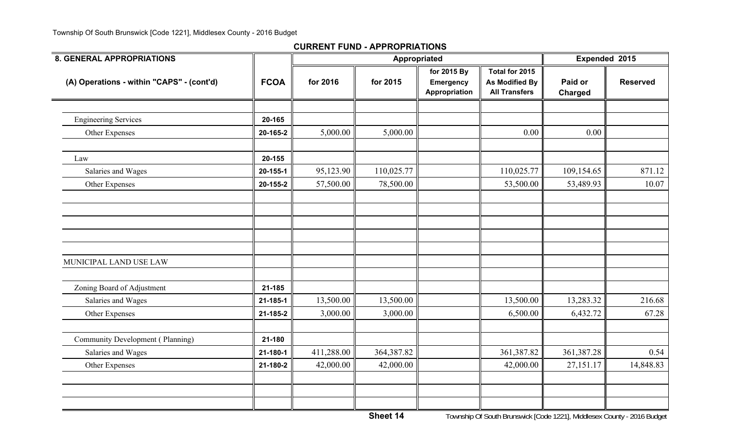#### **CURRENT FUND - APPROPRIATIONS**

| <b>8. GENERAL APPROPRIATIONS</b>          |             |            | Appropriated |                                                  |                                                                 |                           | Expended 2015   |
|-------------------------------------------|-------------|------------|--------------|--------------------------------------------------|-----------------------------------------------------------------|---------------------------|-----------------|
| (A) Operations - within "CAPS" - (cont'd) | <b>FCOA</b> | for 2016   | for 2015     | for 2015 By<br><b>Emergency</b><br>Appropriation | Total for 2015<br><b>As Modified By</b><br><b>All Transfers</b> | Paid or<br><b>Charged</b> | <b>Reserved</b> |
|                                           |             |            |              |                                                  |                                                                 |                           |                 |
| <b>Engineering Services</b>               | 20-165      |            |              |                                                  |                                                                 |                           |                 |
| Other Expenses                            | 20-165-2    | 5,000.00   | 5,000.00     |                                                  | 0.00                                                            | 0.00                      |                 |
| Law                                       | 20-155      |            |              |                                                  |                                                                 |                           |                 |
| Salaries and Wages                        | 20-155-1    | 95,123.90  | 110,025.77   |                                                  | 110,025.77                                                      | 109,154.65                | 871.12          |
| Other Expenses                            | 20-155-2    | 57,500.00  | 78,500.00    |                                                  | 53,500.00                                                       | 53,489.93                 | 10.07           |
|                                           |             |            |              |                                                  |                                                                 |                           |                 |
| MUNICIPAL LAND USE LAW                    |             |            |              |                                                  |                                                                 |                           |                 |
| Zoning Board of Adjustment                | 21-185      |            |              |                                                  |                                                                 |                           |                 |
| Salaries and Wages                        | 21-185-1    | 13,500.00  | 13,500.00    |                                                  | 13,500.00                                                       | 13,283.32                 | 216.68          |
| Other Expenses                            | 21-185-2    | 3,000.00   | 3,000.00     |                                                  | 6,500.00                                                        | 6,432.72                  | 67.28           |
| Community Development (Planning)          | 21-180      |            |              |                                                  |                                                                 |                           |                 |
| Salaries and Wages                        | 21-180-1    | 411,288.00 | 364,387.82   |                                                  | 361,387.82                                                      | 361,387.28                | 0.54            |
| Other Expenses                            | 21-180-2    | 42,000.00  | 42,000.00    |                                                  | 42,000.00                                                       | 27,151.17                 | 14,848.83       |
|                                           |             |            |              |                                                  |                                                                 |                           |                 |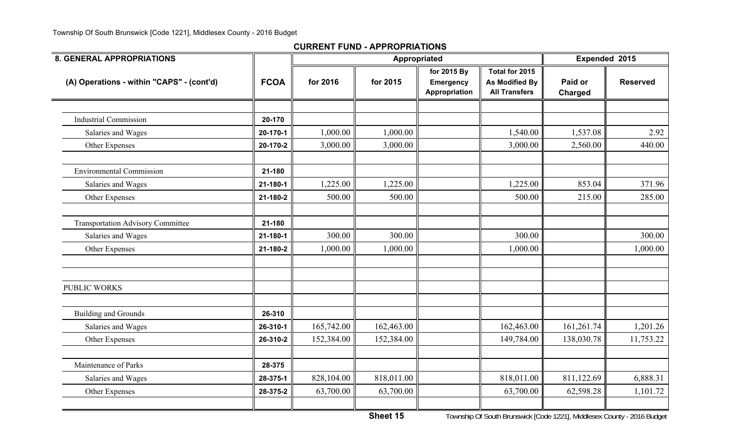#### **CURRENT FUND - APPROPRIATIONS**

| <b>8. GENERAL APPROPRIATIONS</b>          |             |            | Appropriated | Expended 2015                                    |                                                                 |                    |                 |
|-------------------------------------------|-------------|------------|--------------|--------------------------------------------------|-----------------------------------------------------------------|--------------------|-----------------|
| (A) Operations - within "CAPS" - (cont'd) | <b>FCOA</b> | for 2016   | for 2015     | for 2015 By<br><b>Emergency</b><br>Appropriation | Total for 2015<br><b>As Modified By</b><br><b>All Transfers</b> | Paid or<br>Charged | <b>Reserved</b> |
|                                           |             |            |              |                                                  |                                                                 |                    |                 |
| <b>Industrial Commission</b>              | 20-170      |            |              |                                                  |                                                                 |                    |                 |
| Salaries and Wages                        | 20-170-1    | 1,000.00   | 1,000.00     |                                                  | 1,540.00                                                        | 1,537.08           | 2.92            |
| Other Expenses                            | 20-170-2    | 3,000.00   | 3,000.00     |                                                  | 3,000.00                                                        | 2,560.00           | 440.00          |
| <b>Environmental Commission</b>           | 21-180      |            |              |                                                  |                                                                 |                    |                 |
| Salaries and Wages                        | 21-180-1    | 1,225.00   | 1,225.00     |                                                  | 1,225.00                                                        | 853.04             | 371.96          |
| Other Expenses                            | 21-180-2    | 500.00     | 500.00       |                                                  | 500.00                                                          | 215.00             | 285.00          |
| <b>Transportation Advisory Committee</b>  | 21-180      |            |              |                                                  |                                                                 |                    |                 |
| Salaries and Wages                        | 21-180-1    | 300.00     | 300.00       |                                                  | 300.00                                                          |                    | 300.00          |
| Other Expenses                            | 21-180-2    | 1,000.00   | 1,000.00     |                                                  | 1,000.00                                                        |                    | 1,000.00        |
| <b>PUBLIC WORKS</b>                       |             |            |              |                                                  |                                                                 |                    |                 |
| <b>Building and Grounds</b>               | 26-310      |            |              |                                                  |                                                                 |                    |                 |
| Salaries and Wages                        | 26-310-1    | 165,742.00 | 162,463.00   |                                                  | 162,463.00                                                      | 161,261.74         | 1,201.26        |
| Other Expenses                            | 26-310-2    | 152,384.00 | 152,384.00   |                                                  | 149,784.00                                                      | 138,030.78         | 11,753.22       |
| Maintenance of Parks                      | 28-375      |            |              |                                                  |                                                                 |                    |                 |
| Salaries and Wages                        | 28-375-1    | 828,104.00 | 818,011.00   |                                                  | 818,011.00                                                      | 811,122.69         | 6,888.31        |
| Other Expenses                            | 28-375-2    | 63,700.00  | 63,700.00    |                                                  | 63,700.00                                                       | 62,598.28          | 1,101.72        |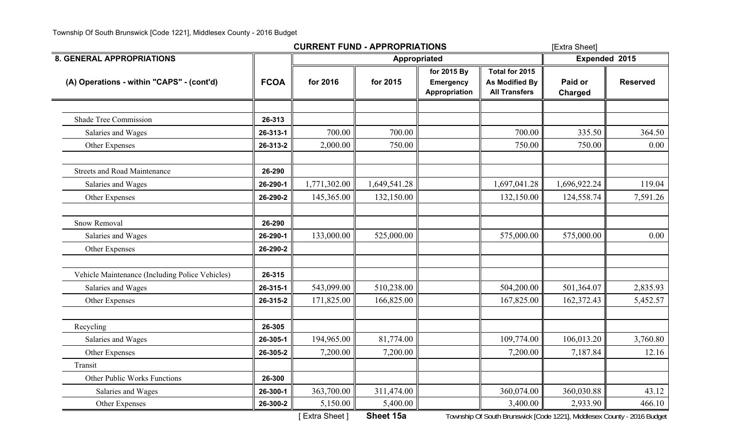|                                                 |             | <b>CURRENT FUND - APPROPRIATIONS</b> | [Extra Sheet]       |                                                  |                                                          |                           |                 |
|-------------------------------------------------|-------------|--------------------------------------|---------------------|--------------------------------------------------|----------------------------------------------------------|---------------------------|-----------------|
| <b>8. GENERAL APPROPRIATIONS</b>                |             |                                      | <b>Appropriated</b> | Expended 2015                                    |                                                          |                           |                 |
| (A) Operations - within "CAPS" - (cont'd)       | <b>FCOA</b> | for 2016                             | for 2015            | for 2015 By<br><b>Emergency</b><br>Appropriation | Total for 2015<br>As Modified By<br><b>All Transfers</b> | Paid or<br><b>Charged</b> | <b>Reserved</b> |
|                                                 |             |                                      |                     |                                                  |                                                          |                           |                 |
| <b>Shade Tree Commission</b>                    | 26-313      |                                      |                     |                                                  |                                                          |                           |                 |
| Salaries and Wages                              | 26-313-1    | 700.00                               | 700.00              |                                                  | 700.00                                                   | 335.50                    | 364.50          |
| Other Expenses                                  | 26-313-2    | 2,000.00                             | 750.00              |                                                  | 750.00                                                   | 750.00                    | 0.00            |
| <b>Streets and Road Maintenance</b>             | 26-290      |                                      |                     |                                                  |                                                          |                           |                 |
| Salaries and Wages                              | 26-290-1    | 1,771,302.00                         | 1,649,541.28        |                                                  | 1,697,041.28                                             | 1,696,922.24              | 119.04          |
| Other Expenses                                  | 26-290-2    | 145,365.00                           | 132,150.00          |                                                  | 132,150.00                                               | 124,558.74                | 7,591.26        |
| <b>Snow Removal</b>                             | 26-290      |                                      |                     |                                                  |                                                          |                           |                 |
| Salaries and Wages                              | 26-290-1    | 133,000.00                           | 525,000.00          |                                                  | 575,000.00                                               | 575,000.00                | 0.00            |
| Other Expenses                                  | 26-290-2    |                                      |                     |                                                  |                                                          |                           |                 |
| Vehicle Maintenance (Including Police Vehicles) | 26-315      |                                      |                     |                                                  |                                                          |                           |                 |
| Salaries and Wages                              | 26-315-1    | 543,099.00                           | 510,238.00          |                                                  | 504,200.00                                               | 501,364.07                | 2,835.93        |
| Other Expenses                                  | 26-315-2    | 171,825.00                           | 166,825.00          |                                                  | 167,825.00                                               | 162,372.43                | 5,452.57        |
| Recycling                                       | 26-305      |                                      |                     |                                                  |                                                          |                           |                 |
| Salaries and Wages                              | 26-305-1    | 194,965.00                           | 81,774.00           |                                                  | 109,774.00                                               | 106,013.20                | 3,760.80        |
| Other Expenses                                  | 26-305-2    | 7,200.00                             | 7,200.00            |                                                  | 7,200.00                                                 | 7,187.84                  | 12.16           |
| Transit                                         |             |                                      |                     |                                                  |                                                          |                           |                 |
| Other Public Works Functions                    | 26-300      |                                      |                     |                                                  |                                                          |                           |                 |
| Salaries and Wages                              | 26-300-1    | 363,700.00                           | 311,474.00          |                                                  | 360,074.00                                               | 360,030.88                | 43.12           |
| Other Expenses                                  | 26-300-2    | 5,150.00                             | 5,400.00            |                                                  | 3,400.00                                                 | 2,933.90                  | 466.10          |

[ Extra Sheet ] **Sheet 15a** Township Of South Brunswick [Code 1221], Middlesex County - 2016 Budget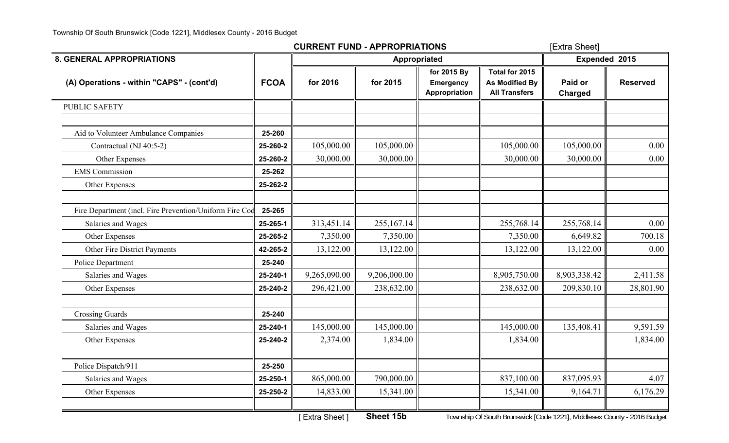|                                                         |             | <b>CURRENT FUND - APPROPRIATIONS</b>                          | [Extra Sheet]                                                        |                                                  |                                                                               |                           |                                |
|---------------------------------------------------------|-------------|---------------------------------------------------------------|----------------------------------------------------------------------|--------------------------------------------------|-------------------------------------------------------------------------------|---------------------------|--------------------------------|
| <b>8. GENERAL APPROPRIATIONS</b>                        |             |                                                               |                                                                      | <b>Appropriated</b>                              |                                                                               | Expended 2015             |                                |
| (A) Operations - within "CAPS" - (cont'd)               | <b>FCOA</b> | for 2016                                                      | for 2015                                                             | for 2015 By<br><b>Emergency</b><br>Appropriation | Total for 2015<br>As Modified By<br><b>All Transfers</b>                      | Paid or<br><b>Charged</b> | <b>Reserved</b>                |
| <b>PUBLIC SAFETY</b>                                    |             |                                                               |                                                                      |                                                  |                                                                               |                           |                                |
| Aid to Volunteer Ambulance Companies                    | 25-260      |                                                               |                                                                      |                                                  |                                                                               |                           |                                |
| Contractual (NJ 40:5-2)                                 | 25-260-2    | 105,000.00                                                    | 105,000.00                                                           |                                                  | 105,000.00                                                                    | 105,000.00                | 0.00                           |
| Other Expenses                                          | 25-260-2    | 30,000.00                                                     | 30,000.00                                                            |                                                  | 30,000.00                                                                     | 30,000.00                 | 0.00                           |
| <b>EMS</b> Commission                                   | 25-262      |                                                               |                                                                      |                                                  |                                                                               |                           |                                |
| Other Expenses                                          | 25-262-2    |                                                               |                                                                      |                                                  |                                                                               |                           |                                |
| Fire Department (incl. Fire Prevention/Uniform Fire Coo | 25-265      |                                                               |                                                                      |                                                  |                                                                               |                           |                                |
| Salaries and Wages                                      | 25-265-1    | 313,451.14                                                    | 255,167.14                                                           |                                                  | 255,768.14                                                                    | 255,768.14                | 0.00                           |
| Other Expenses                                          | 25-265-2    | 7,350.00                                                      | 7,350.00                                                             |                                                  | 7,350.00                                                                      | 6,649.82                  | 700.18                         |
| Other Fire District Payments                            | 42-265-2    | 13,122.00                                                     | 13,122.00                                                            |                                                  | 13,122.00                                                                     | 13,122.00                 | 0.00                           |
| Police Department                                       | 25-240      |                                                               |                                                                      |                                                  |                                                                               |                           |                                |
| Salaries and Wages                                      | 25-240-1    | 9,265,090.00                                                  | 9,206,000.00                                                         |                                                  | 8,905,750.00                                                                  | 8,903,338.42              | 2,411.58                       |
| Other Expenses                                          | 25-240-2    | 296,421.00                                                    | 238,632.00                                                           |                                                  | 238,632.00                                                                    | 209,830.10                | 28,801.90                      |
| <b>Crossing Guards</b>                                  | 25-240      |                                                               |                                                                      |                                                  |                                                                               |                           |                                |
| Salaries and Wages                                      | 25-240-1    | 145,000.00                                                    | 145,000.00                                                           |                                                  | 145,000.00                                                                    | 135,408.41                | 9,591.59                       |
| Other Expenses                                          | 25-240-2    | 2,374.00                                                      | 1,834.00                                                             |                                                  | 1,834.00                                                                      |                           | 1,834.00                       |
| Police Dispatch/911                                     | 25-250      |                                                               |                                                                      |                                                  |                                                                               |                           |                                |
| Salaries and Wages                                      | 25-250-1    | 865,000.00                                                    | 790,000.00                                                           |                                                  | 837,100.00                                                                    | 837,095.93                | 4.07                           |
| Other Expenses                                          | 25-250-2    | 14,833.00                                                     | 15,341.00                                                            |                                                  | 15,341.00                                                                     | 9,164.71                  | 6,176.29                       |
|                                                         |             | $\mathbf{r} = \mathbf{r} \times \mathbf{r} \times \mathbf{r}$ | $O$ <b><i>b</i></b> $\sim$ $\sim$ $\sim$ $\sim$ $\sim$ $\sim$ $\sim$ |                                                  | $T$ complete $\Omega$ C code Dirac codel $\Omega$ and 1991, Middle components |                           | $204L \cdot 2 \cdot 1 \cdot 1$ |

[ Extra Sheet ] **Sheet 15b** Township Of South Brunswick [Code 1221], Middlesex County - 2016 Budget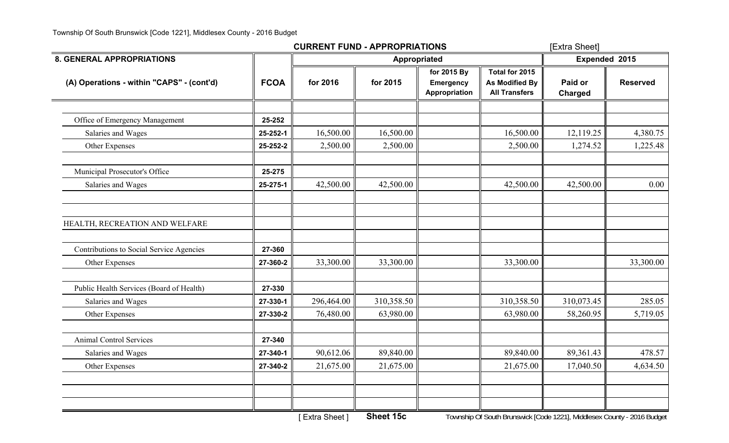|                                           |             | <b>CURRENT FUND - APPROPRIATIONS</b> | [Extra Sheet] |                                                  |                                                                 |                           |                 |
|-------------------------------------------|-------------|--------------------------------------|---------------|--------------------------------------------------|-----------------------------------------------------------------|---------------------------|-----------------|
| <b>8. GENERAL APPROPRIATIONS</b>          |             |                                      |               | Appropriated                                     |                                                                 | Expended 2015             |                 |
| (A) Operations - within "CAPS" - (cont'd) | <b>FCOA</b> | for 2016                             | for 2015      | for 2015 By<br><b>Emergency</b><br>Appropriation | Total for 2015<br><b>As Modified By</b><br><b>All Transfers</b> | Paid or<br><b>Charged</b> | <b>Reserved</b> |
| Office of Emergency Management            | 25-252      |                                      |               |                                                  |                                                                 |                           |                 |
| Salaries and Wages                        | 25-252-1    | 16,500.00                            | 16,500.00     |                                                  | 16,500.00                                                       | 12,119.25                 | 4,380.75        |
| Other Expenses                            | 25-252-2    | 2,500.00                             | 2,500.00      |                                                  | 2,500.00                                                        | 1,274.52                  | 1,225.48        |
| Municipal Prosecutor's Office             | 25-275      |                                      |               |                                                  |                                                                 |                           |                 |
| Salaries and Wages                        | 25-275-1    | 42,500.00                            | 42,500.00     |                                                  | 42,500.00                                                       | 42,500.00                 | 0.00            |
| HEALTH, RECREATION AND WELFARE            |             |                                      |               |                                                  |                                                                 |                           |                 |
| Contributions to Social Service Agencies  | 27-360      |                                      |               |                                                  |                                                                 |                           |                 |
| Other Expenses                            | 27-360-2    | 33,300.00                            | 33,300.00     |                                                  | 33,300.00                                                       |                           | 33,300.00       |
| Public Health Services (Board of Health)  | 27-330      |                                      |               |                                                  |                                                                 |                           |                 |
| Salaries and Wages                        | 27-330-1    | 296,464.00                           | 310,358.50    |                                                  | 310,358.50                                                      | 310,073.45                | 285.05          |
| Other Expenses                            | 27-330-2    | 76,480.00                            | 63,980.00     |                                                  | 63,980.00                                                       | 58,260.95                 | 5,719.05        |
| <b>Animal Control Services</b>            | 27-340      |                                      |               |                                                  |                                                                 |                           |                 |
| Salaries and Wages                        | 27-340-1    | 90,612.06                            | 89,840.00     |                                                  | 89,840.00                                                       | 89,361.43                 | 478.57          |
| Other Expenses                            | 27-340-2    | 21,675.00                            | 21,675.00     |                                                  | 21,675.00                                                       | 17,040.50                 | 4,634.50        |
|                                           |             |                                      |               |                                                  |                                                                 |                           |                 |
|                                           |             |                                      |               |                                                  |                                                                 |                           |                 |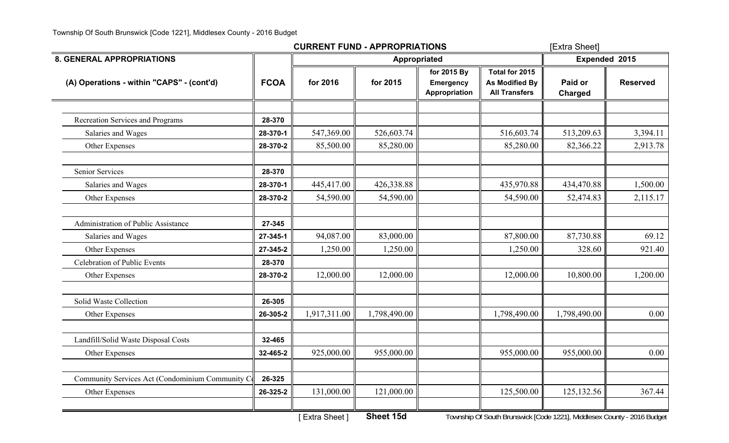|                                                           |              | [Extra Sheet] |                                                  |                                                                 |                           |                 |
|-----------------------------------------------------------|--------------|---------------|--------------------------------------------------|-----------------------------------------------------------------|---------------------------|-----------------|
|                                                           |              |               |                                                  |                                                                 | Expended 2015             |                 |
| <b>FCOA</b>                                               | for 2016     | for 2015      | for 2015 By<br><b>Emergency</b><br>Appropriation | Total for 2015<br><b>As Modified By</b><br><b>All Transfers</b> | Paid or<br><b>Charged</b> | <b>Reserved</b> |
|                                                           |              |               |                                                  |                                                                 |                           |                 |
|                                                           |              |               |                                                  |                                                                 |                           |                 |
| 28-370-1                                                  | 547,369.00   | 526,603.74    |                                                  | 516,603.74                                                      | 513,209.63                | 3,394.11        |
| 28-370-2                                                  | 85,500.00    | 85,280.00     |                                                  | 85,280.00                                                       | 82,366.22                 | 2,913.78        |
| 28-370                                                    |              |               |                                                  |                                                                 |                           |                 |
| 28-370-1                                                  | 445,417.00   | 426,338.88    |                                                  | 435,970.88                                                      | 434,470.88                | 1,500.00        |
| 28-370-2                                                  | 54,590.00    | 54,590.00     |                                                  | 54,590.00                                                       | 52,474.83                 | 2,115.17        |
| 27-345                                                    |              |               |                                                  |                                                                 |                           |                 |
| 27-345-1                                                  | 94,087.00    | 83,000.00     |                                                  | 87,800.00                                                       | 87,730.88                 | 69.12           |
| 27-345-2                                                  | 1,250.00     | 1,250.00      |                                                  | 1,250.00                                                        | 328.60                    | 921.40          |
| 28-370                                                    |              |               |                                                  |                                                                 |                           |                 |
| 28-370-2                                                  | 12,000.00    | 12,000.00     |                                                  | 12,000.00                                                       | 10,800.00                 | 1,200.00        |
| 26-305                                                    |              |               |                                                  |                                                                 |                           |                 |
| 26-305-2                                                  | 1,917,311.00 | 1,798,490.00  |                                                  | 1,798,490.00                                                    | 1,798,490.00              | 0.00            |
| 32-465                                                    |              |               |                                                  |                                                                 |                           |                 |
| 32-465-2                                                  | 925,000.00   | 955,000.00    |                                                  | 955,000.00                                                      | 955,000.00                | 0.00            |
| Community Services Act (Condominium Community C<br>26-325 |              |               |                                                  |                                                                 |                           |                 |
| 26-325-2                                                  | 131,000.00   | 121,000.00    |                                                  | 125,500.00                                                      | 125, 132.56               | 367.44          |
|                                                           | 28-370       |               |                                                  | <b>CURRENT FUND - APPROPRIATIONS</b><br>Appropriated            |                           |                 |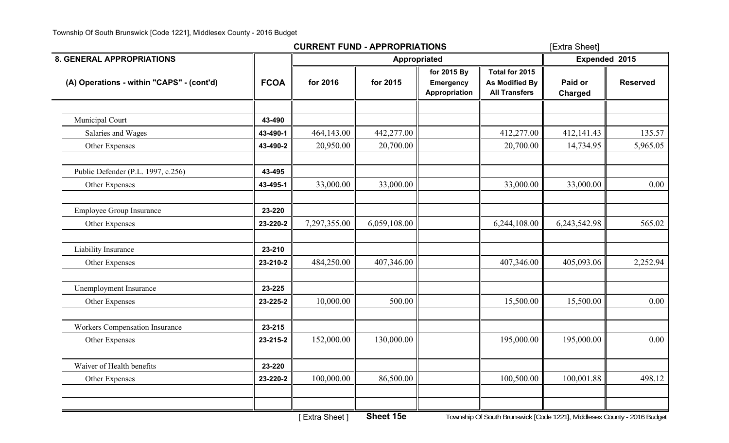|                                           |             | <b>CURRENT FUND - APPROPRIATIONS</b> |              |                                           |                                                          | [Extra Sheet]             |                 |  |
|-------------------------------------------|-------------|--------------------------------------|--------------|-------------------------------------------|----------------------------------------------------------|---------------------------|-----------------|--|
| <b>8. GENERAL APPROPRIATIONS</b>          |             |                                      |              | <b>Appropriated</b>                       |                                                          |                           | Expended 2015   |  |
| (A) Operations - within "CAPS" - (cont'd) | <b>FCOA</b> | for 2016                             | for 2015     | for 2015 By<br>Emergency<br>Appropriation | Total for 2015<br>As Modified By<br><b>All Transfers</b> | Paid or<br><b>Charged</b> | <b>Reserved</b> |  |
| Municipal Court                           | 43-490      |                                      |              |                                           |                                                          |                           |                 |  |
| Salaries and Wages                        | 43-490-1    | 464,143.00                           | 442,277.00   |                                           | 412,277.00                                               | 412,141.43                | 135.57          |  |
| Other Expenses                            | 43-490-2    | 20,950.00                            | 20,700.00    |                                           | 20,700.00                                                | 14,734.95                 | 5,965.05        |  |
| Public Defender (P.L. 1997, c.256)        | 43-495      |                                      |              |                                           |                                                          |                           |                 |  |
| Other Expenses                            | 43-495-1    | 33,000.00                            | 33,000.00    |                                           | 33,000.00                                                | 33,000.00                 | 0.00            |  |
| <b>Employee Group Insurance</b>           | 23-220      |                                      |              |                                           |                                                          |                           |                 |  |
| Other Expenses                            | 23-220-2    | 7,297,355.00                         | 6,059,108.00 |                                           | 6,244,108.00                                             | 6,243,542.98              | 565.02          |  |
| Liability Insurance                       | 23-210      |                                      |              |                                           |                                                          |                           |                 |  |
| Other Expenses                            | 23-210-2    | 484,250.00                           | 407,346.00   |                                           | 407,346.00                                               | 405,093.06                | 2,252.94        |  |
| Unemployment Insurance                    | 23-225      |                                      |              |                                           |                                                          |                           |                 |  |
| Other Expenses                            | 23-225-2    | 10,000.00                            | 500.00       |                                           | 15,500.00                                                | 15,500.00                 | 0.00            |  |
| <b>Workers Compensation Insurance</b>     | 23-215      |                                      |              |                                           |                                                          |                           |                 |  |
| Other Expenses                            | 23-215-2    | 152,000.00                           | 130,000.00   |                                           | 195,000.00                                               | 195,000.00                | 0.00            |  |
| Waiver of Health benefits                 | 23-220      |                                      |              |                                           |                                                          |                           |                 |  |
| Other Expenses                            | 23-220-2    | 100,000.00                           | 86,500.00    |                                           | 100,500.00                                               | 100,001.88                | 498.12          |  |
|                                           |             |                                      |              |                                           |                                                          |                           |                 |  |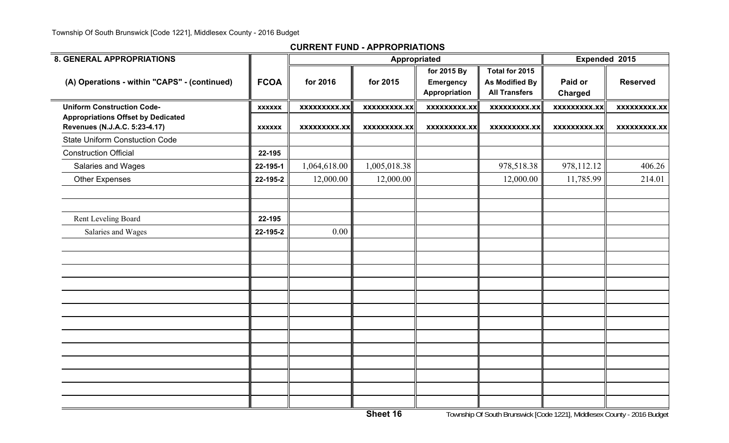| <b>8. GENERAL APPROPRIATIONS</b>                                           |               |                     | Appropriated        |                                                  |                                                          | Expended 2015             |                     |
|----------------------------------------------------------------------------|---------------|---------------------|---------------------|--------------------------------------------------|----------------------------------------------------------|---------------------------|---------------------|
| (A) Operations - within "CAPS" - (continued)                               | <b>FCOA</b>   | for 2016            | for 2015            | for 2015 By<br><b>Emergency</b><br>Appropriation | Total for 2015<br>As Modified By<br><b>All Transfers</b> | Paid or<br><b>Charged</b> | <b>Reserved</b>     |
| <b>Uniform Construction Code-</b>                                          | <b>XXXXXX</b> | <b>XXXXXXXXX.XX</b> | <b>XXXXXXXXX.XX</b> | xxxxxxxxx.xx                                     | <b>XXXXXXXXX.XX</b>                                      | <b>XXXXXXXXX.XX</b>       | <b>XXXXXXXXX.XX</b> |
| <b>Appropriations Offset by Dedicated</b><br>Revenues (N.J.A.C. 5:23-4.17) | <b>XXXXXX</b> | <b>XXXXXXXXX.XX</b> | <b>XXXXXXXXX.XX</b> | <b>XXXXXXXXX.XX</b>                              | <b>XXXXXXXXX.XX</b>                                      | <b>XXXXXXXXX.XX</b>       | <b>XXXXXXXXX.XX</b> |
| <b>State Uniform Constuction Code</b>                                      |               |                     |                     |                                                  |                                                          |                           |                     |
| <b>Construction Official</b>                                               | 22-195        |                     |                     |                                                  |                                                          |                           |                     |
| Salaries and Wages                                                         | 22-195-1      | 1,064,618.00        | 1,005,018.38        |                                                  | 978,518.38                                               | 978,112.12                | 406.26              |
| <b>Other Expenses</b>                                                      | 22-195-2      | 12,000.00           | 12,000.00           |                                                  | 12,000.00                                                | 11,785.99                 | 214.01              |
|                                                                            |               |                     |                     |                                                  |                                                          |                           |                     |
| Rent Leveling Board                                                        | 22-195        |                     |                     |                                                  |                                                          |                           |                     |
| Salaries and Wages                                                         | 22-195-2      | 0.00                |                     |                                                  |                                                          |                           |                     |
|                                                                            |               |                     |                     |                                                  |                                                          |                           |                     |
|                                                                            |               |                     |                     |                                                  |                                                          |                           |                     |
|                                                                            |               |                     |                     |                                                  |                                                          |                           |                     |
|                                                                            |               |                     |                     |                                                  |                                                          |                           |                     |
|                                                                            |               |                     |                     |                                                  |                                                          |                           |                     |
|                                                                            |               |                     |                     |                                                  |                                                          |                           |                     |
|                                                                            |               |                     |                     |                                                  |                                                          |                           |                     |
|                                                                            |               |                     |                     |                                                  |                                                          |                           |                     |
|                                                                            |               |                     |                     |                                                  |                                                          |                           |                     |
|                                                                            |               |                     |                     |                                                  |                                                          |                           |                     |
|                                                                            |               |                     |                     |                                                  |                                                          |                           |                     |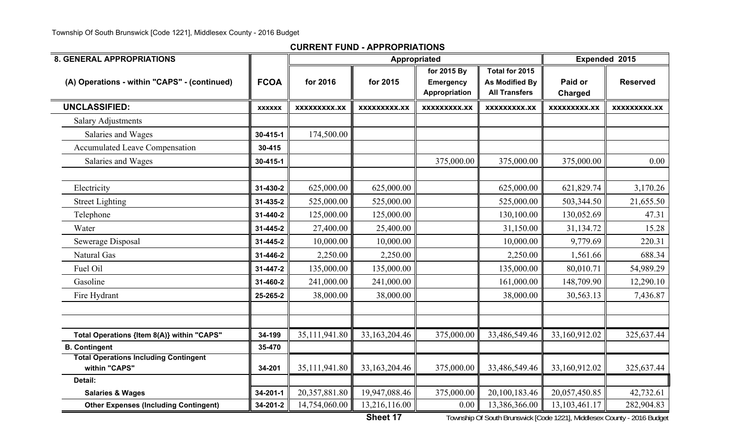| <b>8. GENERAL APPROPRIATIONS</b>                              |                |               |               | Appropriated                    |                                         |                     | Expended 2015       |  |
|---------------------------------------------------------------|----------------|---------------|---------------|---------------------------------|-----------------------------------------|---------------------|---------------------|--|
| (A) Operations - within "CAPS" - (continued)                  | <b>FCOA</b>    | for 2016      | for 2015      | for 2015 By<br><b>Emergency</b> | Total for 2015<br><b>As Modified By</b> | Paid or             | <b>Reserved</b>     |  |
|                                                               |                |               |               | Appropriation                   | <b>All Transfers</b>                    | <b>Charged</b>      |                     |  |
| <b>UNCLASSIFIED:</b>                                          | <b>XXXXXX</b>  | XXXXXXXXX.XX  | XXXXXXXXX.XX  | <b>XXXXXXXXX.XX</b>             | XXXXXXXXX.XX                            | <b>XXXXXXXXX.XX</b> | <b>XXXXXXXXX.XX</b> |  |
| <b>Salary Adjustments</b>                                     |                |               |               |                                 |                                         |                     |                     |  |
| Salaries and Wages                                            | 30-415-1       | 174,500.00    |               |                                 |                                         |                     |                     |  |
| <b>Accumulated Leave Compensation</b>                         | 30-415         |               |               |                                 |                                         |                     |                     |  |
| Salaries and Wages                                            | 30-415-1       |               |               | 375,000.00                      | 375,000.00                              | 375,000.00          | 0.00                |  |
|                                                               |                |               |               |                                 |                                         |                     |                     |  |
| Electricity                                                   | 31-430-2       | 625,000.00    | 625,000.00    |                                 | 625,000.00                              | 621,829.74          | 3,170.26            |  |
| <b>Street Lighting</b>                                        | $31 - 435 - 2$ | 525,000.00    | 525,000.00    |                                 | 525,000.00                              | 503,344.50          | 21,655.50           |  |
| Telephone                                                     | 31-440-2       | 125,000.00    | 125,000.00    |                                 | 130,100.00                              | 130,052.69          | 47.31               |  |
| Water                                                         | $31 - 445 - 2$ | 27,400.00     | 25,400.00     |                                 | 31,150.00                               | 31,134.72           | 15.28               |  |
| Sewerage Disposal                                             | 31-445-2       | 10,000.00     | 10,000.00     |                                 | 10,000.00                               | 9,779.69            | 220.31              |  |
| <b>Natural Gas</b>                                            | 31-446-2       | 2,250.00      | 2,250.00      |                                 | 2,250.00                                | 1,561.66            | 688.34              |  |
| Fuel Oil                                                      | 31-447-2       | 135,000.00    | 135,000.00    |                                 | 135,000.00                              | 80,010.71           | 54,989.29           |  |
| Gasoline                                                      | 31-460-2       | 241,000.00    | 241,000.00    |                                 | 161,000.00                              | 148,709.90          | 12,290.10           |  |
| Fire Hydrant                                                  | 25-265-2       | 38,000.00     | 38,000.00     |                                 | 38,000.00                               | 30,563.13           | 7,436.87            |  |
|                                                               |                |               |               |                                 |                                         |                     |                     |  |
|                                                               |                |               |               |                                 |                                         |                     |                     |  |
| Total Operations {Item 8(A)} within "CAPS"                    | 34-199         | 35,111,941.80 | 33,163,204.46 | 375,000.00                      | 33,486,549.46                           | 33,160,912.02       | 325,637.44          |  |
| <b>B. Contingent</b>                                          | 35-470         |               |               |                                 |                                         |                     |                     |  |
| <b>Total Operations Including Contingent</b><br>within "CAPS" | 34-201         | 35,111,941.80 | 33,163,204.46 | 375,000.00                      | 33,486,549.46                           | 33,160,912.02       | 325,637.44          |  |
| Detail:                                                       |                |               |               |                                 |                                         |                     |                     |  |
| <b>Salaries &amp; Wages</b>                                   | 34-201-1       | 20,357,881.80 | 19,947,088.46 | 375,000.00                      | 20,100,183.46                           | 20,057,450.85       | 42,732.61           |  |
| <b>Other Expenses (Including Contingent)</b>                  | 34-201-2       | 14,754,060.00 | 13,216,116.00 | 0.00                            | 13,386,366.00                           | 13, 103, 461. 17    | 282,904.83          |  |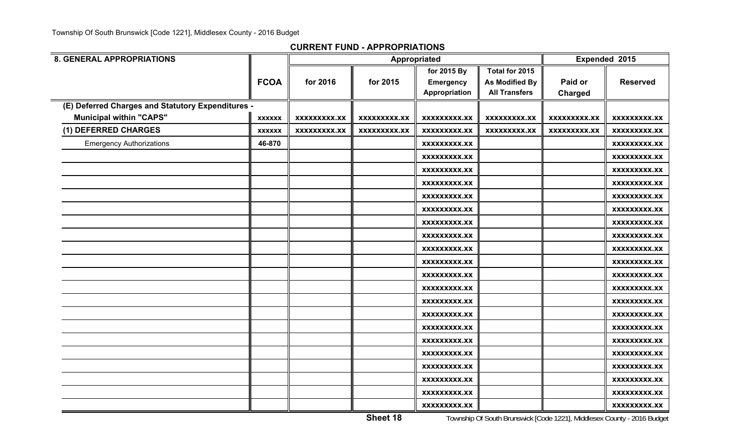**CURRENT FUND - APPROPRIATIONS**

| <b>8. GENERAL APPROPRIATIONS</b>                  |               |                     |                     | Appropriated        |                      | Expended 2015       |                     |
|---------------------------------------------------|---------------|---------------------|---------------------|---------------------|----------------------|---------------------|---------------------|
|                                                   |               |                     |                     | for 2015 By         | Total for 2015       |                     |                     |
|                                                   | <b>FCOA</b>   | for 2016            | for 2015            | <b>Emergency</b>    | As Modified By       | Paid or             | <b>Reserved</b>     |
|                                                   |               |                     |                     | Appropriation       | <b>All Transfers</b> | <b>Charged</b>      |                     |
| (E) Deferred Charges and Statutory Expenditures - |               |                     |                     |                     |                      |                     |                     |
| <b>Municipal within "CAPS"</b>                    | <b>XXXXXX</b> | XXXXXXXXX.XX        | <b>XXXXXXXXX.XX</b> | XXXXXXXXX.XX        | <b>XXXXXXXXX.XX</b>  | XXXXXXXXX.XX        | XXXXXXXXX.XX        |
| (1) DEFERRED CHARGES                              | <b>XXXXXX</b> | <b>XXXXXXXXX.XX</b> | <b>XXXXXXXXX.XX</b> | <b>XXXXXXXXX.XX</b> | XXXXXXXXX.XX         | <b>XXXXXXXXX.XX</b> | <b>XXXXXXXXX.XX</b> |
| <b>Emergency Authorizations</b>                   | 46-870        |                     |                     | XXXXXXXXX.XX        |                      |                     | <b>XXXXXXXXX.XX</b> |
|                                                   |               |                     |                     | <b>XXXXXXXXX.XX</b> |                      |                     | <b>XXXXXXXXX.XX</b> |
|                                                   |               |                     |                     | XXXXXXXXX.XX        |                      |                     | <b>XXXXXXXXX.XX</b> |
|                                                   |               |                     |                     | XXXXXXXXX.XX        |                      |                     | XXXXXXXXX.XX        |
|                                                   |               |                     |                     | <b>XXXXXXXXX.XX</b> |                      |                     | <b>XXXXXXXXX.XX</b> |
|                                                   |               |                     |                     | XXXXXXXXX.XX        |                      |                     | <b>XXXXXXXXX.XX</b> |
|                                                   |               |                     |                     | XXXXXXXXX.XX        |                      |                     | XXXXXXXXX.XX        |
|                                                   |               |                     |                     | XXXXXXXXX.XX        |                      |                     | <b>XXXXXXXXX.XX</b> |
|                                                   |               |                     |                     | XXXXXXXXX.XX        |                      |                     | <b>XXXXXXXXX.XX</b> |
|                                                   |               |                     |                     | <b>XXXXXXXXX.XX</b> |                      |                     | XXXXXXXXX.XX        |
|                                                   |               |                     |                     | XXXXXXXXX.XX        |                      |                     | <b>XXXXXXXXX.XX</b> |
|                                                   |               |                     |                     | <b>XXXXXXXXX.XX</b> |                      |                     | <b>XXXXXXXXX.XX</b> |
|                                                   |               |                     |                     | <b>XXXXXXXXX.XX</b> |                      |                     | <b>XXXXXXXXX.XX</b> |
|                                                   |               |                     |                     | <b>XXXXXXXXX.XX</b> |                      |                     | <b>XXXXXXXXX.XX</b> |
|                                                   |               |                     |                     | XXXXXXXXX.XX        |                      |                     | XXXXXXXXX.XX        |
|                                                   |               |                     |                     | XXXXXXXXX.XX        |                      |                     | <b>XXXXXXXXX.XX</b> |
|                                                   |               |                     |                     | <b>XXXXXXXXX.XX</b> |                      |                     | <b>XXXXXXXXX.XX</b> |
|                                                   |               |                     |                     | XXXXXXXXX.XX        |                      |                     | XXXXXXXXX.XX        |
|                                                   |               |                     |                     | <b>XXXXXXXXX.XX</b> |                      |                     | XXXXXXXXX.XX        |
|                                                   |               |                     |                     | XXXXXXXXX.XX        |                      |                     | XXXXXXXXX.XX        |
|                                                   |               |                     |                     | XXXXXXXXX.XX        |                      |                     | <b>XXXXXXXXX.XX</b> |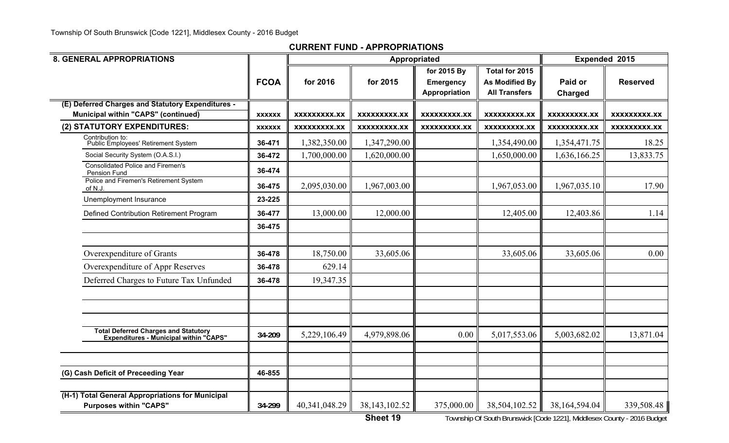| <b>8. GENERAL APPROPRIATIONS</b>                                                         |               |                     |                     | Appropriated                                            |                                                                 | Expended 2015       |                     |
|------------------------------------------------------------------------------------------|---------------|---------------------|---------------------|---------------------------------------------------------|-----------------------------------------------------------------|---------------------|---------------------|
|                                                                                          | <b>FCOA</b>   | for 2016            | for 2015            | for 2015 By<br><b>Emergency</b><br><b>Appropriation</b> | Total for 2015<br><b>As Modified By</b><br><b>All Transfers</b> | Paid or<br>Charged  | <b>Reserved</b>     |
| (E) Deferred Charges and Statutory Expenditures -<br>Municipal within "CAPS" (continued) | <b>XXXXXX</b> | XXXXXXXXX.XX        | <b>XXXXXXXXX.XX</b> | <b>XXXXXXXXX.XX</b>                                     | <b>XXXXXXXXX.XX</b>                                             | <b>XXXXXXXXX.XX</b> | <b>XXXXXXXXX.XX</b> |
| (2) STATUTORY EXPENDITURES:                                                              | <b>XXXXXX</b> | <b>XXXXXXXXX.XX</b> | <b>XXXXXXXXX.XX</b> | <b>XXXXXXXXX.XX</b>                                     | XXXXXXXXX.XX                                                    | <b>XXXXXXXXX.XX</b> | XXXXXXXXX.XX        |
| Contribution to:<br>Public Employees' Retirement System                                  | 36-471        | 1,382,350.00        | 1,347,290.00        |                                                         | 1,354,490.00                                                    | 1,354,471.75        | 18.25               |
| Social Security System (O.A.S.I.)                                                        | 36-472        | 1,700,000.00        | 1,620,000.00        |                                                         | 1,650,000.00                                                    | 1,636,166.25        | 13,833.75           |
| <b>Consolidated Police and Firemen's</b><br>Pension Fund                                 | 36-474        |                     |                     |                                                         |                                                                 |                     |                     |
| Police and Firemen's Retirement System<br>of N.J.                                        | 36-475        | 2,095,030.00        | 1,967,003.00        |                                                         | 1,967,053.00                                                    | 1,967,035.10        | 17.90               |
| Unemployment Insurance                                                                   | 23-225        |                     |                     |                                                         |                                                                 |                     |                     |
| Defined Contribution Retirement Program                                                  | 36-477        | 13,000.00           | 12,000.00           |                                                         | 12,405.00                                                       | 12,403.86           | 1.14                |
|                                                                                          | 36-475        |                     |                     |                                                         |                                                                 |                     |                     |
| Overexpenditure of Grants                                                                | 36-478        | 18,750.00           | 33,605.06           |                                                         | 33,605.06                                                       | 33,605.06           | 0.00                |
| Overexpenditure of Appr Reserves                                                         | 36-478        | 629.14              |                     |                                                         |                                                                 |                     |                     |
| Deferred Charges to Future Tax Unfunded                                                  | 36-478        | 19,347.35           |                     |                                                         |                                                                 |                     |                     |
|                                                                                          |               |                     |                     |                                                         |                                                                 |                     |                     |
| Total Deferred Charges and Statutory<br>Expenditures - Municipal within "CAPS"           | 34-209        | 5,229,106.49        | 4,979,898.06        | 0.00                                                    | 5,017,553.06                                                    | 5,003,682.02        | 13,871.04           |
| (G) Cash Deficit of Preceeding Year                                                      | 46-855        |                     |                     |                                                         |                                                                 |                     |                     |
| (H-1) Total General Appropriations for Municipal<br><b>Purposes within "CAPS"</b>        | 34-299        | 40,341,048.29       | 38, 143, 102.52     | 375,000.00                                              | 38,504,102.52                                                   | 38,164,594.04       | 339,508.48          |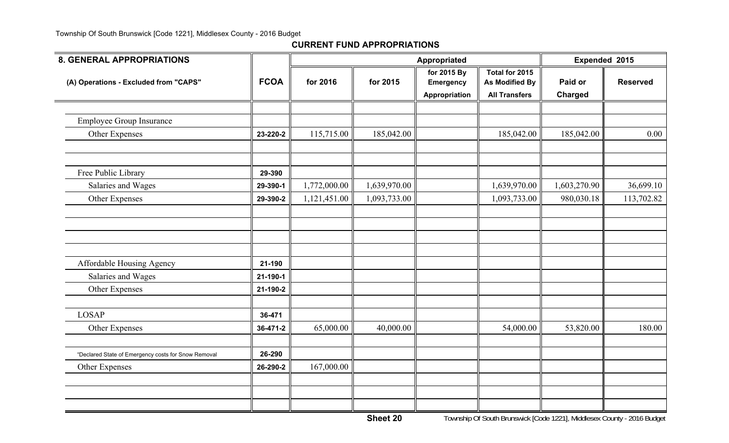| <b>8. GENERAL APPROPRIATIONS</b>                    |             |              |              | <b>Appropriated</b>             |                                         | Expended 2015 |                 |
|-----------------------------------------------------|-------------|--------------|--------------|---------------------------------|-----------------------------------------|---------------|-----------------|
| (A) Operations - Excluded from "CAPS"               | <b>FCOA</b> | for 2016     | for 2015     | for 2015 By<br><b>Emergency</b> | Total for 2015<br><b>As Modified By</b> | Paid or       | <b>Reserved</b> |
|                                                     |             |              |              | Appropriation                   | <b>All Transfers</b>                    | Charged       |                 |
|                                                     |             |              |              |                                 |                                         |               |                 |
| <b>Employee Group Insurance</b>                     |             |              |              |                                 |                                         |               |                 |
| Other Expenses                                      | 23-220-2    | 115,715.00   | 185,042.00   |                                 | 185,042.00                              | 185,042.00    | 0.00            |
|                                                     |             |              |              |                                 |                                         |               |                 |
| Free Public Library                                 | 29-390      |              |              |                                 |                                         |               |                 |
| Salaries and Wages                                  | 29-390-1    | 1,772,000.00 | 1,639,970.00 |                                 | 1,639,970.00                            | 1,603,270.90  | 36,699.10       |
| Other Expenses                                      | 29-390-2    | 1,121,451.00 | 1,093,733.00 |                                 | 1,093,733.00                            | 980,030.18    | 113,702.82      |
|                                                     |             |              |              |                                 |                                         |               |                 |
|                                                     |             |              |              |                                 |                                         |               |                 |
|                                                     |             |              |              |                                 |                                         |               |                 |
|                                                     |             |              |              |                                 |                                         |               |                 |
| Affordable Housing Agency                           | 21-190      |              |              |                                 |                                         |               |                 |
| Salaries and Wages                                  | 21-190-1    |              |              |                                 |                                         |               |                 |
| Other Expenses                                      | 21-190-2    |              |              |                                 |                                         |               |                 |
|                                                     |             |              |              |                                 |                                         |               |                 |
| <b>LOSAP</b>                                        | 36-471      |              |              |                                 |                                         |               |                 |
| Other Expenses                                      | 36-471-2    | 65,000.00    | 40,000.00    |                                 | 54,000.00                               | 53,820.00     | 180.00          |
|                                                     |             |              |              |                                 |                                         |               |                 |
| "Declared State of Emergency costs for Snow Removal | 26-290      |              |              |                                 |                                         |               |                 |
| Other Expenses                                      | 26-290-2    | 167,000.00   |              |                                 |                                         |               |                 |
|                                                     |             |              |              |                                 |                                         |               |                 |
|                                                     |             |              |              |                                 |                                         |               |                 |
|                                                     |             |              |              |                                 |                                         |               |                 |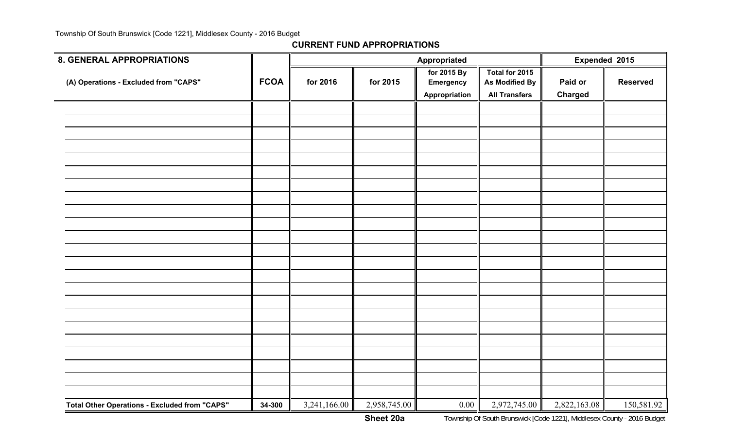| 8. GENERAL APPROPRIATIONS                            |             |              |              | Expended 2015                                    |                                                          |                           |                 |
|------------------------------------------------------|-------------|--------------|--------------|--------------------------------------------------|----------------------------------------------------------|---------------------------|-----------------|
| (A) Operations - Excluded from "CAPS"                | <b>FCOA</b> | for 2016     | for 2015     | for 2015 By<br><b>Emergency</b><br>Appropriation | Total for 2015<br>As Modified By<br><b>All Transfers</b> | Paid or<br><b>Charged</b> | <b>Reserved</b> |
|                                                      |             |              |              |                                                  |                                                          |                           |                 |
|                                                      |             |              |              |                                                  |                                                          |                           |                 |
|                                                      |             |              |              |                                                  |                                                          |                           |                 |
|                                                      |             |              |              |                                                  |                                                          |                           |                 |
|                                                      |             |              |              |                                                  |                                                          |                           |                 |
|                                                      |             |              |              |                                                  |                                                          |                           |                 |
|                                                      |             |              |              |                                                  |                                                          |                           |                 |
|                                                      |             |              |              |                                                  |                                                          |                           |                 |
|                                                      |             |              |              |                                                  |                                                          |                           |                 |
|                                                      |             |              |              |                                                  |                                                          |                           |                 |
|                                                      |             |              |              |                                                  |                                                          |                           |                 |
|                                                      |             |              |              |                                                  |                                                          |                           |                 |
|                                                      |             |              |              |                                                  |                                                          |                           |                 |
|                                                      |             |              |              |                                                  |                                                          |                           |                 |
|                                                      |             |              |              |                                                  |                                                          |                           |                 |
|                                                      |             |              |              |                                                  |                                                          |                           |                 |
|                                                      |             |              |              |                                                  |                                                          |                           |                 |
|                                                      |             |              |              |                                                  |                                                          |                           |                 |
|                                                      |             |              |              |                                                  |                                                          |                           |                 |
|                                                      |             |              |              |                                                  |                                                          |                           |                 |
|                                                      |             |              |              |                                                  |                                                          |                           |                 |
| <b>Total Other Operations - Excluded from "CAPS"</b> | 34-300      | 3,241,166.00 | 2,958,745.00 | 0.00                                             | 2,972,745.00                                             | 2,822,163.08              | 150,581.92      |
|                                                      |             |              |              |                                                  |                                                          |                           |                 |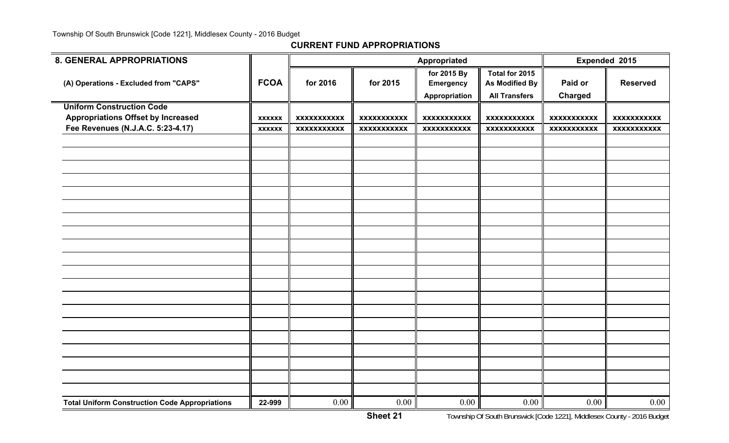| <b>8. GENERAL APPROPRIATIONS</b>                      |               |                    |                    | Appropriated       |                       |                    | Expended 2015      |
|-------------------------------------------------------|---------------|--------------------|--------------------|--------------------|-----------------------|--------------------|--------------------|
|                                                       |               |                    |                    | for 2015 By        | Total for 2015        |                    |                    |
| (A) Operations - Excluded from "CAPS"                 | <b>FCOA</b>   | for 2016           | for 2015           | <b>Emergency</b>   | <b>As Modified By</b> | Paid or            | <b>Reserved</b>    |
|                                                       |               |                    |                    | Appropriation      | <b>All Transfers</b>  | Charged            |                    |
| <b>Uniform Construction Code</b>                      |               |                    |                    |                    |                       |                    |                    |
| <b>Appropriations Offset by Increased</b>             | <b>XXXXXX</b> | <b>XXXXXXXXXXX</b> | <b>XXXXXXXXXXX</b> | <b>XXXXXXXXXXX</b> | <b>XXXXXXXXXXX</b>    | <b>XXXXXXXXXXX</b> | <b>XXXXXXXXXXX</b> |
| Fee Revenues (N.J.A.C. 5:23-4.17)                     | <b>XXXXXX</b> | <b>XXXXXXXXXXX</b> | <b>XXXXXXXXXXX</b> | <b>XXXXXXXXXXX</b> | <b>XXXXXXXXXXX</b>    | <b>XXXXXXXXXXX</b> | <b>XXXXXXXXXXX</b> |
|                                                       |               |                    |                    |                    |                       |                    |                    |
|                                                       |               |                    |                    |                    |                       |                    |                    |
|                                                       |               |                    |                    |                    |                       |                    |                    |
|                                                       |               |                    |                    |                    |                       |                    |                    |
|                                                       |               |                    |                    |                    |                       |                    |                    |
|                                                       |               |                    |                    |                    |                       |                    |                    |
|                                                       |               |                    |                    |                    |                       |                    |                    |
|                                                       |               |                    |                    |                    |                       |                    |                    |
|                                                       |               |                    |                    |                    |                       |                    |                    |
|                                                       |               |                    |                    |                    |                       |                    |                    |
|                                                       |               |                    |                    |                    |                       |                    |                    |
|                                                       |               |                    |                    |                    |                       |                    |                    |
|                                                       |               |                    |                    |                    |                       |                    |                    |
|                                                       |               |                    |                    |                    |                       |                    |                    |
|                                                       |               |                    |                    |                    |                       |                    |                    |
|                                                       |               |                    |                    |                    |                       |                    |                    |
|                                                       |               |                    |                    |                    |                       |                    |                    |
|                                                       |               |                    |                    |                    |                       |                    |                    |
|                                                       |               |                    |                    |                    |                       |                    |                    |
|                                                       |               |                    |                    |                    |                       |                    |                    |
| <b>Total Uniform Construction Code Appropriations</b> | 22-999        | 0.00               | 0.00               | 0.00               | 0.00                  | 0.00               | 0.00               |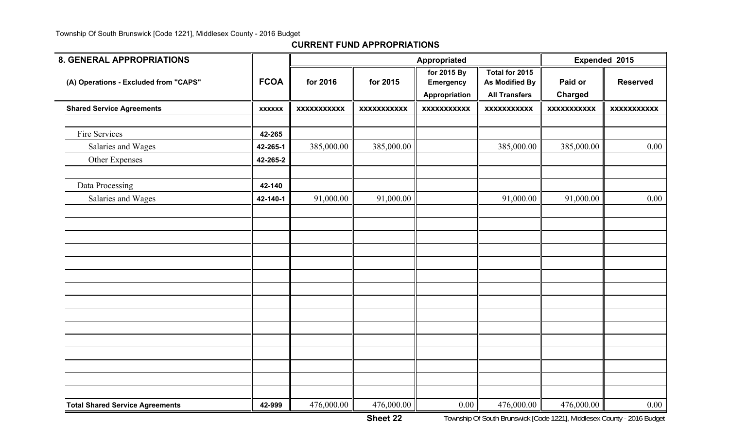|               |                    |                    | Appropriated                    |                                         |                                    | Expended 2015         |
|---------------|--------------------|--------------------|---------------------------------|-----------------------------------------|------------------------------------|-----------------------|
| <b>FCOA</b>   | for 2016           | for 2015           | for 2015 By<br><b>Emergency</b> | Total for 2015<br><b>As Modified By</b> | Paid or                            | <b>Reserved</b>       |
| <b>XXXXXX</b> | <b>XXXXXXXXXXX</b> | <b>XXXXXXXXXXX</b> | <b>XXXXXXXXXXX</b>              | <b>XXXXXXXXXXX</b>                      | <b>XXXXXXXXXXX</b>                 | <b>XXXXXXXXXXX</b>    |
|               |                    |                    |                                 |                                         |                                    |                       |
| 42-265        |                    |                    |                                 |                                         |                                    |                       |
| 42-265-1      | 385,000.00         | 385,000.00         |                                 | 385,000.00                              | 385,000.00                         | 0.00                  |
| 42-265-2      |                    |                    |                                 |                                         |                                    |                       |
|               |                    |                    |                                 |                                         |                                    |                       |
| 42-140-1      | 91,000.00          | 91,000.00          |                                 | 91,000.00                               | 91,000.00                          | 0.00                  |
|               |                    |                    |                                 |                                         |                                    |                       |
|               |                    |                    |                                 |                                         |                                    |                       |
|               |                    |                    |                                 |                                         |                                    |                       |
|               |                    |                    |                                 |                                         |                                    |                       |
|               |                    |                    |                                 |                                         |                                    |                       |
|               |                    |                    |                                 |                                         |                                    |                       |
|               |                    |                    |                                 |                                         |                                    |                       |
|               |                    |                    |                                 |                                         |                                    |                       |
|               |                    |                    |                                 |                                         |                                    |                       |
|               |                    |                    |                                 |                                         |                                    |                       |
|               |                    |                    |                                 |                                         |                                    |                       |
|               |                    |                    |                                 |                                         |                                    |                       |
|               |                    |                    |                                 |                                         |                                    |                       |
|               |                    |                    |                                 |                                         |                                    |                       |
|               |                    |                    |                                 |                                         |                                    | 0.00                  |
|               | 42-140<br>42-999   | 476,000.00         | 476,000.00                      | Appropriation<br>0.00                   | <b>All Transfers</b><br>476,000.00 | Charged<br>476,000.00 |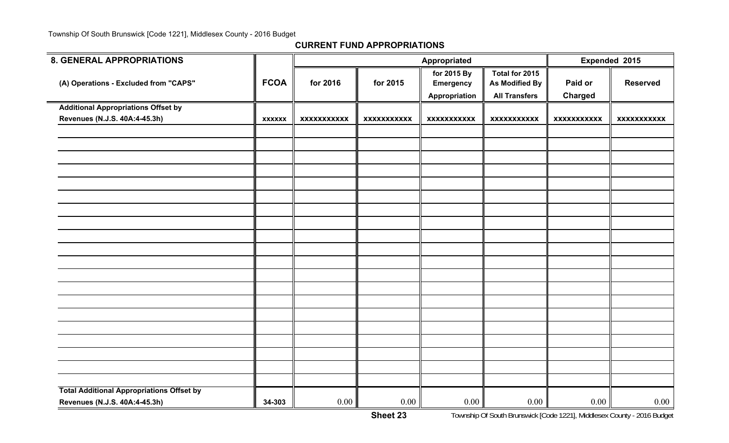| <b>8. GENERAL APPROPRIATIONS</b>                 |               |                    |                    | Appropriated                                     |                                                                 |                           | Expended 2015   |
|--------------------------------------------------|---------------|--------------------|--------------------|--------------------------------------------------|-----------------------------------------------------------------|---------------------------|-----------------|
| (A) Operations - Excluded from "CAPS"            | <b>FCOA</b>   | for 2016           | for 2015           | for 2015 By<br><b>Emergency</b><br>Appropriation | Total for 2015<br><b>As Modified By</b><br><b>All Transfers</b> | Paid or<br><b>Charged</b> | <b>Reserved</b> |
| <b>Additional Appropriations Offset by</b>       |               |                    |                    |                                                  |                                                                 |                           |                 |
| Revenues (N.J.S. 40A:4-45.3h)                    | <b>XXXXXX</b> | <b>XXXXXXXXXXX</b> | <b>XXXXXXXXXXX</b> | <b>XXXXXXXXXXX</b>                               | <b>XXXXXXXXXXX</b>                                              | <b>XXXXXXXXXXX</b>        | XXXXXXXXXXX     |
|                                                  |               |                    |                    |                                                  |                                                                 |                           |                 |
|                                                  |               |                    |                    |                                                  |                                                                 |                           |                 |
|                                                  |               |                    |                    |                                                  |                                                                 |                           |                 |
|                                                  |               |                    |                    |                                                  |                                                                 |                           |                 |
|                                                  |               |                    |                    |                                                  |                                                                 |                           |                 |
|                                                  |               |                    |                    |                                                  |                                                                 |                           |                 |
|                                                  |               |                    |                    |                                                  |                                                                 |                           |                 |
|                                                  |               |                    |                    |                                                  |                                                                 |                           |                 |
|                                                  |               |                    |                    |                                                  |                                                                 |                           |                 |
|                                                  |               |                    |                    |                                                  |                                                                 |                           |                 |
|                                                  |               |                    |                    |                                                  |                                                                 |                           |                 |
|                                                  |               |                    |                    |                                                  |                                                                 |                           |                 |
|                                                  |               |                    |                    |                                                  |                                                                 |                           |                 |
|                                                  |               |                    |                    |                                                  |                                                                 |                           |                 |
|                                                  |               |                    |                    |                                                  |                                                                 |                           |                 |
|                                                  |               |                    |                    |                                                  |                                                                 |                           |                 |
|                                                  |               |                    |                    |                                                  |                                                                 |                           |                 |
|                                                  |               |                    |                    |                                                  |                                                                 |                           |                 |
|                                                  |               |                    |                    |                                                  |                                                                 |                           |                 |
| <b>Total Additional Appropriations Offset by</b> |               |                    |                    |                                                  |                                                                 |                           |                 |
| Revenues (N.J.S. 40A:4-45.3h)                    | 34-303        | 0.00               | 0.00               | 0.00                                             | 0.00                                                            | 0.00                      | 0.00            |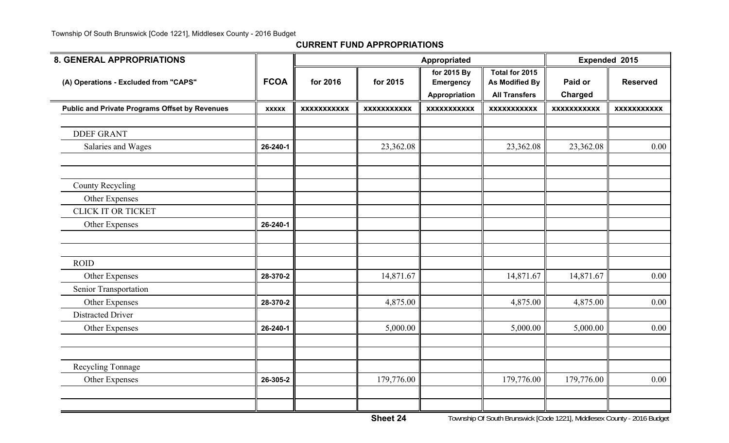| <b>8. GENERAL APPROPRIATIONS</b>                      |              |                    |                    | Appropriated                                     |                                                                 |                           | Expended 2015      |
|-------------------------------------------------------|--------------|--------------------|--------------------|--------------------------------------------------|-----------------------------------------------------------------|---------------------------|--------------------|
| (A) Operations - Excluded from "CAPS"                 | <b>FCOA</b>  | for 2016           | for 2015           | for 2015 By<br><b>Emergency</b><br>Appropriation | Total for 2015<br><b>As Modified By</b><br><b>All Transfers</b> | Paid or<br><b>Charged</b> | <b>Reserved</b>    |
| <b>Public and Private Programs Offset by Revenues</b> | <b>XXXXX</b> | <b>XXXXXXXXXXX</b> | <b>XXXXXXXXXXX</b> | <b>XXXXXXXXXXX</b>                               | <b>XXXXXXXXXXX</b>                                              | <b>XXXXXXXXXXX</b>        | <b>XXXXXXXXXXX</b> |
| <b>DDEF GRANT</b>                                     |              |                    |                    |                                                  |                                                                 |                           |                    |
| Salaries and Wages                                    | 26-240-1     |                    | 23,362.08          |                                                  | 23,362.08                                                       | 23,362.08                 | 0.00               |
|                                                       |              |                    |                    |                                                  |                                                                 |                           |                    |
| County Recycling                                      |              |                    |                    |                                                  |                                                                 |                           |                    |
| Other Expenses                                        |              |                    |                    |                                                  |                                                                 |                           |                    |
| <b>CLICK IT OR TICKET</b>                             |              |                    |                    |                                                  |                                                                 |                           |                    |
| Other Expenses                                        | 26-240-1     |                    |                    |                                                  |                                                                 |                           |                    |
|                                                       |              |                    |                    |                                                  |                                                                 |                           |                    |
| <b>ROID</b>                                           |              |                    |                    |                                                  |                                                                 |                           |                    |
| Other Expenses                                        | 28-370-2     |                    | 14,871.67          |                                                  | 14,871.67                                                       | 14,871.67                 | 0.00               |
| Senior Transportation                                 |              |                    |                    |                                                  |                                                                 |                           |                    |
| Other Expenses                                        | 28-370-2     |                    | 4,875.00           |                                                  | 4,875.00                                                        | 4,875.00                  | 0.00               |
| <b>Distracted Driver</b>                              |              |                    |                    |                                                  |                                                                 |                           |                    |
| Other Expenses                                        | 26-240-1     |                    | 5,000.00           |                                                  | 5,000.00                                                        | 5,000.00                  | 0.00               |
|                                                       |              |                    |                    |                                                  |                                                                 |                           |                    |
| Recycling Tonnage                                     |              |                    |                    |                                                  |                                                                 |                           |                    |
| Other Expenses                                        | 26-305-2     |                    | 179,776.00         |                                                  | 179,776.00                                                      | 179,776.00                | 0.00               |
|                                                       |              |                    |                    |                                                  |                                                                 |                           |                    |
|                                                       |              |                    |                    |                                                  |                                                                 |                           |                    |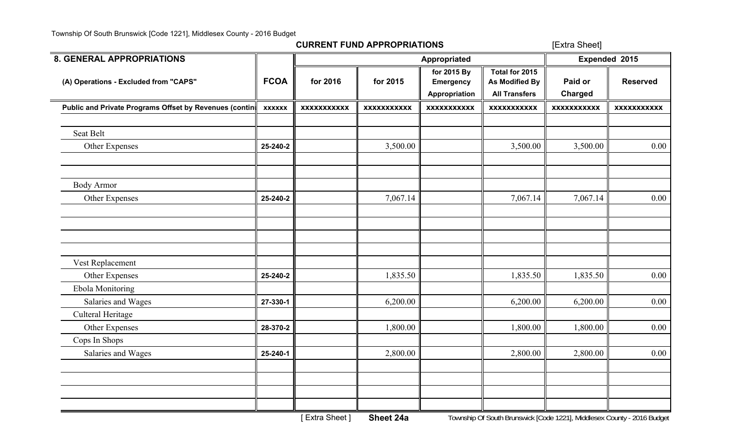[Extra Sheet]

| <b>8. GENERAL APPROPRIATIONS</b>                       |               |                    |                    | Appropriated                                     |                                                                 | Expended 2015             |                    |  |
|--------------------------------------------------------|---------------|--------------------|--------------------|--------------------------------------------------|-----------------------------------------------------------------|---------------------------|--------------------|--|
| (A) Operations - Excluded from "CAPS"                  | <b>FCOA</b>   | for 2016           | for 2015           | for 2015 By<br><b>Emergency</b><br>Appropriation | Total for 2015<br><b>As Modified By</b><br><b>All Transfers</b> | Paid or<br><b>Charged</b> | <b>Reserved</b>    |  |
| Public and Private Programs Offset by Revenues (contin | <b>XXXXXX</b> | <b>XXXXXXXXXXX</b> | <b>XXXXXXXXXXX</b> | <b>XXXXXXXXXXX</b>                               | <b>XXXXXXXXXXX</b>                                              | <b>XXXXXXXXXXX</b>        | <b>XXXXXXXXXXX</b> |  |
| Seat Belt                                              |               |                    |                    |                                                  |                                                                 |                           |                    |  |
| Other Expenses                                         | 25-240-2      |                    | 3,500.00           |                                                  | 3,500.00                                                        | 3,500.00                  | 0.00               |  |
|                                                        |               |                    |                    |                                                  |                                                                 |                           |                    |  |
| <b>Body Armor</b>                                      |               |                    |                    |                                                  |                                                                 |                           |                    |  |
| Other Expenses                                         | 25-240-2      |                    | 7,067.14           |                                                  | 7,067.14                                                        | 7,067.14                  | 0.00               |  |
|                                                        |               |                    |                    |                                                  |                                                                 |                           |                    |  |
|                                                        |               |                    |                    |                                                  |                                                                 |                           |                    |  |
| Vest Replacement                                       |               |                    |                    |                                                  |                                                                 |                           |                    |  |
| Other Expenses                                         | 25-240-2      |                    | 1,835.50           |                                                  | 1,835.50                                                        | 1,835.50                  | 0.00               |  |
| Ebola Monitoring                                       |               |                    |                    |                                                  |                                                                 |                           |                    |  |
| Salaries and Wages                                     | 27-330-1      |                    | 6,200.00           |                                                  | 6,200.00                                                        | 6,200.00                  | 0.00               |  |
| Culteral Heritage                                      |               |                    |                    |                                                  |                                                                 |                           |                    |  |
| Other Expenses                                         | 28-370-2      |                    | 1,800.00           |                                                  | 1,800.00                                                        | 1,800.00                  | 0.00               |  |
| Cops In Shops                                          |               |                    |                    |                                                  |                                                                 |                           |                    |  |
| Salaries and Wages                                     | 25-240-1      |                    | 2,800.00           |                                                  | 2,800.00                                                        | 2,800.00                  | 0.00               |  |
|                                                        |               |                    |                    |                                                  |                                                                 |                           |                    |  |
|                                                        |               |                    |                    |                                                  |                                                                 |                           |                    |  |
|                                                        |               |                    |                    |                                                  |                                                                 |                           |                    |  |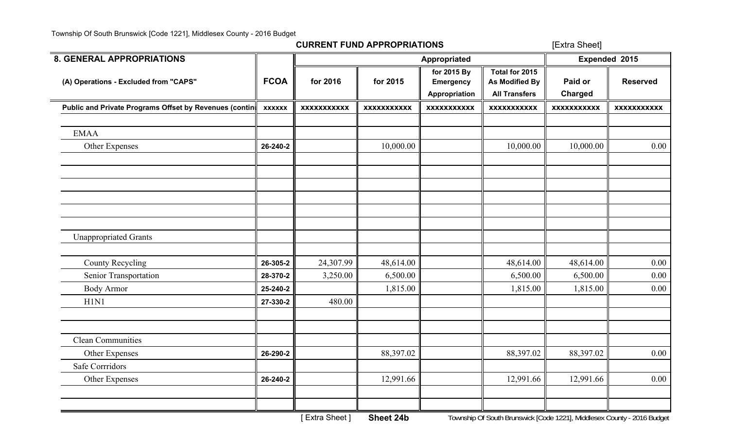[Extra Sheet]

| <b>8. GENERAL APPROPRIATIONS</b>                       |               |                    |                    | Appropriated                                     |                                                                 | Expended 2015             |                    |  |
|--------------------------------------------------------|---------------|--------------------|--------------------|--------------------------------------------------|-----------------------------------------------------------------|---------------------------|--------------------|--|
| (A) Operations - Excluded from "CAPS"                  | <b>FCOA</b>   | for 2016           | for 2015           | for 2015 By<br><b>Emergency</b><br>Appropriation | Total for 2015<br><b>As Modified By</b><br><b>All Transfers</b> | Paid or<br><b>Charged</b> | <b>Reserved</b>    |  |
| Public and Private Programs Offset by Revenues (contin | <b>XXXXXX</b> | <b>XXXXXXXXXXX</b> | <b>XXXXXXXXXXX</b> | <b>XXXXXXXXXXX</b>                               | <b>XXXXXXXXXXX</b>                                              | <b>XXXXXXXXXXX</b>        | <b>XXXXXXXXXXX</b> |  |
|                                                        |               |                    |                    |                                                  |                                                                 |                           |                    |  |
| <b>EMAA</b>                                            |               |                    |                    |                                                  |                                                                 |                           |                    |  |
| Other Expenses                                         | 26-240-2      |                    | 10,000.00          |                                                  | 10,000.00                                                       | 10,000.00                 | 0.00               |  |
|                                                        |               |                    |                    |                                                  |                                                                 |                           |                    |  |
|                                                        |               |                    |                    |                                                  |                                                                 |                           |                    |  |
|                                                        |               |                    |                    |                                                  |                                                                 |                           |                    |  |
|                                                        |               |                    |                    |                                                  |                                                                 |                           |                    |  |
|                                                        |               |                    |                    |                                                  |                                                                 |                           |                    |  |
|                                                        |               |                    |                    |                                                  |                                                                 |                           |                    |  |
| <b>Unappropriated Grants</b>                           |               |                    |                    |                                                  |                                                                 |                           |                    |  |
|                                                        |               |                    |                    |                                                  |                                                                 |                           |                    |  |
| County Recycling                                       | 26-305-2      | 24,307.99          | 48,614.00          |                                                  | 48,614.00                                                       | 48,614.00                 | 0.00               |  |
| Senior Transportation                                  | 28-370-2      | 3,250.00           | 6,500.00           |                                                  | 6,500.00                                                        | 6,500.00                  | 0.00               |  |
| <b>Body Armor</b>                                      | 25-240-2      |                    | 1,815.00           |                                                  | 1,815.00                                                        | 1,815.00                  | 0.00               |  |
| H1N1                                                   | 27-330-2      | 480.00             |                    |                                                  |                                                                 |                           |                    |  |
|                                                        |               |                    |                    |                                                  |                                                                 |                           |                    |  |
| <b>Clean Communities</b>                               |               |                    |                    |                                                  |                                                                 |                           |                    |  |
|                                                        |               |                    |                    |                                                  |                                                                 |                           | 0.00               |  |
| Other Expenses<br><b>Safe Corrridors</b>               | 26-290-2      |                    | 88,397.02          |                                                  | 88,397.02                                                       | 88,397.02                 |                    |  |
|                                                        |               |                    |                    |                                                  |                                                                 |                           |                    |  |
| Other Expenses                                         | 26-240-2      |                    | 12,991.66          |                                                  | 12,991.66                                                       | 12,991.66                 | 0.00               |  |
|                                                        |               |                    |                    |                                                  |                                                                 |                           |                    |  |
|                                                        |               |                    |                    |                                                  |                                                                 |                           |                    |  |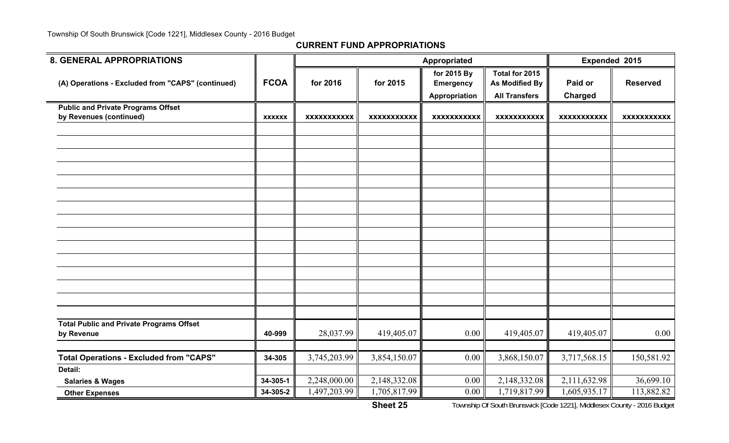| <b>8. GENERAL APPROPRIATIONS</b>                              |               |                    |                    | Appropriated                                     |                                                                 |                    | Expended 2015      |
|---------------------------------------------------------------|---------------|--------------------|--------------------|--------------------------------------------------|-----------------------------------------------------------------|--------------------|--------------------|
| (A) Operations - Excluded from "CAPS" (continued)             | <b>FCOA</b>   | for 2016           | for 2015           | for 2015 By<br><b>Emergency</b><br>Appropriation | Total for 2015<br><b>As Modified By</b><br><b>All Transfers</b> | Paid or<br>Charged | <b>Reserved</b>    |
| <b>Public and Private Programs Offset</b>                     |               |                    |                    |                                                  |                                                                 |                    |                    |
| by Revenues (continued)                                       | <b>XXXXXX</b> | <b>XXXXXXXXXXX</b> | <b>XXXXXXXXXXX</b> | <b>XXXXXXXXXXX</b>                               | <b>XXXXXXXXXXX</b>                                              | <b>XXXXXXXXXXX</b> | <b>XXXXXXXXXXX</b> |
|                                                               |               |                    |                    |                                                  |                                                                 |                    |                    |
|                                                               |               |                    |                    |                                                  |                                                                 |                    |                    |
|                                                               |               |                    |                    |                                                  |                                                                 |                    |                    |
|                                                               |               |                    |                    |                                                  |                                                                 |                    |                    |
|                                                               |               |                    |                    |                                                  |                                                                 |                    |                    |
|                                                               |               |                    |                    |                                                  |                                                                 |                    |                    |
|                                                               |               |                    |                    |                                                  |                                                                 |                    |                    |
|                                                               |               |                    |                    |                                                  |                                                                 |                    |                    |
|                                                               |               |                    |                    |                                                  |                                                                 |                    |                    |
|                                                               |               |                    |                    |                                                  |                                                                 |                    |                    |
|                                                               |               |                    |                    |                                                  |                                                                 |                    |                    |
|                                                               |               |                    |                    |                                                  |                                                                 |                    |                    |
|                                                               |               |                    |                    |                                                  |                                                                 |                    |                    |
|                                                               |               |                    |                    |                                                  |                                                                 |                    |                    |
|                                                               |               |                    |                    |                                                  |                                                                 |                    |                    |
|                                                               |               |                    |                    |                                                  |                                                                 |                    |                    |
| <b>Total Public and Private Programs Offset</b><br>by Revenue | 40-999        | 28,037.99          | 419,405.07         | 0.00                                             | 419,405.07                                                      | 419,405.07         | 0.00               |
|                                                               |               |                    |                    |                                                  |                                                                 |                    |                    |
| <b>Total Operations - Excluded from "CAPS"</b>                | 34-305        | 3,745,203.99       | 3,854,150.07       | 0.00                                             | 3,868,150.07                                                    | 3,717,568.15       | 150,581.92         |
| Detail:                                                       |               |                    |                    |                                                  |                                                                 |                    |                    |
| <b>Salaries &amp; Wages</b>                                   | 34-305-1      | 2,248,000.00       | 2,148,332.08       | 0.00                                             | 2,148,332.08                                                    | 2,111,632.98       | 36,699.10          |
| <b>Other Expenses</b>                                         | 34-305-2      | 1,497,203.99       | 1,705,817.99       | 0.00                                             | 1,719,817.99                                                    | 1,605,935.17       | 113,882.82         |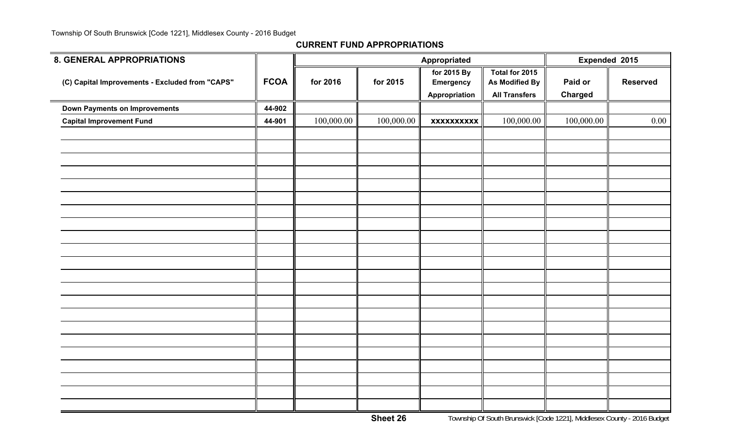| 8. GENERAL APPROPRIATIONS                       |             |            |            | Appropriated                                     |                                                                 | Expended 2015             |                 |
|-------------------------------------------------|-------------|------------|------------|--------------------------------------------------|-----------------------------------------------------------------|---------------------------|-----------------|
| (C) Capital Improvements - Excluded from "CAPS" | <b>FCOA</b> | for 2016   | for 2015   | for 2015 By<br><b>Emergency</b><br>Appropriation | Total for 2015<br><b>As Modified By</b><br><b>All Transfers</b> | Paid or<br><b>Charged</b> | <b>Reserved</b> |
| <b>Down Payments on Improvements</b>            | 44-902      |            |            |                                                  |                                                                 |                           |                 |
| <b>Capital Improvement Fund</b>                 | 44-901      | 100,000.00 | 100,000.00 | <b>XXXXXXXXXX</b>                                | 100,000.00                                                      | 100,000.00                | $0.00\,$        |
|                                                 |             |            |            |                                                  |                                                                 |                           |                 |
|                                                 |             |            |            |                                                  |                                                                 |                           |                 |
|                                                 |             |            |            |                                                  |                                                                 |                           |                 |
|                                                 |             |            |            |                                                  |                                                                 |                           |                 |
|                                                 |             |            |            |                                                  |                                                                 |                           |                 |
|                                                 |             |            |            |                                                  |                                                                 |                           |                 |
|                                                 |             |            |            |                                                  |                                                                 |                           |                 |
|                                                 |             |            |            |                                                  |                                                                 |                           |                 |
|                                                 |             |            |            |                                                  |                                                                 |                           |                 |
|                                                 |             |            |            |                                                  |                                                                 |                           |                 |
|                                                 |             |            |            |                                                  |                                                                 |                           |                 |
|                                                 |             |            |            |                                                  |                                                                 |                           |                 |
|                                                 |             |            |            |                                                  |                                                                 |                           |                 |
|                                                 |             |            |            |                                                  |                                                                 |                           |                 |
|                                                 |             |            |            |                                                  |                                                                 |                           |                 |
|                                                 |             |            |            |                                                  |                                                                 |                           |                 |
|                                                 |             |            |            |                                                  |                                                                 |                           |                 |
|                                                 |             |            |            |                                                  |                                                                 |                           |                 |
|                                                 |             |            |            |                                                  |                                                                 |                           |                 |
|                                                 |             |            |            |                                                  |                                                                 |                           |                 |
|                                                 |             |            |            |                                                  |                                                                 |                           |                 |
|                                                 |             |            |            |                                                  |                                                                 |                           |                 |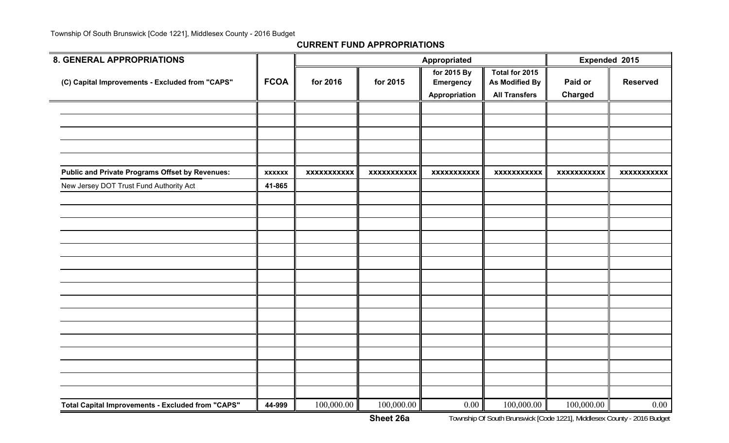| <b>8. GENERAL APPROPRIATIONS</b>                         |               |                    |                    | Appropriated                                     |                                                          |                           | Expended 2015      |
|----------------------------------------------------------|---------------|--------------------|--------------------|--------------------------------------------------|----------------------------------------------------------|---------------------------|--------------------|
| (C) Capital Improvements - Excluded from "CAPS"          | <b>FCOA</b>   | for 2016           | for 2015           | for 2015 By<br><b>Emergency</b><br>Appropriation | Total for 2015<br>As Modified By<br><b>All Transfers</b> | Paid or<br><b>Charged</b> | <b>Reserved</b>    |
|                                                          |               |                    |                    |                                                  |                                                          |                           |                    |
|                                                          |               |                    |                    |                                                  |                                                          |                           |                    |
|                                                          |               |                    |                    |                                                  |                                                          |                           |                    |
|                                                          |               |                    |                    |                                                  |                                                          |                           |                    |
| <b>Public and Private Programs Offset by Revenues:</b>   | <b>XXXXXX</b> | <b>XXXXXXXXXXX</b> | <b>XXXXXXXXXXX</b> | <b>XXXXXXXXXXX</b>                               | <b>XXXXXXXXXXX</b>                                       | <b>XXXXXXXXXXX</b>        | <b>XXXXXXXXXXX</b> |
| New Jersey DOT Trust Fund Authority Act                  | 41-865        |                    |                    |                                                  |                                                          |                           |                    |
|                                                          |               |                    |                    |                                                  |                                                          |                           |                    |
|                                                          |               |                    |                    |                                                  |                                                          |                           |                    |
|                                                          |               |                    |                    |                                                  |                                                          |                           |                    |
|                                                          |               |                    |                    |                                                  |                                                          |                           |                    |
|                                                          |               |                    |                    |                                                  |                                                          |                           |                    |
|                                                          |               |                    |                    |                                                  |                                                          |                           |                    |
|                                                          |               |                    |                    |                                                  |                                                          |                           |                    |
|                                                          |               |                    |                    |                                                  |                                                          |                           |                    |
|                                                          |               |                    |                    |                                                  |                                                          |                           |                    |
|                                                          |               |                    |                    |                                                  |                                                          |                           |                    |
|                                                          |               |                    |                    |                                                  |                                                          |                           |                    |
|                                                          |               |                    |                    |                                                  |                                                          |                           |                    |
|                                                          |               |                    |                    |                                                  |                                                          |                           |                    |
|                                                          |               |                    |                    |                                                  |                                                          |                           |                    |
| <b>Total Capital Improvements - Excluded from "CAPS"</b> | 44-999        | 100,000.00         | 100,000.00         | 0.00                                             | 100,000.00                                               | 100,000.00                | 0.00               |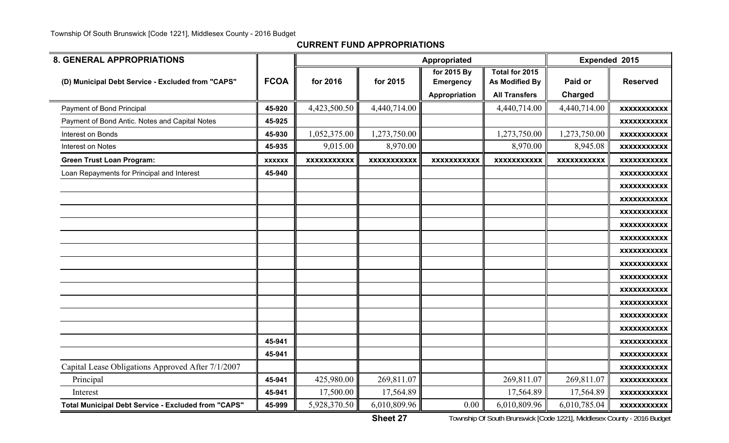| <b>8. GENERAL APPROPRIATIONS</b>                           |               |                    |                    | Appropriated       |                       | Expended 2015      |                    |
|------------------------------------------------------------|---------------|--------------------|--------------------|--------------------|-----------------------|--------------------|--------------------|
|                                                            |               |                    |                    | for 2015 By        | Total for 2015        |                    |                    |
| (D) Municipal Debt Service - Excluded from "CAPS"          | <b>FCOA</b>   | for 2016           | for 2015           | <b>Emergency</b>   | <b>As Modified By</b> | Paid or            | <b>Reserved</b>    |
|                                                            |               |                    |                    | Appropriation      | <b>All Transfers</b>  | Charged            |                    |
| Payment of Bond Principal                                  | 45-920        | 4,423,500.50       | 4,440,714.00       |                    | 4,440,714.00          | 4,440,714.00       | <b>XXXXXXXXXXX</b> |
| Payment of Bond Antic. Notes and Capital Notes             | 45-925        |                    |                    |                    |                       |                    | <b>XXXXXXXXXXX</b> |
| Interest on Bonds                                          | 45-930        | 1,052,375.00       | 1,273,750.00       |                    | 1,273,750.00          | 1,273,750.00       | <b>XXXXXXXXXXX</b> |
| Interest on Notes                                          | 45-935        | 9,015.00           | 8,970.00           |                    | 8,970.00              | 8,945.08           | <b>XXXXXXXXXXX</b> |
| <b>Green Trust Loan Program:</b>                           | <b>XXXXXX</b> | <b>XXXXXXXXXXX</b> | <b>XXXXXXXXXXX</b> | <b>XXXXXXXXXXX</b> | <b>XXXXXXXXXXX</b>    | <b>XXXXXXXXXXX</b> | <b>XXXXXXXXXXX</b> |
| Loan Repayments for Principal and Interest                 | 45-940        |                    |                    |                    |                       |                    | <b>XXXXXXXXXXX</b> |
|                                                            |               |                    |                    |                    |                       |                    | <b>XXXXXXXXXXX</b> |
|                                                            |               |                    |                    |                    |                       |                    | <b>XXXXXXXXXXX</b> |
|                                                            |               |                    |                    |                    |                       |                    | <b>XXXXXXXXXXX</b> |
|                                                            |               |                    |                    |                    |                       |                    | <b>XXXXXXXXXXX</b> |
|                                                            |               |                    |                    |                    |                       |                    | <b>XXXXXXXXXXX</b> |
|                                                            |               |                    |                    |                    |                       |                    | <b>XXXXXXXXXXX</b> |
|                                                            |               |                    |                    |                    |                       |                    | <b>XXXXXXXXXXX</b> |
|                                                            |               |                    |                    |                    |                       |                    | <b>XXXXXXXXXXX</b> |
|                                                            |               |                    |                    |                    |                       |                    | <b>XXXXXXXXXXX</b> |
|                                                            |               |                    |                    |                    |                       |                    | <b>XXXXXXXXXXX</b> |
|                                                            |               |                    |                    |                    |                       |                    | <b>XXXXXXXXXXX</b> |
|                                                            |               |                    |                    |                    |                       |                    | <b>XXXXXXXXXXX</b> |
|                                                            | 45-941        |                    |                    |                    |                       |                    | <b>XXXXXXXXXXX</b> |
|                                                            | 45-941        |                    |                    |                    |                       |                    | <b>XXXXXXXXXXX</b> |
| Capital Lease Obligations Approved After 7/1/2007          |               |                    |                    |                    |                       |                    | <b>XXXXXXXXXXX</b> |
| Principal                                                  | 45-941        | 425,980.00         | 269,811.07         |                    | 269,811.07            | 269,811.07         | <b>XXXXXXXXXXX</b> |
| Interest                                                   | 45-941        | 17,500.00          | 17,564.89          |                    | 17,564.89             | 17,564.89          | <b>XXXXXXXXXXX</b> |
| <b>Total Municipal Debt Service - Excluded from "CAPS"</b> | 45-999        | 5,928,370.50       | 6,010,809.96       | 0.00               | 6,010,809.96          | 6,010,785.04       | <b>XXXXXXXXXXX</b> |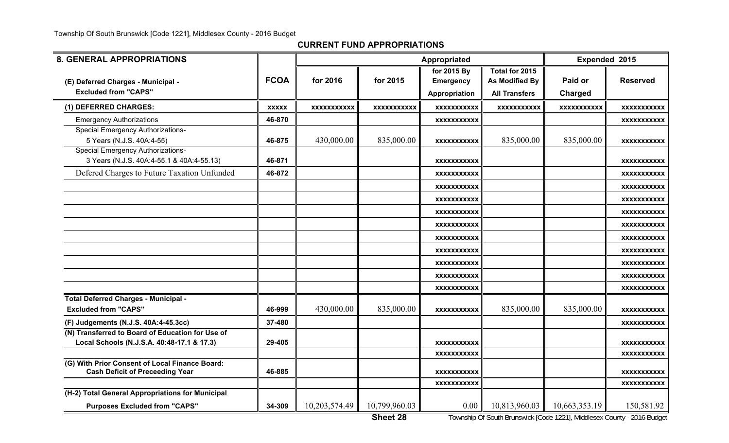**CURRENT FUND APPROPRIATIONS**

| <b>8. GENERAL APPROPRIATIONS</b>                                                               |              |                    | Appropriated       |                                                         | Expended 2015                                            |                    |                    |
|------------------------------------------------------------------------------------------------|--------------|--------------------|--------------------|---------------------------------------------------------|----------------------------------------------------------|--------------------|--------------------|
| (E) Deferred Charges - Municipal -<br><b>Excluded from "CAPS"</b>                              | <b>FCOA</b>  | for 2016           | for 2015           | for 2015 By<br><b>Emergency</b><br><b>Appropriation</b> | Total for 2015<br>As Modified By<br><b>All Transfers</b> | Paid or<br>Charged | <b>Reserved</b>    |
| (1) DEFERRED CHARGES:                                                                          | <b>XXXXX</b> | <b>XXXXXXXXXXX</b> | <b>XXXXXXXXXXX</b> | <b>XXXXXXXXXXX</b>                                      | <b>XXXXXXXXXXX</b>                                       | <b>XXXXXXXXXXX</b> | <b>XXXXXXXXXXX</b> |
| <b>Emergency Authorizations</b>                                                                | 46-870       |                    |                    | XXXXXXXXXXX                                             |                                                          |                    | XXXXXXXXXXX        |
| <b>Special Emergency Authorizations-</b><br>5 Years (N.J.S. 40A:4-55)                          | 46-875       | 430,000.00         | 835,000.00         | <b>XXXXXXXXXXX</b>                                      | 835,000.00                                               | 835,000.00         | <b>XXXXXXXXXXX</b> |
| <b>Special Emergency Authorizations-</b><br>3 Years (N.J.S. 40A:4-55.1 & 40A:4-55.13)          | 46-871       |                    |                    | XXXXXXXXXXX                                             |                                                          |                    | <b>XXXXXXXXXXX</b> |
| Defered Charges to Future Taxation Unfunded                                                    | 46-872       |                    |                    | XXXXXXXXXXX                                             |                                                          |                    | XXXXXXXXXXX        |
|                                                                                                |              |                    |                    | <b>XXXXXXXXXXX</b>                                      |                                                          |                    | <b>XXXXXXXXXXX</b> |
|                                                                                                |              |                    |                    | <b>XXXXXXXXXXX</b>                                      |                                                          |                    | <b>XXXXXXXXXXX</b> |
|                                                                                                |              |                    |                    | XXXXXXXXXXX                                             |                                                          |                    | <b>XXXXXXXXXXX</b> |
|                                                                                                |              |                    |                    | <b>XXXXXXXXXXX</b>                                      |                                                          |                    | <b>XXXXXXXXXXX</b> |
|                                                                                                |              |                    |                    | XXXXXXXXXXX                                             |                                                          |                    | <b>XXXXXXXXXXX</b> |
|                                                                                                |              |                    |                    | <b>XXXXXXXXXXX</b>                                      |                                                          |                    | <b>XXXXXXXXXXX</b> |
|                                                                                                |              |                    |                    | <b>XXXXXXXXXXX</b>                                      |                                                          |                    | <b>XXXXXXXXXXX</b> |
|                                                                                                |              |                    |                    | <b>XXXXXXXXXXX</b>                                      |                                                          |                    | <b>XXXXXXXXXXX</b> |
|                                                                                                |              |                    |                    | <b>XXXXXXXXXXX</b>                                      |                                                          |                    | <b>XXXXXXXXXXX</b> |
| Total Deferred Charges - Municipal -<br><b>Excluded from "CAPS"</b>                            | 46-999       | 430,000.00         | 835,000.00         | <b>XXXXXXXXXXX</b>                                      | 835,000.00                                               | 835,000.00         | XXXXXXXXXXX        |
| (F) Judgements (N.J.S. 40A:4-45.3cc)                                                           | 37-480       |                    |                    |                                                         |                                                          |                    | <b>XXXXXXXXXXX</b> |
| (N) Transferred to Board of Education for Use of<br>Local Schools (N.J.S.A. 40:48-17.1 & 17.3) | 29-405       |                    |                    | XXXXXXXXXXX                                             |                                                          |                    | XXXXXXXXXXX        |
|                                                                                                |              |                    |                    | XXXXXXXXXXX                                             |                                                          |                    | XXXXXXXXXX         |
| (G) With Prior Consent of Local Finance Board:<br><b>Cash Deficit of Preceeding Year</b>       | 46-885       |                    |                    | <b>XXXXXXXXXXX</b>                                      |                                                          |                    | XXXXXXXXXXX        |
|                                                                                                |              |                    |                    | <b>XXXXXXXXXXX</b>                                      |                                                          |                    | <b>XXXXXXXXXXX</b> |
| (H-2) Total General Appropriations for Municipal                                               |              |                    |                    |                                                         |                                                          |                    |                    |
| <b>Purposes Excluded from "CAPS"</b>                                                           | 34-309       | 10,203,574.49      | 10,799,960.03      | $0.00\,$                                                | 10,813,960.03                                            | 10,663,353.19      | 150,581.92         |

**Sheet 28**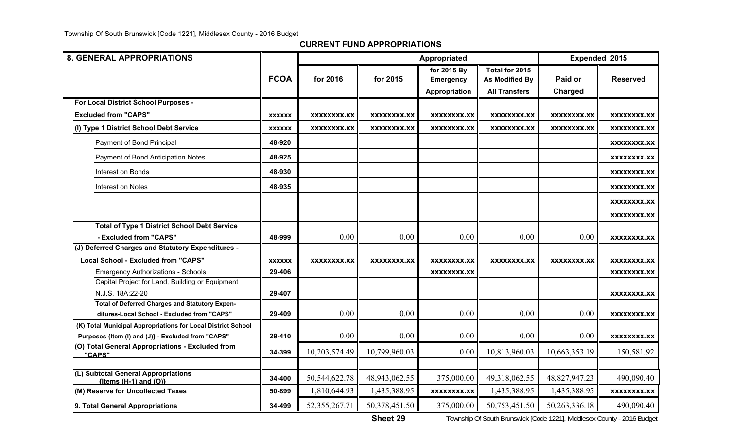| <b>8. GENERAL APPROPRIATIONS</b>                                                              |               |                    |               | Appropriated       |                       | Expended 2015 |                    |
|-----------------------------------------------------------------------------------------------|---------------|--------------------|---------------|--------------------|-----------------------|---------------|--------------------|
|                                                                                               |               |                    |               | for 2015 By        | Total for 2015        |               |                    |
|                                                                                               | <b>FCOA</b>   | for 2016           | for 2015      | <b>Emergency</b>   | <b>As Modified By</b> | Paid or       | <b>Reserved</b>    |
|                                                                                               |               |                    |               | Appropriation      | <b>All Transfers</b>  | Charged       |                    |
| For Local District School Purposes -                                                          |               |                    |               |                    |                       |               |                    |
| <b>Excluded from "CAPS"</b>                                                                   | <b>XXXXXX</b> | <b>XXXXXXXX.XX</b> | XXXXXXXX.XX   | XXXXXXXX.XX        | XXXXXXXX.XX           | XXXXXXXX.XX   | XXXXXXXX.XX        |
| (I) Type 1 District School Debt Service                                                       | <b>XXXXXX</b> | XXXXXXXX.XX        | XXXXXXXX.XX   | XXXXXXXX.XX        | XXXXXXXX.XX           | XXXXXXXX.XX   | XXXXXXXX.XX        |
| Payment of Bond Principal                                                                     | 48-920        |                    |               |                    |                       |               | XXXXXXXX.XX        |
| Payment of Bond Anticipation Notes                                                            | 48-925        |                    |               |                    |                       |               | XXXXXXXX.XX        |
| Interest on Bonds                                                                             | 48-930        |                    |               |                    |                       |               | XXXXXXXX.XX        |
| Interest on Notes                                                                             | 48-935        |                    |               |                    |                       |               | XXXXXXXX.XX        |
|                                                                                               |               |                    |               |                    |                       |               | XXXXXXXX.XX        |
|                                                                                               |               |                    |               |                    |                       |               | XXXXXXXX.XX        |
| <b>Total of Type 1 District School Debt Service</b>                                           |               |                    |               |                    |                       |               |                    |
| - Excluded from "CAPS"                                                                        | 48-999        | 0.00               | 0.00          | 0.00               | 0.00                  | 0.00          | <b>XXXXXXXX.XX</b> |
| (J) Deferred Charges and Statutory Expenditures -                                             |               |                    |               |                    |                       |               |                    |
| <b>Local School - Excluded from "CAPS"</b>                                                    | <b>XXXXXX</b> | XXXXXXXX.XX        | XXXXXXXX.XX   | XXXXXXXX.XX        | <b>XXXXXXXX.XX</b>    | XXXXXXXX.XX   | XXXXXXXX.XX        |
| <b>Emergency Authorizations - Schools</b>                                                     | 29-406        |                    |               | XXXXXXXX.XX        |                       |               | <b>XXXXXXXX.XX</b> |
| Capital Project for Land, Building or Equipment                                               |               |                    |               |                    |                       |               |                    |
| N.J.S. 18A:22-20                                                                              | 29-407        |                    |               |                    |                       |               | <b>XXXXXXXX.XX</b> |
| Total of Deferred Charges and Statutory Expen-<br>ditures-Local School - Excluded from "CAPS" | 29-409        | 0.00               | 0.00          | 0.00               | 0.00                  | 0.00          | <b>XXXXXXXX.XX</b> |
| (K) Total Municipal Appropriations for Local District School                                  |               |                    |               |                    |                       |               |                    |
| Purposes {Item (I) and (J)} - Excluded from "CAPS"                                            | 29-410        | 0.00               | 0.00          | 0.00               | 0.00                  | 0.00          | <b>XXXXXXXX.XX</b> |
| (O) Total General Appropriations - Excluded from<br>"CAPS"                                    | 34-399        | 10,203,574.49      | 10,799,960.03 | 0.00               | 10,813,960.03         | 10,663,353.19 | 150,581.92         |
|                                                                                               |               |                    |               |                    |                       |               |                    |
| (L) Subtotal General Appropriations<br>${Items (H-1) and (O)}$                                | 34-400        | 50,544,622.78      | 48,943,062.55 | 375,000.00         | 49,318,062.55         | 48,827,947.23 | 490,090.40         |
| (M) Reserve for Uncollected Taxes                                                             | 50-899        | 1,810,644.93       | 1,435,388.95  | <b>XXXXXXXX.XX</b> | 1,435,388.95          | 1,435,388.95  | <b>XXXXXXXX.XX</b> |
| 9. Total General Appropriations                                                               | 34-499        | 52, 355, 267. 71   | 50,378,451.50 | 375,000.00         | 50,753,451.50         | 50,263,336.18 | 490,090.40         |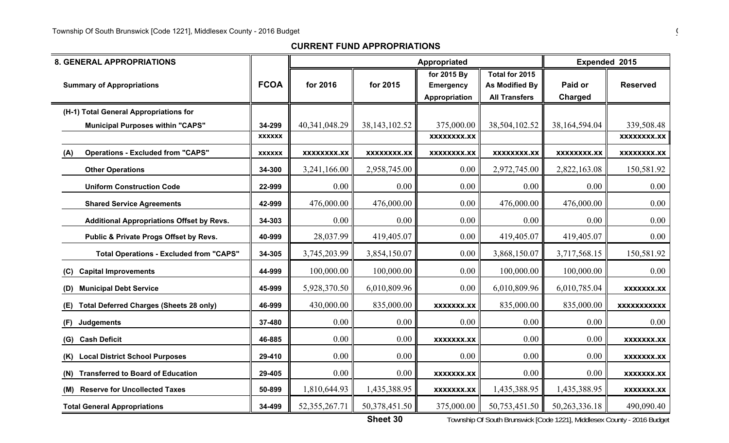| <b>8. GENERAL APPROPRIATIONS</b>                      |               |                  |                    | Appropriated                                     |                                                                 | Expended 2015      |                    |  |
|-------------------------------------------------------|---------------|------------------|--------------------|--------------------------------------------------|-----------------------------------------------------------------|--------------------|--------------------|--|
| <b>Summary of Appropriations</b>                      | <b>FCOA</b>   | for 2016         | for 2015           | for 2015 By<br><b>Emergency</b><br>Appropriation | Total for 2015<br><b>As Modified By</b><br><b>All Transfers</b> | Paid or<br>Charged | <b>Reserved</b>    |  |
| (H-1) Total General Appropriations for                |               |                  |                    |                                                  |                                                                 |                    |                    |  |
| <b>Municipal Purposes within "CAPS"</b>               | 34-299        | 40,341,048.29    | 38, 143, 102.52    | 375,000.00                                       | 38,504,102.52                                                   | 38, 164, 594.04    | 339,508.48         |  |
|                                                       | <b>XXXXXX</b> |                  |                    | <b>XXXXXXXX.XX</b>                               |                                                                 |                    | <b>XXXXXXXX.XX</b> |  |
| <b>Operations - Excluded from "CAPS"</b><br>(A)       | <b>XXXXXX</b> | XXXXXXXX.XX      | <b>XXXXXXXX.XX</b> | <b>XXXXXXXX.XX</b>                               | <b>XXXXXXXX.XX</b>                                              | <b>XXXXXXXX.XX</b> | XXXXXXXX.XX        |  |
| <b>Other Operations</b>                               | 34-300        | 3,241,166.00     | 2,958,745.00       | 0.00                                             | 2,972,745.00                                                    | 2,822,163.08       | 150,581.92         |  |
| <b>Uniform Construction Code</b>                      | 22-999        | 0.00             | 0.00               | 0.00                                             | 0.00                                                            | 0.00               | 0.00               |  |
| <b>Shared Service Agreements</b>                      | 42-999        | 476,000.00       | 476,000.00         | 0.00                                             | 476,000.00                                                      | 476,000.00         | 0.00               |  |
| <b>Additional Appropriations Offset by Revs.</b>      | 34-303        | 0.00             | 0.00               | 0.00                                             | 0.00                                                            | 0.00               | 0.00               |  |
| Public & Private Progs Offset by Revs.                | 40-999        | 28,037.99        | 419,405.07         | 0.00                                             | 419,405.07                                                      | 419,405.07         | 0.00               |  |
| <b>Total Operations - Excluded from "CAPS"</b>        | 34-305        | 3,745,203.99     | 3,854,150.07       | 0.00                                             | 3,868,150.07                                                    | 3,717,568.15       | 150,581.92         |  |
| <b>Capital Improvements</b><br>(C)                    | 44-999        | 100,000.00       | 100,000.00         | 0.00                                             | 100,000.00                                                      | 100,000.00         | 0.00               |  |
| <b>Municipal Debt Service</b><br>(D)                  | 45-999        | 5,928,370.50     | 6,010,809.96       | 0.00                                             | 6,010,809.96                                                    | 6,010,785.04       | <b>XXXXXXX.XX</b>  |  |
| <b>Total Deferred Charges (Sheets 28 only)</b><br>(E) | 46-999        | 430,000.00       | 835,000.00         | <b>XXXXXXX.XX</b>                                | 835,000.00                                                      | 835,000.00         | <b>XXXXXXXXXXX</b> |  |
| <b>Judgements</b><br>(F)                              | 37-480        | 0.00             | 0.00               | 0.00                                             | 0.00                                                            | 0.00               | 0.00               |  |
| <b>Cash Deficit</b><br>(G)                            | 46-885        | 0.00             | 0.00               | <b>XXXXXXX.XX</b>                                | 0.00                                                            | 0.00               | <b>XXXXXXX.XX</b>  |  |
| <b>Local District School Purposes</b><br>(K)          | 29-410        | 0.00             | 0.00               | 0.00                                             | 0.00                                                            | 0.00               | <b>XXXXXXX.XX</b>  |  |
| <b>Transferred to Board of Education</b><br>(N)       | 29-405        | 0.00             | 0.00               | <b>XXXXXXX.XX</b>                                | 0.00                                                            | 0.00               | <b>XXXXXXX.XX</b>  |  |
| <b>Reserve for Uncollected Taxes</b><br>(M)           | 50-899        | 1,810,644.93     | 1,435,388.95       | <b>XXXXXXX.XX</b>                                | 1,435,388.95                                                    | 1,435,388.95       | <b>XXXXXXX.XX</b>  |  |
| <b>Total General Appropriations</b>                   | 34-499        | 52, 355, 267. 71 | 50,378,451.50      | 375,000.00                                       | 50,753,451.50                                                   | 50, 263, 336. 18   | 490,090.40         |  |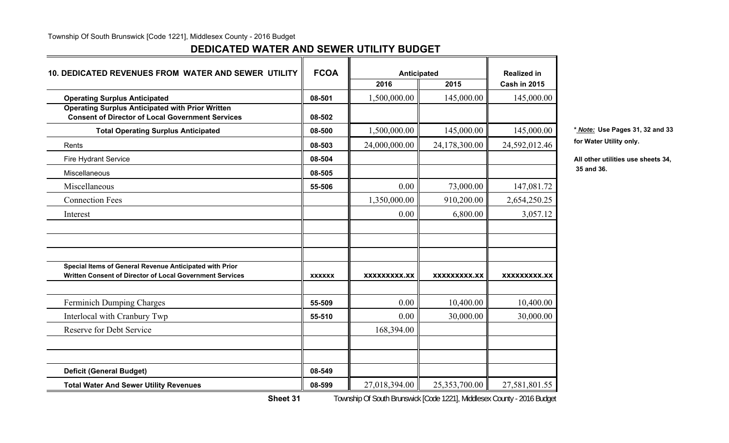## **DEDICATED WATER AND SEWER UTILITY BUDGET**

| <b>FCOA</b><br><b>10. DEDICATED REVENUES FROM WATER AND SEWER UTILITY</b><br>Anticipated                            |               |               | <b>Realized in</b> |                     |             |
|---------------------------------------------------------------------------------------------------------------------|---------------|---------------|--------------------|---------------------|-------------|
|                                                                                                                     |               | 2016          | 2015               | <b>Cash in 2015</b> |             |
| <b>Operating Surplus Anticipated</b>                                                                                | 08-501        | 1,500,000.00  | 145,000.00         | 145,000.00          |             |
| <b>Operating Surplus Anticipated with Prior Written</b><br><b>Consent of Director of Local Government Services</b>  | 08-502        |               |                    |                     |             |
| <b>Total Operating Surplus Anticipated</b>                                                                          | 08-500        | 1,500,000.00  | 145,000.00         | 145,000.00          | * Note: Us  |
| Rents                                                                                                               | 08-503        | 24,000,000.00 | 24,178,300.00      | 24,592,012.46       | for Water I |
| <b>Fire Hydrant Service</b>                                                                                         | 08-504        |               |                    |                     | All other u |
| Miscellaneous                                                                                                       | 08-505        |               |                    |                     | 35 and 36.  |
| Miscellaneous                                                                                                       | 55-506        | 0.00          | 73,000.00          | 147,081.72          |             |
| <b>Connection Fees</b>                                                                                              |               | 1,350,000.00  | 910,200.00         | 2,654,250.25        |             |
| Interest                                                                                                            |               | 0.00          | 6,800.00           | 3,057.12            |             |
|                                                                                                                     |               |               |                    |                     |             |
|                                                                                                                     |               |               |                    |                     |             |
| Special Items of General Revenue Anticipated with Prior<br>Written Consent of Director of Local Government Services | <b>XXXXXX</b> | XXXXXXXXX.XX  | XXXXXXXXX.XX       | XXXXXXXXX.XX        |             |
| Ferminich Dumping Charges                                                                                           | 55-509        | 0.00          | 10,400.00          | 10,400.00           |             |
| Interlocal with Cranbury Twp                                                                                        | 55-510        | 0.00          | 30,000.00          | 30,000.00           |             |
| <b>Reserve for Debt Service</b>                                                                                     |               | 168,394.00    |                    |                     |             |
|                                                                                                                     |               |               |                    |                     |             |
| <b>Deficit (General Budget)</b>                                                                                     | 08-549        |               |                    |                     |             |
| <b>Total Water And Sewer Utility Revenues</b>                                                                       | 08-599        | 27,018,394.00 | 25,353,700.00      | 27,581,801.55       |             |

**Total Operating Surplus Anticipated 08-500** 1,500,000.00 145,000.00 145,000.00 **\*** *Note:* **Use Pages 31, 32 and 33** for Water Utility only.

All other utilities use sheets 34,

**Sheet 31**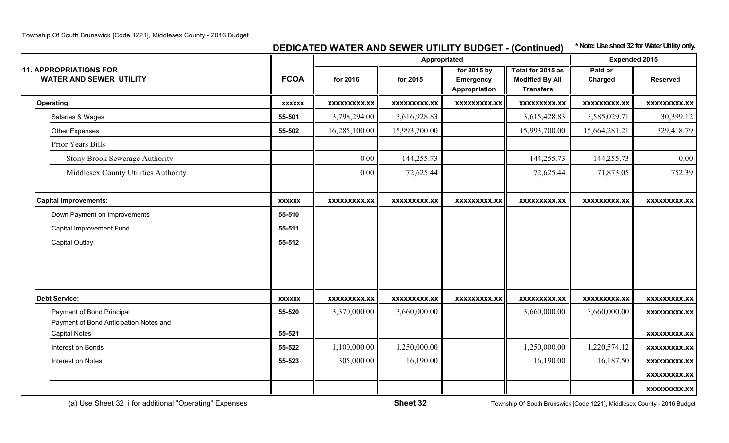## **DEDICATED WATER AND SEWER UTILITY BUDGET - (Continued) \* Note: Use sheet 32 for Water Utility only.**

|                                                                 |               |                     | Appropriated        |                                                  |                                                                 | <b>Expended 2015</b> |                     |
|-----------------------------------------------------------------|---------------|---------------------|---------------------|--------------------------------------------------|-----------------------------------------------------------------|----------------------|---------------------|
| <b>11. APPROPRIATIONS FOR</b><br><b>WATER AND SEWER UTILITY</b> | <b>FCOA</b>   | for 2016            | for 2015            | for 2015 by<br><b>Emergency</b><br>Appropriation | Total for 2015 as<br><b>Modified By All</b><br><b>Transfers</b> | Paid or<br>Charged   | <b>Reserved</b>     |
| <b>Operating:</b>                                               | <b>XXXXXX</b> | <b>XXXXXXXXX.XX</b> | <b>XXXXXXXXX.XX</b> | <b>XXXXXXXXX.XX</b>                              | <b>XXXXXXXXX.XX</b>                                             | <b>XXXXXXXXX.XX</b>  | <b>XXXXXXXXX.XX</b> |
| Salaries & Wages                                                | 55-501        | 3,798,294.00        | 3,616,928.83        |                                                  | 3,615,428.83                                                    | 3,585,029.71         | 30,399.12           |
| <b>Other Expenses</b>                                           | 55-502        | 16,285,100.00       | 15,993,700.00       |                                                  | 15,993,700.00                                                   | 15,664,281.21        | 329,418.79          |
| Prior Years Bills                                               |               |                     |                     |                                                  |                                                                 |                      |                     |
| <b>Stony Brook Sewerage Authority</b>                           |               | 0.00                | 144,255.73          |                                                  | 144,255.73                                                      | 144,255.73           | 0.00                |
| Middlesex County Utilities Authority                            |               | 0.00                | 72,625.44           |                                                  | 72,625.44                                                       | 71,873.05            | 752.39              |
| <b>Capital Improvements:</b>                                    | <b>XXXXXX</b> | XXXXXXXXX.XX        | <b>XXXXXXXXX.XX</b> | <b>XXXXXXXXX.XX</b>                              | XXXXXXXXX.XX                                                    | XXXXXXXXX.XX         | XXXXXXXXX.XX        |
| Down Payment on Improvements                                    | 55-510        |                     |                     |                                                  |                                                                 |                      |                     |
| Capital Improvement Fund                                        | 55-511        |                     |                     |                                                  |                                                                 |                      |                     |
| <b>Capital Outlay</b>                                           | 55-512        |                     |                     |                                                  |                                                                 |                      |                     |
|                                                                 |               |                     |                     |                                                  |                                                                 |                      |                     |
|                                                                 |               |                     |                     |                                                  |                                                                 |                      |                     |
| <b>Debt Service:</b>                                            | <b>XXXXXX</b> | <b>XXXXXXXXX.XX</b> | <b>XXXXXXXXX.XX</b> | <b>XXXXXXXXX.XX</b>                              | <b>XXXXXXXXX.XX</b>                                             | <b>XXXXXXXXX.XX</b>  | <b>XXXXXXXXX.XX</b> |
| Payment of Bond Principal                                       | 55-520        | 3,370,000.00        | 3,660,000.00        |                                                  | 3,660,000.00                                                    | 3,660,000.00         | XXXXXXXXX.XX        |
| Payment of Bond Anticipation Notes and                          |               |                     |                     |                                                  |                                                                 |                      |                     |
| <b>Capital Notes</b>                                            | 55-521        |                     |                     |                                                  |                                                                 |                      | <b>XXXXXXXXX.XX</b> |
| Interest on Bonds                                               | 55-522        | 1,100,000.00        | 1,250,000.00        |                                                  | 1,250,000.00                                                    | 1,220,574.12         | <b>XXXXXXXXX.XX</b> |
| Interest on Notes                                               | 55-523        | 305,000.00          | 16,190.00           |                                                  | 16,190.00                                                       | 16,187.50            | <b>XXXXXXXXX.XX</b> |
|                                                                 |               |                     |                     |                                                  |                                                                 |                      | <b>XXXXXXXXX.XX</b> |
|                                                                 |               |                     |                     |                                                  |                                                                 |                      | <b>XXXXXXXXX.XX</b> |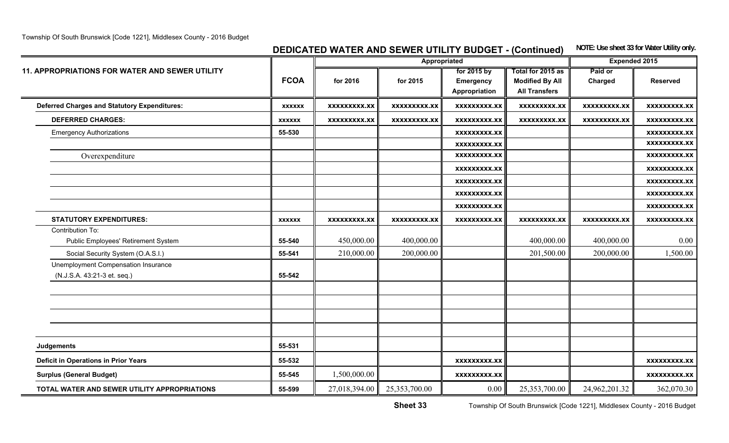## **DEDICATED WATER AND SEWER UTILITY BUDGET - (Continued)** NOTE: Use sheet 33 for Water Utility only.

|                                                                    |               |                     | Appropriated        |                                           |                                                                     | <b>Expended 2015</b> |                     |
|--------------------------------------------------------------------|---------------|---------------------|---------------------|-------------------------------------------|---------------------------------------------------------------------|----------------------|---------------------|
| <b>11. APPROPRIATIONS FOR WATER AND SEWER UTILITY</b>              | <b>FCOA</b>   | for 2016            | for 2015            | for 2015 by<br>Emergency<br>Appropriation | Total for 2015 as<br><b>Modified By All</b><br><b>All Transfers</b> | Paid or<br>Charged   | <b>Reserved</b>     |
| <b>Deferred Charges and Statutory Expenditures:</b>                | <b>XXXXXX</b> | XXXXXXXXX.XX        | <b>XXXXXXXXX.XX</b> | XXXXXXXXX.XX                              | XXXXXXXXX.XX                                                        | <b>XXXXXXXXX.XX</b>  | <b>XXXXXXXXX.XX</b> |
| <b>DEFERRED CHARGES:</b>                                           | <b>XXXXXX</b> | <b>XXXXXXXXX.XX</b> | XXXXXXXXX.XX        | XXXXXXXXX.XX                              | XXXXXXXXX.XX                                                        | XXXXXXXXX.XX         | <b>XXXXXXXXX.XX</b> |
| <b>Emergency Authorizations</b>                                    | 55-530        |                     |                     | <b>XXXXXXXXX.XX</b>                       |                                                                     |                      | XXXXXXXXX.XX        |
|                                                                    |               |                     |                     | <b>XXXXXXXXX.XX</b>                       |                                                                     |                      | <b>XXXXXXXX.XX</b>  |
| Overexpenditure                                                    |               |                     |                     | <b>XXXXXXXXX.XX</b>                       |                                                                     |                      | <b>XXXXXXXXX.XX</b> |
|                                                                    |               |                     |                     | XXXXXXXXX.XX                              |                                                                     |                      | XXXXXXXXX.XX        |
|                                                                    |               |                     |                     | <b>XXXXXXXXX.XX</b>                       |                                                                     |                      | <b>XXXXXXXXX.XX</b> |
|                                                                    |               |                     |                     | <b>XXXXXXXXX.XX</b>                       |                                                                     |                      | <b>XXXXXXXXX.XX</b> |
|                                                                    |               |                     |                     | <b>XXXXXXXXX.XX</b>                       |                                                                     |                      | <b>XXXXXXXX.XX</b>  |
| <b>STATUTORY EXPENDITURES:</b>                                     | <b>XXXXXX</b> | <b>XXXXXXXXX.XX</b> | <b>XXXXXXXXX.XX</b> | <b>XXXXXXXXX.XX</b>                       | <b>XXXXXXXXX.XX</b>                                                 | <b>XXXXXXXXX.XX</b>  | <b>XXXXXXXXX.XX</b> |
| Contribution To:<br>Public Employees' Retirement System            | 55-540        | 450,000.00          | 400,000.00          |                                           | 400,000.00                                                          | 400,000.00           | 0.00                |
| Social Security System (O.A.S.I.)                                  | 55-541        | 210,000.00          | 200,000.00          |                                           | 201,500.00                                                          | 200,000.00           | 1,500.00            |
| Unemployment Compensation Insurance<br>(N.J.S.A. 43:21-3 et. seq.) | 55-542        |                     |                     |                                           |                                                                     |                      |                     |
|                                                                    |               |                     |                     |                                           |                                                                     |                      |                     |
|                                                                    |               |                     |                     |                                           |                                                                     |                      |                     |
| <b>Judgements</b>                                                  | 55-531        |                     |                     |                                           |                                                                     |                      |                     |
| <b>Deficit in Operations in Prior Years</b>                        | 55-532        |                     |                     | <b>XXXXXXXXX.XX</b>                       |                                                                     |                      | <b>XXXXXXXX.XX</b>  |
| <b>Surplus (General Budget)</b>                                    | 55-545        | 1,500,000.00        |                     | <b>XXXXXXXXX.XX</b>                       |                                                                     |                      | <b>XXXXXXXXX.XX</b> |
| TOTAL WATER AND SEWER UTILITY APPROPRIATIONS                       | 55-599        | 27,018,394.00       | 25,353,700.00       | 0.00                                      | 25,353,700.00                                                       | 24,962,201.32        | 362,070.30          |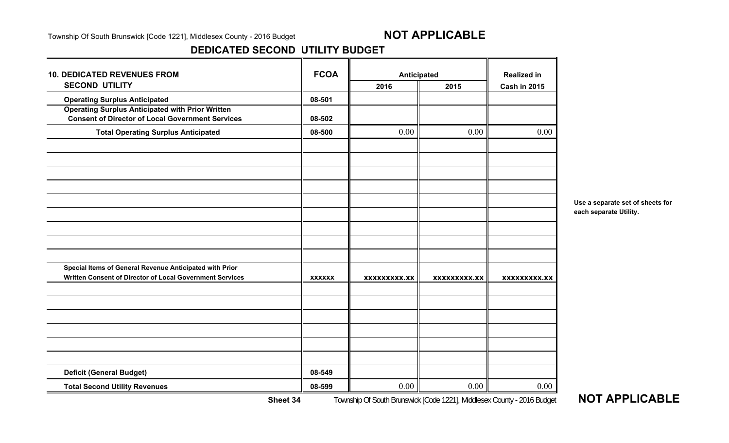### **DEDICATED SECOND UTILITY BUDGET**

| <b>10. DEDICATED REVENUES FROM</b>                                                                                 | <b>FCOA</b>   | Anticipated         |              | <b>Realized in</b>  |
|--------------------------------------------------------------------------------------------------------------------|---------------|---------------------|--------------|---------------------|
| <b>SECOND UTILITY</b>                                                                                              |               | 2016                | 2015         | <b>Cash in 2015</b> |
| <b>Operating Surplus Anticipated</b>                                                                               | 08-501        |                     |              |                     |
| <b>Operating Surplus Anticipated with Prior Written</b><br><b>Consent of Director of Local Government Services</b> | 08-502        |                     |              |                     |
| <b>Total Operating Surplus Anticipated</b>                                                                         | 08-500        | 0.00                | 0.00         | 0.00                |
|                                                                                                                    |               |                     |              |                     |
|                                                                                                                    |               |                     |              |                     |
|                                                                                                                    |               |                     |              |                     |
|                                                                                                                    |               |                     |              |                     |
|                                                                                                                    |               |                     |              |                     |
| Special Items of General Revenue Anticipated with Prior                                                            |               |                     |              |                     |
| Written Consent of Director of Local Government Services                                                           | <b>XXXXXX</b> | <b>XXXXXXXXX.XX</b> | XXXXXXXXX.XX | <b>XXXXXXXXX.XX</b> |
|                                                                                                                    |               |                     |              |                     |
|                                                                                                                    |               |                     |              |                     |
|                                                                                                                    |               |                     |              |                     |
|                                                                                                                    | 08-549        |                     |              |                     |
| <b>Deficit (General Budget)</b>                                                                                    |               |                     |              |                     |
| <b>Total Second Utility Revenues</b>                                                                               | 08-599        | 0.00                | 0.00         | 0.00                |

**Use a separate set of sheets for each separate Utility.**

**Sheet 34**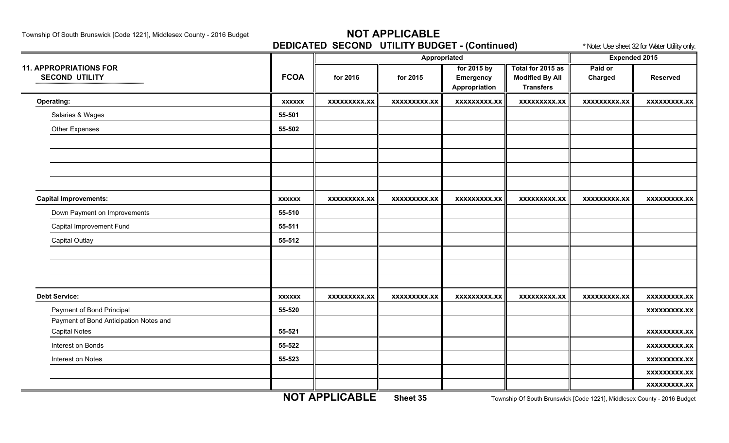**DEDICATED SECOND UTILITY BUDGET - (Continued)** \* Note: Use sheet 32 for Water Utility only.

|                                        |               |                     |                     | $\frac{1}{2}$       |                        |                      |                     |
|----------------------------------------|---------------|---------------------|---------------------|---------------------|------------------------|----------------------|---------------------|
|                                        |               |                     | Appropriated        |                     |                        | <b>Expended 2015</b> |                     |
| <b>11. APPROPRIATIONS FOR</b>          |               |                     |                     | for 2015 by         | Total for 2015 as      | Paid or              |                     |
| <b>SECOND UTILITY</b>                  | <b>FCOA</b>   | for 2016            | for 2015            | Emergency           | <b>Modified By All</b> | Charged              | <b>Reserved</b>     |
|                                        |               |                     |                     | Appropriation       | <b>Transfers</b>       |                      |                     |
| Operating:                             | <b>XXXXXX</b> | <b>XXXXXXXXX.XX</b> | <b>XXXXXXXXX.XX</b> | <b>XXXXXXXXX.XX</b> | <b>XXXXXXXXX.XX</b>    | <b>XXXXXXXXX.XX</b>  | <b>XXXXXXXXX.XX</b> |
| Salaries & Wages                       | 55-501        |                     |                     |                     |                        |                      |                     |
| Other Expenses                         | 55-502        |                     |                     |                     |                        |                      |                     |
|                                        |               |                     |                     |                     |                        |                      |                     |
|                                        |               |                     |                     |                     |                        |                      |                     |
|                                        |               |                     |                     |                     |                        |                      |                     |
|                                        |               |                     |                     |                     |                        |                      |                     |
| <b>Capital Improvements:</b>           | <b>XXXXXX</b> | XXXXXXXXX.XX        | <b>XXXXXXXXX.XX</b> | XXXXXXXXX.XX        | <b>XXXXXXXXX.XX</b>    | <b>XXXXXXXXX.XX</b>  | <b>XXXXXXXXX.XX</b> |
| Down Payment on Improvements           | 55-510        |                     |                     |                     |                        |                      |                     |
| Capital Improvement Fund               | 55-511        |                     |                     |                     |                        |                      |                     |
| <b>Capital Outlay</b>                  | 55-512        |                     |                     |                     |                        |                      |                     |
|                                        |               |                     |                     |                     |                        |                      |                     |
|                                        |               |                     |                     |                     |                        |                      |                     |
|                                        |               |                     |                     |                     |                        |                      |                     |
| <b>Debt Service:</b>                   | <b>XXXXXX</b> | <b>XXXXXXXXX.XX</b> | <b>XXXXXXXXX.XX</b> | XXXXXXXXX.XX        | <b>XXXXXXXXX.XX</b>    | XXXXXXXXX.XX         | <b>XXXXXXXXX.XX</b> |
| Payment of Bond Principal              | 55-520        |                     |                     |                     |                        |                      | <b>XXXXXXXXX.XX</b> |
| Payment of Bond Anticipation Notes and |               |                     |                     |                     |                        |                      |                     |
| <b>Capital Notes</b>                   | 55-521        |                     |                     |                     |                        |                      | <b>XXXXXXXXX.XX</b> |
| Interest on Bonds                      | 55-522        |                     |                     |                     |                        |                      | <b>XXXXXXXXX.XX</b> |
| Interest on Notes                      | 55-523        |                     |                     |                     |                        |                      | xxxxxxxxx.xx        |
|                                        |               |                     |                     |                     |                        |                      | <b>XXXXXXXXX.XX</b> |
|                                        |               |                     |                     |                     |                        |                      | <b>XXXXXXXXX.XX</b> |

**NOT APPLICABLE**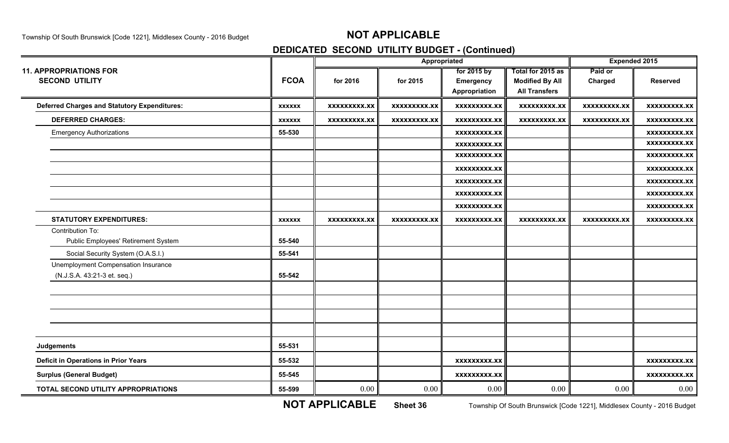# **DEDICATED SECOND UTILITY BUDGET - (Continued)**

|                                                     |               |                     | Appropriated        | <b>Expended 2015</b> |                        |                     |                     |
|-----------------------------------------------------|---------------|---------------------|---------------------|----------------------|------------------------|---------------------|---------------------|
| <b>11. APPROPRIATIONS FOR</b>                       |               |                     |                     | for 2015 by          | Total for 2015 as      | Paid or             |                     |
| <b>SECOND UTILITY</b>                               | <b>FCOA</b>   | for 2016            | for 2015            | <b>Emergency</b>     | <b>Modified By All</b> | Charged             | <b>Reserved</b>     |
|                                                     |               |                     |                     | Appropriation        | <b>All Transfers</b>   |                     |                     |
| <b>Deferred Charges and Statutory Expenditures:</b> | <b>XXXXXX</b> | <b>XXXXXXXXX.XX</b> | <b>XXXXXXXXX.XX</b> | <b>XXXXXXXXX.XX</b>  | <b>XXXXXXXXX.XX</b>    | <b>XXXXXXXXX.XX</b> | <b>XXXXXXXXX.XX</b> |
| <b>DEFERRED CHARGES:</b>                            | <b>XXXXXX</b> | <b>XXXXXXXXX.XX</b> | XXXXXXXXX.XX        | <b>XXXXXXXXX.XX</b>  | <b>XXXXXXXXX.XX</b>    | <b>XXXXXXXXX.XX</b> | <b>XXXXXXXXX.XX</b> |
| <b>Emergency Authorizations</b>                     | 55-530        |                     |                     | <b>XXXXXXXXX.XX</b>  |                        |                     | <b>XXXXXXXXX.XX</b> |
|                                                     |               |                     |                     | <b>XXXXXXXXX.XX</b>  |                        |                     | <b>XXXXXXXXX.XX</b> |
|                                                     |               |                     |                     | <b>XXXXXXXXX.XX</b>  |                        |                     | <b>XXXXXXXXX.XX</b> |
|                                                     |               |                     |                     | XXXXXXXXX.XX         |                        |                     | XXXXXXXXX.XX        |
|                                                     |               |                     |                     | <b>XXXXXXXXX.XX</b>  |                        |                     | <b>XXXXXXXXX.XX</b> |
|                                                     |               |                     |                     | <b>XXXXXXXXX.XX</b>  |                        |                     | <b>XXXXXXXXX.XX</b> |
|                                                     |               |                     |                     | <b>XXXXXXXXX.XX</b>  |                        |                     | <b>XXXXXXXXX.XX</b> |
| <b>STATUTORY EXPENDITURES:</b>                      | <b>XXXXXX</b> | <b>XXXXXXXXX.XX</b> | XXXXXXXXX.XX        | <b>XXXXXXXXX.XX</b>  | XXXXXXXXX.XX           | XXXXXXXXX.XX        | <b>XXXXXXXXX.XX</b> |
| Contribution To:                                    |               |                     |                     |                      |                        |                     |                     |
| Public Employees' Retirement System                 | 55-540        |                     |                     |                      |                        |                     |                     |
| Social Security System (O.A.S.I.)                   | 55-541        |                     |                     |                      |                        |                     |                     |
| Unemployment Compensation Insurance                 |               |                     |                     |                      |                        |                     |                     |
| (N.J.S.A. 43:21-3 et. seq.)                         | 55-542        |                     |                     |                      |                        |                     |                     |
|                                                     |               |                     |                     |                      |                        |                     |                     |
|                                                     |               |                     |                     |                      |                        |                     |                     |
|                                                     |               |                     |                     |                      |                        |                     |                     |
|                                                     |               |                     |                     |                      |                        |                     |                     |
| Judgements                                          | 55-531        |                     |                     |                      |                        |                     |                     |
| <b>Deficit in Operations in Prior Years</b>         | 55-532        |                     |                     | XXXXXXXXX.XX         |                        |                     | <b>XXXXXXXXX.XX</b> |
| <b>Surplus (General Budget)</b>                     | 55-545        |                     |                     | <b>XXXXXXXXX.XX</b>  |                        |                     | <b>XXXXXXXXX.XX</b> |
| TOTAL SECOND UTILITY APPROPRIATIONS                 | 55-599        | 0.00                | 0.00                | 0.00                 | 0.00                   | 0.00                | 0.00                |

**NOT APPLICABLE**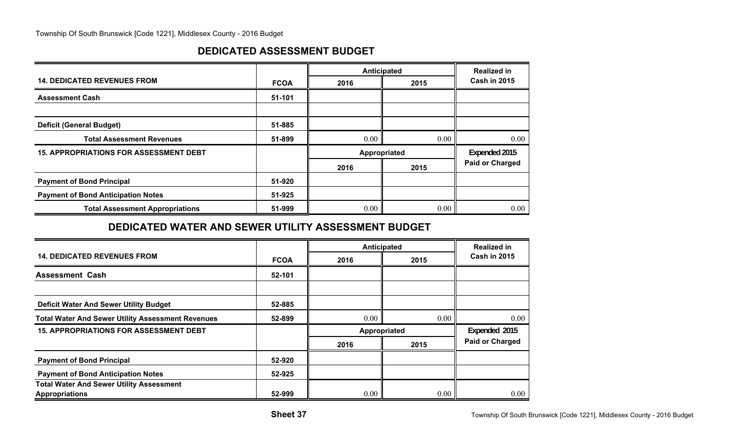## **DEDICATED ASSESSMENT BUDGET**

|                                               |             | Anticipated   | <b>Realized in</b> |                        |  |
|-----------------------------------------------|-------------|---------------|--------------------|------------------------|--|
| <b>14. DEDICATED REVENUES FROM</b>            | <b>FCOA</b> | 2016          | 2015               | <b>Cash in 2015</b>    |  |
| <b>Assessment Cash</b>                        | 51-101      |               |                    |                        |  |
|                                               |             |               |                    |                        |  |
| <b>Deficit (General Budget)</b>               | 51-885      |               |                    |                        |  |
| <b>Total Assessment Revenues</b>              | 51-899      | $0.00\degree$ | 0.00               | 0.00                   |  |
| <b>15. APPROPRIATIONS FOR ASSESSMENT DEBT</b> |             | Appropriated  |                    | Expended 2015          |  |
|                                               |             | 2016          | 2015               | <b>Paid or Charged</b> |  |
| <b>Payment of Bond Principal</b>              | 51-920      |               |                    |                        |  |
| <b>Payment of Bond Anticipation Notes</b>     | 51-925      |               |                    |                        |  |
| <b>Total Assessment Appropriations</b>        | 51-999      | $0.00\,$      | 0.00               | 0.00                   |  |

## **DEDICATED WATER AND SEWER UTILITY ASSESSMENT BUDGET**

|                                                                          |             | Anticipated  | <b>Realized in</b> |                        |
|--------------------------------------------------------------------------|-------------|--------------|--------------------|------------------------|
| <b>14. DEDICATED REVENUES FROM</b>                                       | <b>FCOA</b> | 2016         | 2015               | <b>Cash in 2015</b>    |
| <b>Assessment Cash</b>                                                   | 52-101      |              |                    |                        |
|                                                                          |             |              |                    |                        |
| <b>Deficit Water And Sewer Utility Budget</b>                            | 52-885      |              |                    |                        |
| <b>Total Water And Sewer Utility Assessment Revenues</b>                 | 52-899      | 0.00         | 0.00               | 0.00                   |
| <b>15. APPROPRIATIONS FOR ASSESSMENT DEBT</b>                            |             | Appropriated |                    | Expended 2015          |
|                                                                          |             | 2016         | 2015               | <b>Paid or Charged</b> |
| <b>Payment of Bond Principal</b>                                         | 52-920      |              |                    |                        |
| <b>Payment of Bond Anticipation Notes</b>                                | 52-925      |              |                    |                        |
| <b>Total Water And Sewer Utility Assessment</b><br><b>Appropriations</b> | 52-999      | 0.00         | 0.00               | 0.00                   |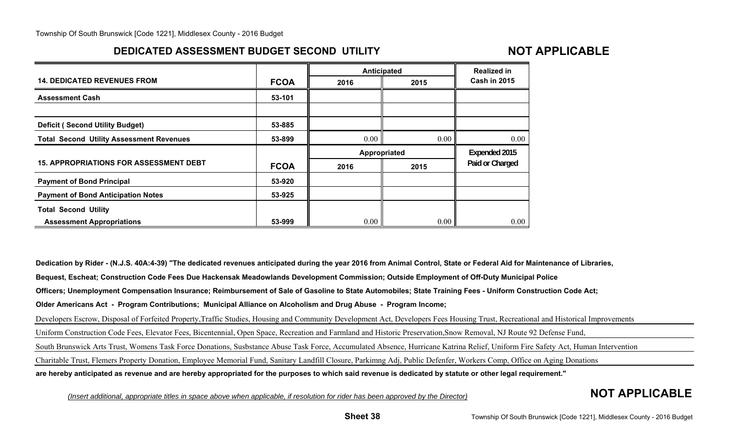## **DEDICATED ASSESSMENT BUDGET SECOND UTILITY**

## **NOT APPLICABLE**

|                                                 |             | Anticipated  | <b>Realized in</b> |                     |  |
|-------------------------------------------------|-------------|--------------|--------------------|---------------------|--|
| <b>14. DEDICATED REVENUES FROM</b>              | <b>FCOA</b> | 2016         | 2015               | <b>Cash in 2015</b> |  |
| <b>Assessment Cash</b>                          | 53-101      |              |                    |                     |  |
| <b>Deficit (Second Utility Budget)</b>          | 53-885      |              |                    |                     |  |
| <b>Total Second Utility Assessment Revenues</b> | 53-899      | 0.00         | 0.00               | $0.00\,$            |  |
|                                                 |             | Appropriated |                    | Expended 2015       |  |
| <b>15. APPROPRIATIONS FOR ASSESSMENT DEBT</b>   | <b>FCOA</b> | 2016         | 2015               | Paid or Charged     |  |
|                                                 |             |              |                    |                     |  |
| <b>Payment of Bond Principal</b>                | 53-920      |              |                    |                     |  |
| <b>Payment of Bond Anticipation Notes</b>       | 53-925      |              |                    |                     |  |
| <b>Total Second Utility</b>                     |             |              |                    |                     |  |

**Dedication by Rider - (N.J.S. 40A:4-39) "The dedicated revenues anticipated during the year 2016 from Animal Control, State or Federal Aid for Maintenance of Libraries, Bequest, Escheat; Construction Code Fees Due Hackensak Meadowlands Development Commission; Outside Employment of Off-Duty Municipal Police Officers; Unemployment Compensation Insurance; Reimbursement of Sale of Gasoline to State Automobiles; State Training Fees - Uniform Construction Code Act; Older Americans Act - Program Contributions; Municipal Alliance on Alcoholism and Drug Abuse - Program Income;** Developers Escrow, Disposal of Forfeited Property,Traffic Studies, Housing and Community Development Act, Developers Fees Housing Trust, Recreational and Historical Improvements Uniform Construction Code Fees, Elevator Fees, Bicentennial, Open Space, Recreation and Farmland and Historic Preservation,Snow Removal, NJ Route 92 Defense Fund, South Brunswick Arts Trust, Womens Task Force Donations, Susbstance Abuse Task Force, Accumulated Absence, Hurricane Katrina Relief, Uniform Fire Safety Act, Human Intervention Charitable Trust, Flemers Property Donation, Employee Memorial Fund, Sanitary Landfill Closure, Parkimng Adj, Public Defenfer, Workers Comp, Office on Aging Donations **are hereby anticipated as revenue and are hereby appropriated for the purposes to which said revenue is dedicated by statute or other legal requirement."**

*(Insert additional, appropriate titles in space above when applicable, if resolution for rider has been approved by the Director)* **NOT APPLICABLE**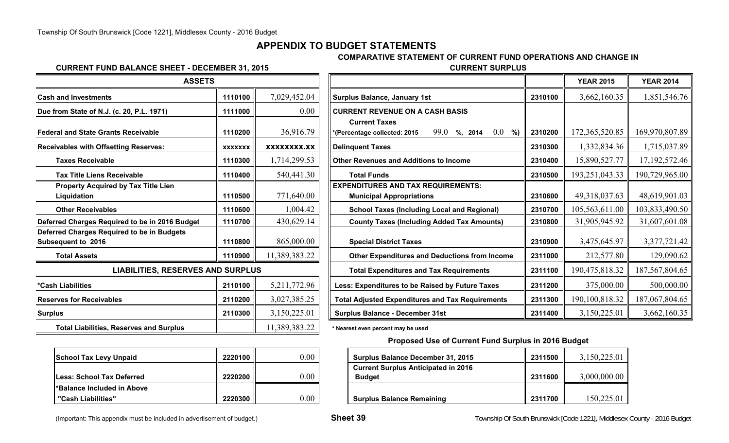## **APPENDIX TO BUDGET STATEMENTS**

#### **COMPARATIVE STATEMENT OF CURRENT FUND OPERATIONS AND CHANGE IN**

## **CURRENT FUND BALANCE SHEET - DECEMBER 31, 2015**

| <b>ASSETS</b>                                                           |                |                    |                                                                              |
|-------------------------------------------------------------------------|----------------|--------------------|------------------------------------------------------------------------------|
| Cash and Investments                                                    | 1110100        | 7,029,452.04       | <b>Surplus Balance, January 1st</b>                                          |
| Due from State of N.J. (c. 20, P.L. 1971)                               | 1111000        | 0.00               | <b>CURRENT REVENUE ON A CASH BASIS</b>                                       |
| <b>Federal and State Grants Receivable</b>                              | 1110200        | 36,916.79          | <b>Current Taxes</b><br>99.0<br>$%$ , 2014<br>*(Percentage collected: 2015   |
| <b>Receivables with Offsetting Reserves:</b>                            | <b>XXXXXXX</b> | <b>XXXXXXXX.XX</b> | <b>Delinquent Taxes</b>                                                      |
| <b>Taxes Receivable</b>                                                 | 1110300        | 1,714,299.53       | <b>Other Revenues and Additions to Income</b>                                |
| <b>Tax Title Liens Receivable</b>                                       | 1110400        | 540,441.30         | <b>Total Funds</b>                                                           |
| Property Acquired by Tax Title Lien<br>Liquidation                      | 1110500        | 771,640.00         | <b>EXPENDITURES AND TAX REQUIREMENTS:</b><br><b>Municipal Appropriations</b> |
| <b>Other Receivables</b>                                                | 1110600        | 1,004.42           | <b>School Taxes (Including Local and Reg</b>                                 |
| Deferred Charges Required to be in 2016 Budget                          | 1110700        | 430,629.14         | <b>County Taxes (Including Added Tax Am</b>                                  |
| Deferred Charges Required to be in Budgets<br><b>Subsequent to 2016</b> | 1110800        | 865,000.00         | <b>Special District Taxes</b>                                                |
| <b>Total Assets</b>                                                     | 1110900        | 11,389,383.22      | <b>Other Expenditures and Deductions fro</b>                                 |
| <b>LIABILITIES, RESERVES AND SURPLUS</b>                                |                |                    | <b>Total Expenditures and Tax Requiremer</b>                                 |
| *Cash Liabilities                                                       | 2110100        | 5,211,772.96       | Less: Expenditures to be Raised by Future                                    |
| <b>Reserves for Receivables</b>                                         | 2110200        | 3,027,385.25       | <b>Total Adjusted Expenditures and Tax Requi</b>                             |
| <b>Surplus</b>                                                          | 2110300        | 3,150,225.01       | <b>Surplus Balance - December 31st</b>                                       |
| <b>Total Liabilities, Reserves and Surplus</b>                          |                | 11,389,383.22      | * Nearest even percent may be used                                           |

| <b>School Tax Levy Unpaid</b>     | 2220100 |  |
|-----------------------------------|---------|--|
| <b>ILess: School Tax Deferred</b> | 2220200 |  |
| l*Balance Included in Above       |         |  |
| "Cash Liabilities"                | 2220300 |  |

| <b>EMBER 31, 2015</b> | <b>CURRENT SURPLUS</b> |                  |                  |
|-----------------------|------------------------|------------------|------------------|
| ⌒                     |                        | <b>YEAR 2015</b> | <b>YEAR 2014</b> |
|                       |                        |                  |                  |

| 1110100                                  | 7,029,452.04   | <b>Surplus Balance, January 1st</b>                              | 2310100 | 3,662,160.35     | 1,851,546.76                                                                 |
|------------------------------------------|----------------|------------------------------------------------------------------|---------|------------------|------------------------------------------------------------------------------|
| 1111000                                  | 0.00           | <b>CURRENT REVENUE ON A CASH BASIS</b>                           |         |                  |                                                                              |
|                                          |                | <b>Current Taxes</b>                                             |         |                  |                                                                              |
| 1110200                                  | 36,916.79      | 99.0<br>$0.0\,$<br>%)<br>*(Percentage collected: 2015<br>%, 2014 | 2310200 | 172,365,520.85   | 169,970,807.89                                                               |
| <b>XXXXXXX</b>                           | XXXXXXXX.XX    | <b>Delinquent Taxes</b>                                          | 2310300 |                  | 1,715,037.89                                                                 |
| 1110300                                  | 1,714,299.53   | <b>Other Revenues and Additions to Income</b>                    | 2310400 | 15,890,527.77    | 17, 192, 572. 46                                                             |
| 1110400                                  | 540,441.30     | <b>Total Funds</b>                                               | 2310500 | 193,251,043.33   | 190,729,965.00                                                               |
|                                          |                | <b>EXPENDITURES AND TAX REQUIREMENTS:</b>                        |         |                  |                                                                              |
| 1110500                                  | 771,640.00     | <b>Municipal Appropriations</b>                                  | 2310600 | 49,318,037.63    | 48,619,901.03                                                                |
| 1110600                                  | ,004.42        | <b>School Taxes (Including Local and Regional)</b>               | 2310700 |                  | 103,833,490.50                                                               |
| 1110700                                  | 430,629.14     | <b>County Taxes (Including Added Tax Amounts)</b>                | 2310800 | 31,905,945.92    | 31,607,601.08                                                                |
| 1110800                                  | 865,000.00     | <b>Special District Taxes</b>                                    | 2310900 | 3,475,645.97     | 3,377,721.42                                                                 |
| 1110900                                  | 11,389,383.22  | <b>Other Expenditures and Deductions from Income</b>             | 2311000 |                  | 129,090.62                                                                   |
| <b>LIABILITIES, RESERVES AND SURPLUS</b> |                | <b>Total Expenditures and Tax Requirements</b>                   | 2311100 |                  | 187, 567, 804. 65                                                            |
| 2110100                                  | 5, 211, 772.96 | Less: Expenditures to be Raised by Future Taxes                  | 2311200 |                  | 500,000.00                                                                   |
| 2110200                                  | 3,027,385.25   | <b>Total Adjusted Expenditures and Tax Requirements</b>          | 2311300 | 190, 100, 818.32 | 187,067,804.65                                                               |
| 2110300                                  | 3,150,225.01   | <b>Surplus Balance - December 31st</b>                           | 2311400 | 3,150,225.01     | 3,662,160.35                                                                 |
|                                          |                |                                                                  |         |                  | 1,332,834.36<br>105,563,611.00<br>212,577.80<br>190,475,818.32<br>375,000.00 |

#### **Proposed Use of Current Fund Surplus in 2016 Budget**

| <b>School Tax Levy Unpaid</b> | 2220100   | 0.00     | <b>Surplus Balance December 31, 2015</b>   | 2311500 | 3,150,225.01 |
|-------------------------------|-----------|----------|--------------------------------------------|---------|--------------|
|                               |           |          | <b>Current Surplus Anticipated in 2016</b> |         |              |
| Less: School Tax Deferred     | 2220200 l | $0.00\,$ | <b>Budget</b>                              | 2311600 | 3,000,000.00 |
| *Balance Included in Above    |           |          |                                            |         |              |
| "Cash Liabilities"            | 2220300 l | 0.00     | <b>Surplus Balance Remaining</b>           | 2311700 | 150,225.01   |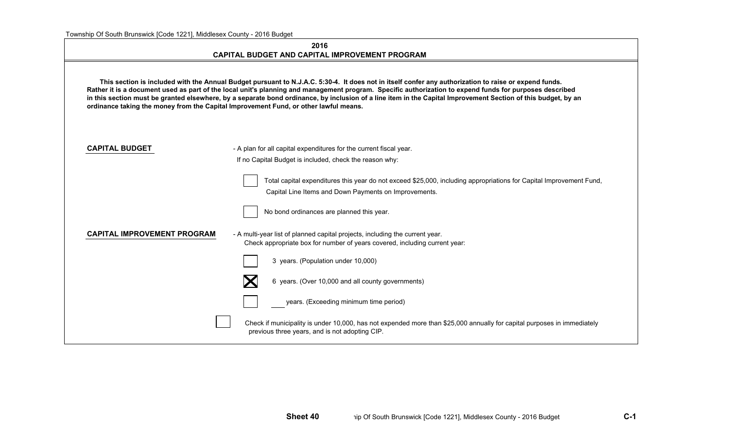|                                                                                                                                                                                                                                                                                                                                                                                                                                                                                                                                                                           | 2016<br>CAPITAL BUDGET AND CAPITAL IMPROVEMENT PROGRAM                                                                                                                       |  |  |  |  |  |  |
|---------------------------------------------------------------------------------------------------------------------------------------------------------------------------------------------------------------------------------------------------------------------------------------------------------------------------------------------------------------------------------------------------------------------------------------------------------------------------------------------------------------------------------------------------------------------------|------------------------------------------------------------------------------------------------------------------------------------------------------------------------------|--|--|--|--|--|--|
| This section is included with the Annual Budget pursuant to N.J.A.C. 5:30-4. It does not in itself confer any authorization to raise or expend funds.<br>Rather it is a document used as part of the local unit's planning and management program. Specific authorization to expend funds for purposes described<br>in this section must be granted elsewhere, by a separate bond ordinance, by inclusion of a line item in the Capital Improvement Section of this budget, by an<br>ordinance taking the money from the Capital Improvement Fund, or other lawful means. |                                                                                                                                                                              |  |  |  |  |  |  |
| <b>CAPITAL BUDGET</b>                                                                                                                                                                                                                                                                                                                                                                                                                                                                                                                                                     | - A plan for all capital expenditures for the current fiscal year.<br>If no Capital Budget is included, check the reason why:                                                |  |  |  |  |  |  |
|                                                                                                                                                                                                                                                                                                                                                                                                                                                                                                                                                                           | Total capital expenditures this year do not exceed \$25,000, including appropriations for Capital Improvement Fund,<br>Capital Line Items and Down Payments on Improvements. |  |  |  |  |  |  |
|                                                                                                                                                                                                                                                                                                                                                                                                                                                                                                                                                                           | No bond ordinances are planned this year.                                                                                                                                    |  |  |  |  |  |  |
| <b>CAPITAL IMPROVEMENT PROGRAM</b>                                                                                                                                                                                                                                                                                                                                                                                                                                                                                                                                        | - A multi-year list of planned capital projects, including the current year.<br>Check appropriate box for number of years covered, including current year:                   |  |  |  |  |  |  |
|                                                                                                                                                                                                                                                                                                                                                                                                                                                                                                                                                                           | 3 years. (Population under 10,000)                                                                                                                                           |  |  |  |  |  |  |
|                                                                                                                                                                                                                                                                                                                                                                                                                                                                                                                                                                           | Х<br>6 years. (Over 10,000 and all county governments)                                                                                                                       |  |  |  |  |  |  |
|                                                                                                                                                                                                                                                                                                                                                                                                                                                                                                                                                                           | years. (Exceeding minimum time period)                                                                                                                                       |  |  |  |  |  |  |
|                                                                                                                                                                                                                                                                                                                                                                                                                                                                                                                                                                           | Check if municipality is under 10,000, has not expended more than \$25,000 annually for capital purposes in immediately<br>previous three years, and is not adopting CIP.    |  |  |  |  |  |  |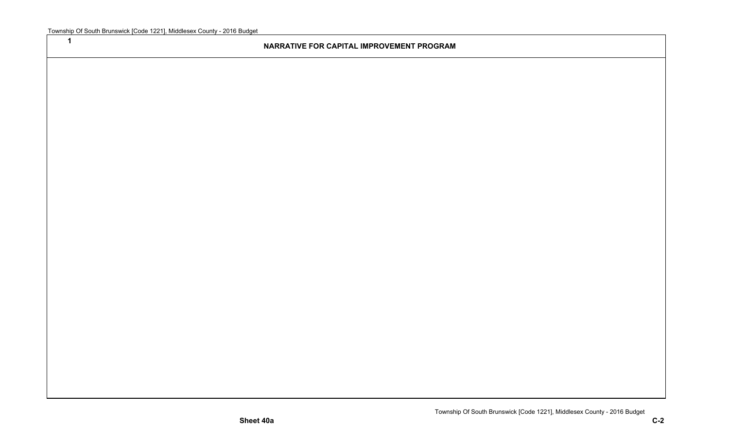**1**

#### **NARRATIVE FOR CAPITAL IMPROVEMENT PROGRAM**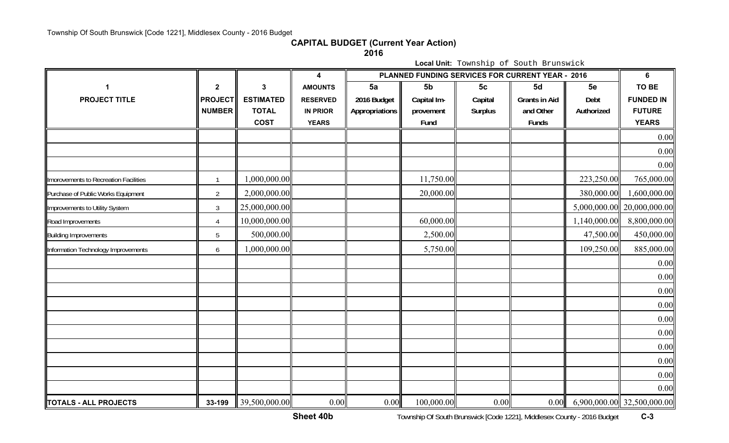#### **CAPITAL BUDGET (Current Year Action)**

**2016**

**Local Unit:** Township of South Brunswick

|                                       |                  |                  | $\overline{\mathbf{4}}$ | PLANNED FUNDING SERVICES FOR CURRENT YEAR - 2016 |                |                |                      | $6\phantom{a}$ |                            |
|---------------------------------------|------------------|------------------|-------------------------|--------------------------------------------------|----------------|----------------|----------------------|----------------|----------------------------|
| 1                                     | $\boldsymbol{2}$ | 3                | <b>AMOUNTS</b>          | 5a                                               | 5 <sub>b</sub> | 5 <sub>c</sub> | 5d                   | 5e             | TO BE                      |
| <b>PROJECT TITLE</b>                  | <b>PROJECT</b>   | <b>ESTIMATED</b> | <b>RESERVED</b>         | 2016 Budget                                      | Capital Im-    | Capital        | <b>Grants in Aid</b> | Debt           | <b>FUNDED IN</b>           |
|                                       | <b>NUMBER</b>    | <b>TOTAL</b>     | <b>IN PRIOR</b>         | Appropriations                                   | provement      | <b>Surplus</b> | and Other            | Authorized     | <b>FUTURE</b>              |
|                                       |                  | <b>COST</b>      | <b>YEARS</b>            |                                                  | Fund           |                | Funds                |                | <b>YEARS</b>               |
|                                       |                  |                  |                         |                                                  |                |                |                      |                | 0.00                       |
|                                       |                  |                  |                         |                                                  |                |                |                      |                | 0.00                       |
|                                       |                  |                  |                         |                                                  |                |                |                      |                | 0.00                       |
| Imorovements to Recreation Facilities | -1               | 1,000,000.00     |                         |                                                  | 11,750.00      |                |                      | 223,250.00     | 765,000.00                 |
| Purchase of Public Works Equipment    | $\overline{2}$   | 2,000,000.00     |                         |                                                  | 20,000.00      |                |                      | 380,000.00     | ,600,000.00                |
| Improvements to Utility System        | $\mathfrak{Z}$   | 25,000,000.00    |                         |                                                  |                |                |                      | 5,000,000.00   | 20,000,000.00              |
| Road Improvements                     | $\overline{4}$   | 10,000,000.00    |                         |                                                  | 60,000.00      |                |                      | 1,140,000.00   | 8,800,000.00               |
| <b>Building Improvements</b>          | 5                | 500,000.00       |                         |                                                  | 2,500.00       |                |                      | 47,500.00      | 450,000.00                 |
| Information Technology Improvements   | 6                | 1,000,000.00     |                         |                                                  | 5,750.00       |                |                      | 109,250.00     | 885,000.00                 |
|                                       |                  |                  |                         |                                                  |                |                |                      |                | 0.00                       |
|                                       |                  |                  |                         |                                                  |                |                |                      |                | 0.00                       |
|                                       |                  |                  |                         |                                                  |                |                |                      |                | 0.00                       |
|                                       |                  |                  |                         |                                                  |                |                |                      |                | 0.00                       |
|                                       |                  |                  |                         |                                                  |                |                |                      |                | 0.00                       |
|                                       |                  |                  |                         |                                                  |                |                |                      |                | 0.00                       |
|                                       |                  |                  |                         |                                                  |                |                |                      |                | 0.00                       |
|                                       |                  |                  |                         |                                                  |                |                |                      |                | 0.00                       |
|                                       |                  |                  |                         |                                                  |                |                |                      |                | 0.00                       |
|                                       |                  |                  |                         |                                                  |                |                |                      |                | 0.00                       |
| TOTALS - ALL PROJECTS                 | 33-199           | 39,500,000.00    | 0.00                    | 0.00                                             | 100,000.00     | 0.00           | 0.00                 |                | 6,900,000.00 32,500,000.00 |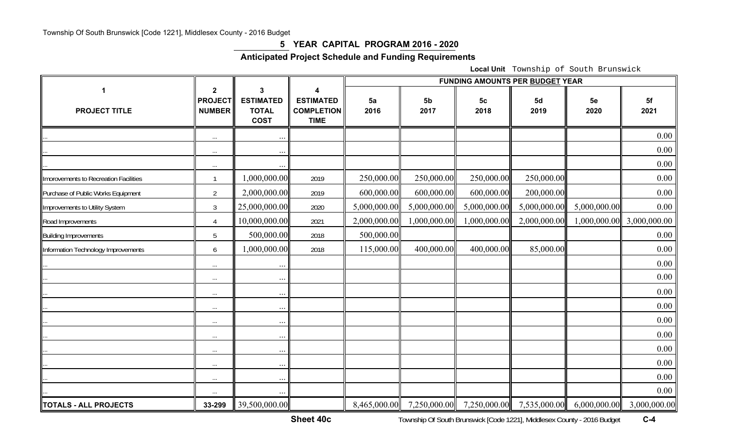### **5 YEAR CAPITAL PROGRAM 2016 - 2020**

**Anticipated Project Schedule and Funding Requirements** 

**Local Unit** Township of South Brunswick

|                                       |                                                |                                                      |                                                           | FUNDING AMOUNTS PER BUDGET YEAR |                        |                        |              |              |              |  |
|---------------------------------------|------------------------------------------------|------------------------------------------------------|-----------------------------------------------------------|---------------------------------|------------------------|------------------------|--------------|--------------|--------------|--|
| 1<br><b>PROJECT TITLE</b>             | $\mathbf 2$<br><b>PROJECT</b><br><b>NUMBER</b> | 3<br><b>ESTIMATED</b><br><b>TOTAL</b><br><b>COST</b> | 4<br><b>ESTIMATED</b><br><b>COMPLETION</b><br><b>TIME</b> | 5a<br>2016                      | 5 <sub>b</sub><br>2017 | 5 <sub>c</sub><br>2018 | 5d<br>2019   | 5e<br>2020   | 5f<br>2021   |  |
|                                       | $\cdots$                                       | $\ddotsc$                                            |                                                           |                                 |                        |                        |              |              | 0.00         |  |
|                                       | $\cdots$                                       | $\cdots$                                             |                                                           |                                 |                        |                        |              |              | 0.00         |  |
|                                       | $\cdots$                                       | $\ddots$                                             |                                                           |                                 |                        |                        |              |              | 0.00         |  |
| Imorovements to Recreation Facilities | $\mathbf{1}$                                   | 000,000.00                                           | 2019                                                      | 250,000.00                      | 250,000.00             | 250,000.00             | 250,000.00   |              | 0.00         |  |
| Purchase of Public Works Equipment    | $\overline{2}$                                 | 2,000,000.00                                         | 2019                                                      | 600,000.00                      | 600,000.00             | 600,000.00             | 200,000.00   |              | 0.00         |  |
| Improvements to Utility System        | $\mathfrak{Z}$                                 | 25,000,000.00                                        | 2020                                                      | 5,000,000.00                    | 5,000,000.00           | 5,000,000.00           | 5,000,000.00 | 5,000,000.00 | 0.00         |  |
| Road Improvements                     | $\overline{4}$                                 | 10,000,000.00                                        | 2021                                                      | 2,000,000.00                    | 1,000,000.00           | 1,000,000.00           | 2,000,000.00 | 1,000,000.00 | 3,000,000.00 |  |
| <b>Building Improvements</b>          | 5                                              | 500,000.00                                           | 2018                                                      | 500,000.00                      |                        |                        |              |              | 0.00         |  |
| Information Technology Improvements   | 6                                              | 1,000,000.00                                         | 2018                                                      | 115,000.00                      | 400,000.00             | 400,000.00             | 85,000.00    |              | 0.00         |  |
|                                       | $\cdots$                                       | $\cdots$                                             |                                                           |                                 |                        |                        |              |              | 0.00         |  |
|                                       | $\cdots$                                       | $\cdots$                                             |                                                           |                                 |                        |                        |              |              | 0.00         |  |
|                                       | $\cdots$                                       | $\ldots$                                             |                                                           |                                 |                        |                        |              |              | 0.00         |  |
|                                       | $\cdots$                                       | $\cdots$                                             |                                                           |                                 |                        |                        |              |              | 0.00         |  |
|                                       | $\cdots$                                       | $\cdots$                                             |                                                           |                                 |                        |                        |              |              | 0.00         |  |
|                                       | $\cdots$                                       | $\ldots$                                             |                                                           |                                 |                        |                        |              |              | 0.00         |  |
|                                       | $\cdots$                                       | $\cdots$                                             |                                                           |                                 |                        |                        |              |              | 0.00         |  |
|                                       | $\cdots$                                       | $\cdots$                                             |                                                           |                                 |                        |                        |              |              | 0.00         |  |
|                                       | $\cdots$                                       | $\cdots$                                             |                                                           |                                 |                        |                        |              |              | 0.00         |  |
|                                       | $\ldots$                                       | $\cdots$                                             |                                                           |                                 |                        |                        |              |              | 0.00         |  |
| <b>TOTALS - ALL PROJECTS</b>          | 33-299                                         | 39,500,000.00                                        |                                                           | 8,465,000.00                    | 7,250,000.00           | 7,250,000.00           | 7,535,000.00 | 6,000,000.00 | 3,000,000.00 |  |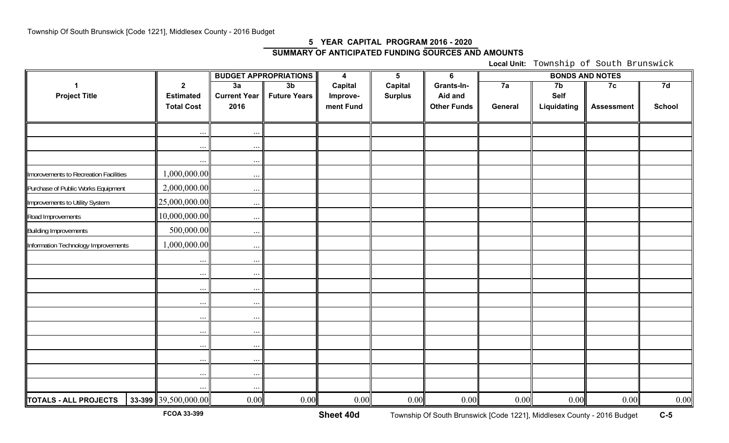#### **5 YEAR CAPITAL PROGRAM 2016 - 2020 SUMMARY OF ANTICIPATED FUNDING SOURCES AND AMOUNTS**

**Local Unit:** Township of South Brunswick

|                                       |                      |                     | <b>BUDGET APPROPRIATIONS</b> | $\overline{\mathbf{4}}$ | $5\phantom{.0}$ | $6\phantom{1}6$    |         |                |                   |               |
|---------------------------------------|----------------------|---------------------|------------------------------|-------------------------|-----------------|--------------------|---------|----------------|-------------------|---------------|
|                                       | $\overline{2}$       | 3a                  | 3 <sub>b</sub>               | Capital                 | Capital         | Grants-In-         | 7a      | 7 <sub>b</sub> | 7c                | 7d            |
| <b>Project Title</b>                  | <b>Estimated</b>     | <b>Current Year</b> | <b>Future Years</b>          | Improve-                | <b>Surplus</b>  | Aid and            |         | Self           |                   |               |
|                                       | <b>Total Cost</b>    | 2016                |                              | ment Fund               |                 | <b>Other Funds</b> | General | Liquidating    | <b>Assessment</b> | <b>School</b> |
|                                       |                      |                     |                              |                         |                 |                    |         |                |                   |               |
|                                       |                      |                     |                              |                         |                 |                    |         |                |                   |               |
|                                       | $\ldots$             | $\ldots$            |                              |                         |                 |                    |         |                |                   |               |
|                                       | $\ddots$             | $\cdots$            |                              |                         |                 |                    |         |                |                   |               |
| Imorovements to Recreation Facilities | 1,000,000.00         | $\dots$             |                              |                         |                 |                    |         |                |                   |               |
| Purchase of Public Works Equipment    | 2,000,000.00         | $\ldots$            |                              |                         |                 |                    |         |                |                   |               |
| Improvements to Utility System        | 25,000,000.00        | $\ddotsc$           |                              |                         |                 |                    |         |                |                   |               |
| Road Improvements                     | 10,000,000.00        | $\ldots$            |                              |                         |                 |                    |         |                |                   |               |
| <b>Building Improvements</b>          | 500,000.00           | $\ddotsc$           |                              |                         |                 |                    |         |                |                   |               |
| Information Technology Improvements   | 1,000,000.00         | $\ddots$            |                              |                         |                 |                    |         |                |                   |               |
|                                       | $\ddots$             | $\cdots$            |                              |                         |                 |                    |         |                |                   |               |
|                                       | $\cdots$             | $\cdots$            |                              |                         |                 |                    |         |                |                   |               |
|                                       | $\ddots$             | $\cdots$            |                              |                         |                 |                    |         |                |                   |               |
|                                       | $\ddots$             | $\ddots$            |                              |                         |                 |                    |         |                |                   |               |
|                                       | $\cdots$             | $\ldots$            |                              |                         |                 |                    |         |                |                   |               |
|                                       | $\ddots$             | $\cdots$            |                              |                         |                 |                    |         |                |                   |               |
|                                       | $\cdots$             | $\ldots$            |                              |                         |                 |                    |         |                |                   |               |
|                                       | $\ddots$             | $\cdots$            |                              |                         |                 |                    |         |                |                   |               |
|                                       | $\ldots$             | $\cdots$            |                              |                         |                 |                    |         |                |                   |               |
|                                       |                      | $\ddotsc$           |                              |                         |                 |                    |         |                |                   |               |
| <b>TOTALS - ALL PROJECTS</b>          | 33-399 39,500,000.00 | 0.00                | 0.00                         | 0.00                    | 0.00            | 0.00               | 0.00    | 0.00           | 0.00              | $0.00\,$      |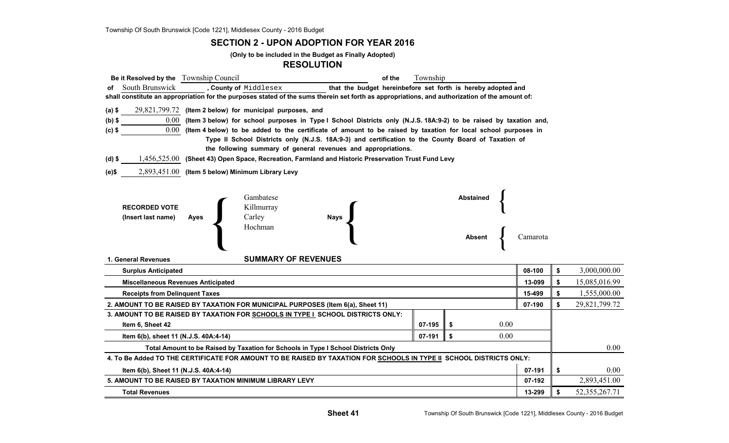#### **SECTION 2 - UPON ADOPTION FOR YEAR 2016**

**(Only to be included in the Budget as Finally Adopted)**

#### **RESOLUTION**

| <b>Be it Resolved by the</b> Township Council                                                                                                  |                                                                                                                                                                      |                                                          |                                                                                                                        | of the | Township |                                   |      |        |    |               |  |
|------------------------------------------------------------------------------------------------------------------------------------------------|----------------------------------------------------------------------------------------------------------------------------------------------------------------------|----------------------------------------------------------|------------------------------------------------------------------------------------------------------------------------|--------|----------|-----------------------------------|------|--------|----|---------------|--|
| South Brunswick<br>of                                                                                                                          |                                                                                                                                                                      | , County of Middlesex                                    | that the budget hereinbefore set forth is hereby adopted and                                                           |        |          |                                   |      |        |    |               |  |
| shall constitute an appropriation for the purposes stated of the sums therein set forth as appropriations, and authorization of the amount of: |                                                                                                                                                                      |                                                          |                                                                                                                        |        |          |                                   |      |        |    |               |  |
| $(a)$ \$                                                                                                                                       |                                                                                                                                                                      | 29,821,799.72 (Item 2 below) for municipal purposes, and |                                                                                                                        |        |          |                                   |      |        |    |               |  |
| $(b)$ \$                                                                                                                                       |                                                                                                                                                                      |                                                          | 0.00 (Item 3 below) for school purposes in Type I School Districts only (N.J.S. 18A:9-2) to be raised by taxation and, |        |          |                                   |      |        |    |               |  |
| $(c)$ \$                                                                                                                                       |                                                                                                                                                                      |                                                          | $0.00$ (Item 4 below) to be added to the certificate of amount to be raised by taxation for local school purposes in   |        |          |                                   |      |        |    |               |  |
|                                                                                                                                                | Type II School Districts only (N.J.S. 18A:9-3) and certification to the County Board of Taxation of<br>the following summary of general revenues and appropriations. |                                                          |                                                                                                                        |        |          |                                   |      |        |    |               |  |
| $(d)$ \$                                                                                                                                       |                                                                                                                                                                      |                                                          | 1,456,525.00 (Sheet 43) Open Space, Recreation, Farmland and Historic Preservation Trust Fund Levy                     |        |          |                                   |      |        |    |               |  |
| (e)\$                                                                                                                                          |                                                                                                                                                                      | 2,893,451.00 (Item 5 below) Minimum Library Levy         |                                                                                                                        |        |          |                                   |      |        |    |               |  |
|                                                                                                                                                |                                                                                                                                                                      |                                                          |                                                                                                                        |        |          |                                   |      |        |    |               |  |
| <b>RECORDED VOTE</b><br>(Insert last name)                                                                                                     | Ayes                                                                                                                                                                 | Gambatese<br>Killmurray<br>Carley<br>Hochman             | <b>Nays</b>                                                                                                            |        |          | <b>Abstained</b><br><b>Absent</b> |      |        |    |               |  |
| 1. General Revenues                                                                                                                            |                                                                                                                                                                      | <b>SUMMARY OF REVENUES</b>                               |                                                                                                                        |        |          |                                   |      |        |    |               |  |
| <b>Surplus Anticipated</b>                                                                                                                     |                                                                                                                                                                      |                                                          |                                                                                                                        |        |          |                                   |      | 08-100 | \$ | 3,000,000.00  |  |
| <b>Miscellaneous Revenues Anticipated</b>                                                                                                      |                                                                                                                                                                      |                                                          |                                                                                                                        |        |          |                                   |      | 13-099 | \$ | 15,085,016.99 |  |
| <b>Receipts from Delinguent Taxes</b>                                                                                                          |                                                                                                                                                                      |                                                          |                                                                                                                        |        |          |                                   |      | 15-499 | \$ | 1,555,000.00  |  |
| 2. AMOUNT TO BE RAISED BY TAXATION FOR MUNICIPAL PURPOSES (Item 6(a), Sheet 11)                                                                |                                                                                                                                                                      |                                                          |                                                                                                                        |        |          |                                   |      | 07-190 | \$ | 29,821,799.72 |  |
| 3. AMOUNT TO BE RAISED BY TAXATION FOR SCHOOLS IN TYPE I SCHOOL DISTRICTS ONLY:                                                                |                                                                                                                                                                      |                                                          |                                                                                                                        |        |          |                                   |      |        |    |               |  |
| Item 6, Sheet 42                                                                                                                               |                                                                                                                                                                      |                                                          |                                                                                                                        |        | 07-195   |                                   | 0.00 |        |    |               |  |

| 2. AMOUNT TO BE RAISED BY TAXATION FOR MUNICIPAL PURPOSES (Item 6(a), Sheet 11)                                     | 07-190 |  | 29,821,799.72 |        |  |               |  |  |
|---------------------------------------------------------------------------------------------------------------------|--------|--|---------------|--------|--|---------------|--|--|
| 3. AMOUNT TO BE RAISED BY TAXATION FOR SCHOOLS IN TYPE I SCHOOL DISTRICTS ONLY:                                     |        |  |               |        |  |               |  |  |
| Item 6, Sheet 42                                                                                                    | 07-195 |  | 0.00          |        |  |               |  |  |
| Item 6(b), sheet 11 (N.J.S. 40A:4-14)                                                                               |        |  |               |        |  |               |  |  |
| Total Amount to be Raised by Taxation for Schools in Type I School Districts Only                                   |        |  |               |        |  |               |  |  |
| 4. To Be Added TO THE CERTIFICATE FOR AMOUNT TO BE RAISED BY TAXATION FOR SCHOOLS IN TYPE II SCHOOL DISTRICTS ONLY: |        |  |               |        |  |               |  |  |
| 07-191<br>Item 6(b), Sheet 11 (N.J.S. 40A:4-14)                                                                     |        |  |               |        |  |               |  |  |
| 5. AMOUNT TO BE RAISED BY TAXATION MINIMUM LIBRARY LEVY                                                             |        |  |               | 07-192 |  | 2,893,451.00  |  |  |
| <b>Total Revenues</b>                                                                                               |        |  |               | 13-299 |  | 52,355,267.71 |  |  |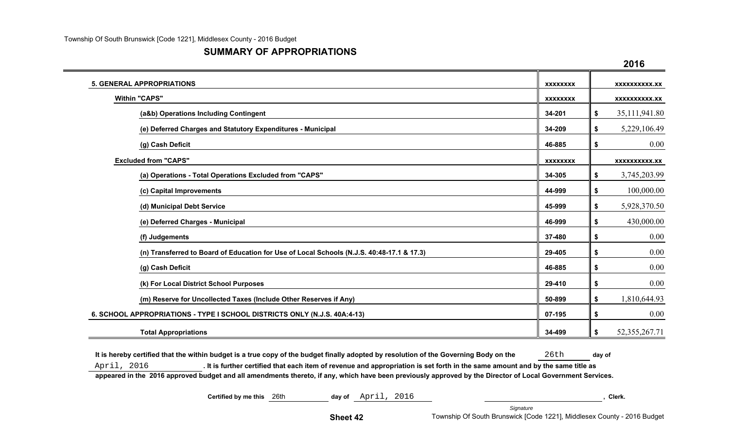#### **SUMMARY OF APPROPRIATIONS**

|                                                                                           |                 | 2016                   |
|-------------------------------------------------------------------------------------------|-----------------|------------------------|
| <b>5. GENERAL APPROPRIATIONS</b>                                                          | <b>XXXXXXXX</b> | <b>XXXXXXXXXX.XX</b>   |
| <b>Within "CAPS"</b>                                                                      | <b>XXXXXXXX</b> | <b>XXXXXXXXXX.XX</b>   |
| (a&b) Operations Including Contingent                                                     | 34-201          | \$<br>35,111,941.80    |
| (e) Deferred Charges and Statutory Expenditures - Municipal                               | 34-209          | \$<br>5,229,106.49     |
| (g) Cash Deficit                                                                          | 46-885          | \$<br>0.00             |
| <b>Excluded from "CAPS"</b>                                                               | <b>XXXXXXXX</b> | <b>XXXXXXXXXX.XX</b>   |
| (a) Operations - Total Operations Excluded from "CAPS"                                    | 34-305          | \$<br>3,745,203.99     |
| (c) Capital Improvements                                                                  | 44-999          | \$<br>100,000.00       |
| (d) Municipal Debt Service                                                                | 45-999          | \$<br>5,928,370.50     |
| (e) Deferred Charges - Municipal                                                          | 46-999          | \$<br>430,000.00       |
| (f) Judgements                                                                            | 37-480          | \$<br>0.00             |
| (n) Transferred to Board of Education for Use of Local Schools (N.J.S. 40:48-17.1 & 17.3) | 29-405          | \$<br>0.00             |
| (g) Cash Deficit                                                                          | 46-885          | \$<br>0.00             |
| (k) For Local District School Purposes                                                    | 29-410          | \$<br>0.00             |
| (m) Reserve for Uncollected Taxes (Include Other Reserves if Any)                         | 50-899          | \$<br>1,810,644.93     |
| 6. SCHOOL APPROPRIATIONS - TYPE I SCHOOL DISTRICTS ONLY (N.J.S. 40A:4-13)                 | 07-195          | \$<br>0.00             |
| <b>Total Appropriations</b>                                                               | 34-499          | \$<br>52, 355, 267. 71 |

It is hereby certified that the within budget is a true copy of the budget finally adopted by resolution of the Governing Body on the 26th day of April, 2016 **. It is further certified that each item of revenue and appropriation is set forth in the same amount and by the same title as appeared in the 2016 approved budget and all amendments thereto, if any, which have been previously approved by the Director of Local Government Services.**

| Certified by me this | 26th | day of   | April | 2016 |                                                                         |           |  | Clerk. |  |
|----------------------|------|----------|-------|------|-------------------------------------------------------------------------|-----------|--|--------|--|
|                      |      |          |       |      |                                                                         | Signature |  |        |  |
|                      |      | Sheet 42 |       |      | Township Of South Brunswick [Code 1221], Middlesex County - 2016 Budget |           |  |        |  |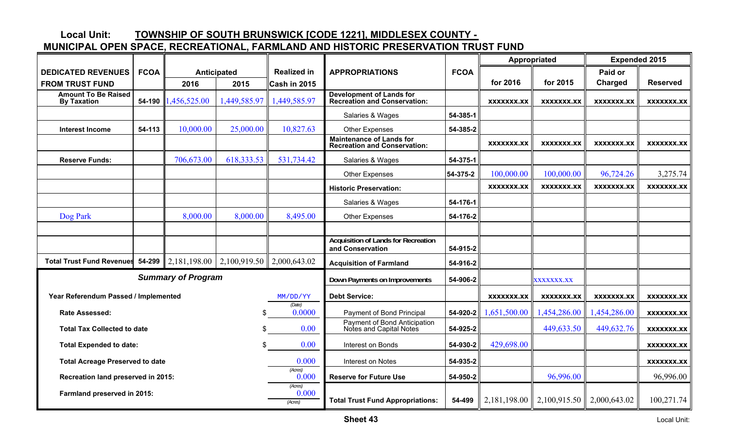## **Local Unit: TOWNSHIP OF SOUTH BRUNSWICK [CODE 1221], MIDDLESEX COUNTY -**

## **MUNICIPAL OPEN SPACE, RECREATIONAL, FARMLAND AND HISTORIC PRESERVATION TRUST FUND**

|                                                  |             |                           |                                    |                             |                                                                        |             |                   | Appropriated      | <b>Expended 2015</b> |                   |
|--------------------------------------------------|-------------|---------------------------|------------------------------------|-----------------------------|------------------------------------------------------------------------|-------------|-------------------|-------------------|----------------------|-------------------|
| <b>DEDICATED REVENUES</b>                        | <b>FCOA</b> |                           | Anticipated                        | <b>Realized in</b>          | <b>APPROPRIATIONS</b>                                                  | <b>FCOA</b> |                   |                   | Paid or              |                   |
| <b>FROM TRUST FUND</b>                           |             | 2016                      | 2015                               | Cash in 2015                |                                                                        |             | for 2016          | for 2015          | Charged              | <b>Reserved</b>   |
| <b>Amount To Be Raised</b><br><b>By Taxation</b> | 54-190      | 1,456,525.00              | ,449,585.97                        | 1,449,585.97                | <b>Development of Lands for</b><br><b>Recreation and Conservation:</b> |             | XXXXXXX.XX        | XXXXXXX.XX        | XXXXXXX.XX           | <b>XXXXXXX.XX</b> |
|                                                  |             |                           |                                    |                             | Salaries & Wages                                                       | 54-385-1    |                   |                   |                      |                   |
| <b>Interest Income</b>                           | 54-113      | 10,000.00                 | 25,000.00                          | 10,827.63                   | <b>Other Expenses</b>                                                  | 54-385-2    |                   |                   |                      |                   |
|                                                  |             |                           |                                    |                             | <b>Maintenance of Lands for</b><br><b>Recreation and Conservation:</b> |             | <b>XXXXXXX.XX</b> | XXXXXXX.XX        | XXXXXXX.XX           | XXXXXXX.XX        |
| <b>Reserve Funds:</b>                            |             | 706,673.00                | 618, 333.53                        | 531,734.42                  | Salaries & Wages                                                       | 54-375-1    |                   |                   |                      |                   |
|                                                  |             |                           |                                    |                             | <b>Other Expenses</b>                                                  | 54-375-2    | 100,000.00        | 100,000.00        | 96,724.26            | 3,275.74          |
|                                                  |             |                           |                                    |                             | <b>Historic Preservation:</b>                                          |             | <b>XXXXXXX.XX</b> | XXXXXXX.XX        | XXXXXXX.XX           | XXXXXXX.XX        |
|                                                  |             |                           |                                    |                             | Salaries & Wages                                                       | 54-176-1    |                   |                   |                      |                   |
| Dog Park                                         |             | 8,000.00                  | 8,000.00                           | 8,495.00                    | <b>Other Expenses</b>                                                  | 54-176-2    |                   |                   |                      |                   |
|                                                  |             |                           |                                    |                             |                                                                        |             |                   |                   |                      |                   |
|                                                  |             |                           |                                    |                             | <b>Acquisition of Lands for Recreation</b><br>and Conservation         | 54-915-2    |                   |                   |                      |                   |
| <b>Total Trust Fund Revenues</b>                 | $54 - 299$  | 2,181,198.00              | $\mid$ 2,100,919.50   2,000,643.02 |                             | <b>Acquisition of Farmland</b>                                         | 54-916-2    |                   |                   |                      |                   |
|                                                  |             | <b>Summary of Program</b> |                                    |                             | Down Payments on Improvements                                          | 54-906-2    |                   | <b>XXXXXXX.XX</b> |                      |                   |
| Year Referendum Passed / Implemented             |             |                           |                                    | MM/DD/YY                    | <b>Debt Service:</b>                                                   |             | <b>XXXXXXX.XX</b> | <b>XXXXXXX.XX</b> | XXXXXXX.XX           | XXXXXXX.XX        |
| <b>Rate Assessed:</b>                            |             |                           | \$                                 | (Date)<br>0.0000            | Payment of Bond Principal                                              | 54-920-2    | 1,651,500.00      | 1,454,286.00      | 1,454,286.00         | <b>XXXXXXX.XX</b> |
| <b>Total Tax Collected to date</b>               |             |                           | \$.                                | 0.00                        | Payment of Bond Anticipation<br>Notes and Capital Notes                | 54-925-2    |                   | 449,633.50        | 449,632.76           | <b>XXXXXXX.XX</b> |
| <b>Total Expended to date:</b>                   |             |                           |                                    | 0.00                        | Interest on Bonds                                                      | 54-930-2    | 429,698.00        |                   |                      | XXXXXXX.XX        |
| <b>Total Acreage Preserved to date</b>           |             |                           |                                    | 0.000                       | Interest on Notes                                                      | 54-935-2    |                   |                   |                      | XXXXXXX.XX        |
| Recreation land preserved in 2015:               |             |                           |                                    | (Acres)<br>0.000            | <b>Reserve for Future Use</b>                                          | 54-950-2    |                   | 96,996.00         |                      | 96,996.00         |
| Farmland preserved in 2015:                      |             |                           |                                    | (Acres)<br>0.000<br>(Acres) | <b>Total Trust Fund Appropriations:</b>                                | 54-499      | 2,181,198.00      | 2,100,915.50      | 2,000,643.02         | 100,271.74        |